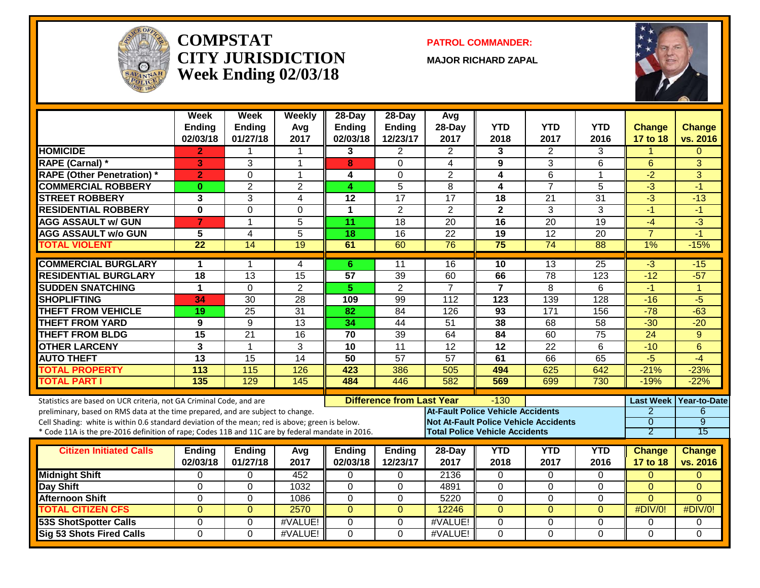

#### **COMPSTATCITY JURISDICTIONWeek Ending 02/03/18**

**PATROL COMMANDER:**

**MAJOR RICHARD ZAPAL**



|                                                                                                                                                                                    | Week<br><b>Ending</b><br>02/03/18 | Week<br>Ending<br>01/27/18 | Weekly<br>Avg<br>2017 | $28-Day$<br>Ending<br>02/03/18 | $28-Day$<br>Ending<br>12/23/17   | Avg<br>28-Day<br>2017                        | <b>YTD</b><br>2018                    | <b>YTD</b><br>2017 | <b>YTD</b><br>2016 | Change<br>17 to 18                 | Change<br>vs. 2016 |
|------------------------------------------------------------------------------------------------------------------------------------------------------------------------------------|-----------------------------------|----------------------------|-----------------------|--------------------------------|----------------------------------|----------------------------------------------|---------------------------------------|--------------------|--------------------|------------------------------------|--------------------|
| <b>HOMICIDE</b>                                                                                                                                                                    | 2                                 |                            |                       | 3                              | 2                                | $\overline{2}$                               | 3                                     | 2                  | 3                  |                                    | $\Omega$           |
| <b>RAPE (Carnal) *</b>                                                                                                                                                             | 3                                 | 3                          | $\overline{1}$        | 8                              | 0                                | $\overline{4}$                               | 9                                     | 3                  | $\overline{6}$     | $6\phantom{1}$                     | 3                  |
| <b>RAPE (Other Penetration)</b> *                                                                                                                                                  | $\overline{2}$                    | $\Omega$                   | $\overline{1}$        | 4                              | $\Omega$                         | $\overline{2}$                               | 4                                     | 6                  | $\mathbf{1}$       | $-2$                               | 3                  |
| <b>COMMERCIAL ROBBERY</b>                                                                                                                                                          | $\mathbf{0}$                      | $\overline{2}$             | $\overline{2}$        | 4                              | $\overline{5}$                   | 8                                            | 4                                     | $\overline{7}$     | $\overline{5}$     | $-3$                               | $-1$               |
| <b>STREET ROBBERY</b>                                                                                                                                                              | 3                                 | 3                          | 4                     | 12                             | $\overline{17}$                  | $\overline{17}$                              | 18                                    | $\overline{21}$    | $\overline{31}$    | $\overline{\cdot 3}$               | $-13$              |
| <b>RESIDENTIAL ROBBERY</b>                                                                                                                                                         | $\mathbf{0}$                      | $\overline{0}$             | $\Omega$              | $\mathbf{1}$                   | $\overline{2}$                   | $\overline{2}$                               | $\overline{2}$                        | 3                  | 3                  | $-1$                               | -1                 |
| <b>AGG ASSAULT w/ GUN</b>                                                                                                                                                          | $\overline{7}$                    | $\mathbf{1}$               | $\overline{5}$        | $\overline{11}$                | 18                               | $\overline{20}$                              | 16                                    | $\overline{20}$    | 19                 | $-4$                               | $-3$               |
| <b>AGG ASSAULT w/o GUN</b>                                                                                                                                                         | 5                                 | 4                          | $\overline{5}$        | 18                             | $\overline{16}$                  | $\overline{22}$                              | 19                                    | $\overline{12}$    | $\overline{20}$    | $\overline{7}$                     | $-1$               |
| <b>TOTAL VIOLENT</b>                                                                                                                                                               | $\overline{22}$                   | 14                         | 19                    | 61                             | 60                               | 76                                           | $\overline{75}$                       | 74                 | 88                 | 1%                                 | $-15%$             |
| <b>COMMERCIAL BURGLARY</b>                                                                                                                                                         | 1                                 | 1                          | 4                     | 6                              | 11                               | 16                                           | 10                                    | 13                 | $\overline{25}$    | $-3$                               | $-15$              |
| <b>RESIDENTIAL BURGLARY</b>                                                                                                                                                        | $\overline{18}$                   | $\overline{13}$            | $\overline{15}$       | $\overline{57}$                | 39                               | 60                                           | 66                                    | $\overline{78}$    | 123                | $-12$                              | $-57$              |
| <b>SUDDEN SNATCHING</b>                                                                                                                                                            | 1                                 | $\Omega$                   | $\overline{2}$        | $\overline{5}$                 | $\overline{2}$                   | $\overline{7}$                               | $\overline{7}$                        | 8                  | 6                  | $-1$                               | -1                 |
| <b>SHOPLIFTING</b>                                                                                                                                                                 | 34                                | $\overline{30}$            | $\overline{28}$       | 109                            | 99                               | 112                                          | 123                                   | 139                | $\overline{128}$   | $-16$                              | $-5$               |
| <b>THEFT FROM VEHICLE</b>                                                                                                                                                          | 19                                | 25                         | 31                    | 82                             | 84                               | 126                                          | 93                                    | 171                | 156                | $-78$                              | $-63$              |
| <b>THEFT FROM YARD</b>                                                                                                                                                             | 9                                 | 9                          | $\overline{13}$       | 34                             | $\overline{44}$                  | $\overline{51}$                              | 38                                    | 68                 | $\overline{58}$    | $-30$                              | $-20$              |
| <b>THEFT FROM BLDG</b>                                                                                                                                                             | 15                                | $\overline{21}$            | 16                    | 70                             | $\overline{39}$                  | 64                                           | 84                                    | 60                 | $\overline{75}$    | $\overline{24}$                    | 9                  |
| <b>OTHER LARCENY</b>                                                                                                                                                               | $\overline{3}$                    | $\mathbf{1}$               | 3                     | 10                             | $\overline{11}$                  | $\overline{12}$                              | 12                                    | 22                 | 6                  | $-10$                              | 6                  |
| <b>AUTO THEFT</b>                                                                                                                                                                  | $\overline{13}$                   | $\overline{15}$            | $\overline{14}$       | $\overline{50}$                | $\overline{57}$                  | $\overline{57}$                              | 61                                    | 66                 | 65                 | $-5$                               | $-4$               |
| <b>TOTAL PROPERTY</b>                                                                                                                                                              | 113                               | 115                        | 126                   | 423                            | 386                              | 505                                          | 494                                   | 625                | 642                | $-21%$                             | $-23%$             |
| <b>TOTAL PART I</b>                                                                                                                                                                | $\overline{135}$                  | 129                        | 145                   | 484                            | 446                              | 582                                          | 569                                   | 699                | 730                | $-19%$                             | $-22%$             |
|                                                                                                                                                                                    |                                   |                            |                       |                                |                                  |                                              |                                       |                    |                    |                                    |                    |
| Statistics are based on UCR criteria, not GA Criminal Code, and are                                                                                                                |                                   |                            |                       |                                | <b>Difference from Last Year</b> | <b>At-Fault Police Vehicle Accidents</b>     | $-130$                                |                    |                    | <b>Last Week</b><br>$\overline{2}$ | Year-to-Date<br>6  |
| preliminary, based on RMS data at the time prepared, and are subject to change.<br>Cell Shading: white is within 0.6 standard deviation of the mean; red is above; green is below. |                                   |                            |                       |                                |                                  | <b>Not At-Fault Police Vehicle Accidents</b> |                                       |                    |                    | $\overline{0}$                     | $\overline{9}$     |
| * Code 11A is the pre-2016 definition of rape; Codes 11B and 11C are by federal mandate in 2016.                                                                                   |                                   |                            |                       |                                |                                  |                                              | <b>Total Police Vehicle Accidents</b> |                    |                    | 2                                  | $\overline{15}$    |
|                                                                                                                                                                                    |                                   |                            |                       |                                |                                  |                                              |                                       |                    |                    |                                    |                    |
| <b>Citizen Initiated Calls</b>                                                                                                                                                     | <b>Ending</b>                     | <b>Ending</b>              | Avg                   | <b>Ending</b>                  | <b>Ending</b>                    | 28-Day                                       | <b>YTD</b>                            | <b>YTD</b>         | <b>YTD</b>         | <b>Change</b>                      | <b>Change</b>      |
|                                                                                                                                                                                    | 02/03/18                          | 01/27/18                   | 2017                  | 02/03/18                       | 12/23/17                         | 2017                                         | 2018                                  | 2017               | 2016               | 17 to 18                           | vs. 2016           |
| <b>Midnight Shift</b>                                                                                                                                                              | 0                                 | $\Omega$                   | 452                   | 0                              | $\Omega$                         | 2136                                         | 0                                     | $\Omega$           | $\Omega$           | $\Omega$                           | $\Omega$           |
| Day Shift                                                                                                                                                                          | $\Omega$                          | $\mathbf{0}$               | 1032                  | 0                              | $\overline{0}$                   | 4891                                         | $\mathbf 0$                           | $\mathbf 0$        | 0                  | $\overline{0}$                     | $\overline{0}$     |
| <b>Afternoon Shift</b>                                                                                                                                                             | $\Omega$                          | $\Omega$                   | 1086                  | 0                              | $\Omega$                         | 5220                                         | $\Omega$                              | $\Omega$           | $\Omega$           | $\Omega$                           | $\Omega$           |
| <b>TOTAL CITIZEN CFS</b>                                                                                                                                                           | $\Omega$                          | $\Omega$                   | 2570                  | $\overline{0}$                 | $\Omega$                         | 12246                                        | $\overline{0}$                        | $\Omega$           | $\overline{0}$     | #DIV/0!                            | #DIV/0!            |
| <b>53S ShotSpotter Calls</b>                                                                                                                                                       | $\Omega$                          | $\Omega$                   | #VALUE!               | 0                              | 0                                | #VALUE!                                      | $\mathbf{0}$                          | $\Omega$           | $\Omega$           | 0                                  | 0                  |
| <b>Sig 53 Shots Fired Calls</b>                                                                                                                                                    | $\Omega$                          | $\Omega$                   | #VALUE!               | 0                              | $\Omega$                         | #VALUE!                                      | 0                                     | $\Omega$           | $\Omega$           | $\Omega$                           | 0                  |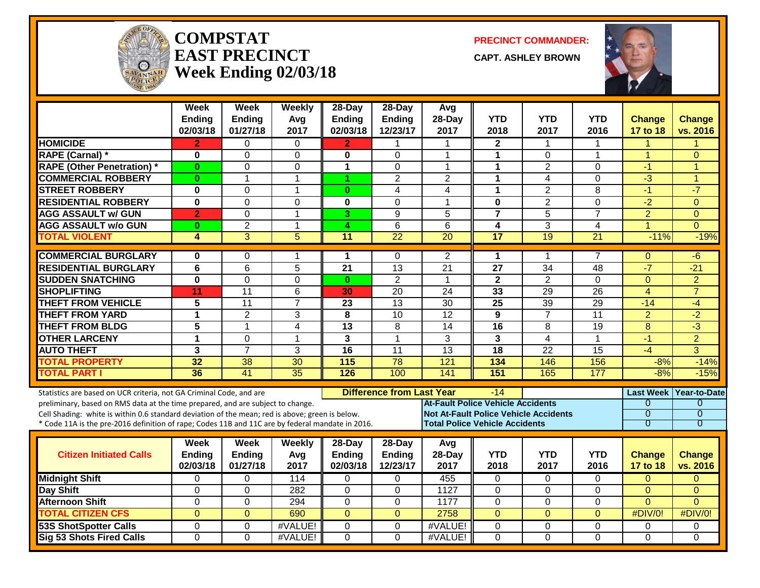

#### **COMPSTATEAST PRECINCTWeek Ending 02/03/18**

**PRECINCT COMMANDER:**

**CAPT. ASHLEY BROWN**



|                                                                                                                                                        | <b>Week</b><br>Ending<br>02/03/18 | Week<br>Ending<br>01/27/18 | Weekly<br>Avg<br>2017 | 28-Day<br><b>Ending</b><br>02/03/18 | 28-Day<br><b>Ending</b><br>12/23/17 | Avg<br>28-Day<br>2017 | <b>YTD</b><br>2018                           | <b>YTD</b><br>2017               | <b>YTD</b><br>2016  | <b>Change</b><br>17 to 18 | <b>Change</b><br>vs. 2016       |
|--------------------------------------------------------------------------------------------------------------------------------------------------------|-----------------------------------|----------------------------|-----------------------|-------------------------------------|-------------------------------------|-----------------------|----------------------------------------------|----------------------------------|---------------------|---------------------------|---------------------------------|
| <b>HOMICIDE</b>                                                                                                                                        | $\mathbf{2}$                      | $\Omega$                   | $\Omega$              | 2                                   | $\mathbf 1$                         | 1                     | $\mathbf{2}$                                 | 1                                | 1                   | 1                         | -1                              |
| RAPE (Carnal) *                                                                                                                                        | $\bf{0}$                          | 0                          | $\Omega$              | $\mathbf{0}$                        | $\Omega$                            | $\mathbf 1$           | $\mathbf{1}$                                 | $\Omega$                         | $\mathbf 1$         | $\overline{1}$            | $\Omega$                        |
| <b>RAPE (Other Penetration) *</b>                                                                                                                      | $\bf{0}$                          | 0                          | $\Omega$              | $\mathbf{1}$                        | $\mathbf 0$                         | $\blacktriangleleft$  | $\mathbf{1}$                                 | $\overline{2}$                   | 0                   | $-1$                      | $\overline{1}$                  |
| <b>COMMERCIAL ROBBERY</b>                                                                                                                              | $\bf{0}$                          | 1                          | 1                     | 1                                   | $\overline{2}$                      | $\overline{2}$        | 1                                            | $\overline{4}$                   | 0                   | $-3$                      | 1                               |
| <b>STREET ROBBERY</b>                                                                                                                                  | $\mathbf 0$                       | 0                          | $\overline{1}$        | $\bf{0}$                            | 4                                   | 4                     | $\mathbf{1}$                                 | $\overline{2}$                   | 8                   | $-1$                      | $-7$                            |
| <b>RESIDENTIAL ROBBERY</b>                                                                                                                             | $\overline{\mathbf{0}}$           | $\overline{0}$             | $\mathbf 0$           | $\mathbf 0$                         | $\Omega$                            | $\mathbf{1}$          | $\mathbf 0$                                  | $\overline{2}$                   | $\overline{0}$      | $\overline{-2}$           | $\Omega$                        |
| <b>AGG ASSAULT w/ GUN</b>                                                                                                                              | $\overline{2}$                    | 0                          | $\overline{1}$        | 3                                   | 9                                   | 5                     | $\overline{7}$                               | $\overline{5}$                   | $\overline{7}$      | $\overline{2}$            | $\Omega$                        |
| <b>AGG ASSAULT w/o GUN</b>                                                                                                                             | $\bf{0}$                          | $\overline{2}$             | $\mathbf 1$           | 4                                   | 6                                   | 6                     | 4                                            | 3                                | 4                   | 1                         | $\Omega$                        |
| <b>TOTAL VIOLENT</b>                                                                                                                                   | 4                                 | 3                          | 5                     | $\overline{11}$                     | $\overline{22}$                     | $\overline{20}$       | 17                                           | 19                               | $\overline{21}$     | $-11%$                    | $-19%$                          |
| <b>COMMERCIAL BURGLARY</b>                                                                                                                             | $\bf{0}$                          | 0                          | -1                    | 1                                   | $\Omega$                            | $\overline{2}$        | $\mathbf 1$                                  | 1                                | 7                   | $\Omega$                  | -6                              |
| <b>RESIDENTIAL BURGLARY</b>                                                                                                                            | $\overline{\mathbf{6}}$           | $\overline{6}$             | 5                     | $\overline{21}$                     | 13                                  | $\overline{21}$       | $\overline{27}$                              | $\overline{34}$                  | $\overline{48}$     | $-7$                      | $-21$                           |
| <b>SUDDEN SNATCHING</b>                                                                                                                                | $\mathbf{0}$                      | 0                          | $\mathbf 0$           | $\bf{0}$                            | $\overline{2}$                      | $\mathbf{1}$          | $\overline{2}$                               | $\overline{2}$                   | $\Omega$            | $\Omega$                  | $\overline{2}$                  |
| <b>SHOPLIFTING</b>                                                                                                                                     | 11                                | 11                         | 6                     | 30                                  | 20                                  | 24                    | 33                                           | 29                               | 26                  | $\overline{4}$            | $\overline{7}$                  |
| <b>THEFT FROM VEHICLE</b>                                                                                                                              | 5                                 | $\overline{11}$            | $\overline{7}$        | 23                                  | $\overline{13}$                     | $\overline{30}$       | $\overline{25}$                              | $\overline{39}$                  | $\overline{29}$     | $-14$                     | $-4$                            |
| <b>THEFT FROM YARD</b>                                                                                                                                 | 1                                 | $\overline{2}$             | 3                     | $\overline{\mathbf{8}}$             | $\overline{10}$                     | $\overline{12}$       | 9                                            | $\overline{7}$                   | $\overline{11}$     | $\overline{2}$            | $-2$                            |
| <b>THEFT FROM BLDG</b>                                                                                                                                 | $\overline{\mathbf{5}}$           | 1                          | 4                     | $\overline{13}$                     | 8                                   | $\overline{14}$       | $\overline{16}$                              | 8                                | $\overline{19}$     | 8                         | $-3$                            |
| <b>OTHER LARCENY</b>                                                                                                                                   | 1                                 | 0                          | $\overline{1}$        | 3                                   | $\mathbf{1}$                        | 3                     | 3                                            | 4                                | 1                   | $-1$                      | $\overline{2}$                  |
| <b>AUTO THEFT</b>                                                                                                                                      | 3                                 | $\overline{7}$             | 3                     | 16                                  | 11                                  | 13                    | 18                                           | 22                               | 15                  | $-4$                      | 3                               |
| <b>TOTAL PROPERTY</b>                                                                                                                                  | $\overline{32}$                   | $\overline{38}$            | $\overline{30}$       | 115                                 | $\overline{78}$                     | 121                   | 134                                          | 146                              | 156                 | $-8%$                     | $-14%$                          |
| <b>TOTAL PART I</b>                                                                                                                                    | 36                                | 41                         | $\overline{35}$       | 126                                 | 100                                 | 141                   | 151                                          | 165                              | 177                 | $-8%$                     | $-15%$                          |
|                                                                                                                                                        |                                   |                            |                       |                                     |                                     |                       |                                              |                                  |                     |                           |                                 |
| Statistics are based on UCR criteria, not GA Criminal Code, and are<br>preliminary, based on RMS data at the time prepared, and are subject to change. |                                   |                            |                       |                                     | <b>Difference from Last Year</b>    |                       | -14<br>At-Fault Police Vehicle Accidents     |                                  |                     | <b>Last Week</b><br>0     | <b>Year-to-Date</b><br>$\Omega$ |
| Cell Shading: white is within 0.6 standard deviation of the mean; red is above; green is below.                                                        |                                   |                            |                       |                                     |                                     |                       | <b>Not At-Fault Police Vehicle Accidents</b> |                                  |                     | $\overline{0}$            | $\overline{0}$                  |
| * Code 11A is the pre-2016 definition of rape; Codes 11B and 11C are by federal mandate in 2016.                                                       |                                   |                            |                       |                                     |                                     |                       | <b>Total Police Vehicle Accidents</b>        |                                  |                     | $\overline{0}$            | $\overline{0}$                  |
|                                                                                                                                                        |                                   |                            |                       |                                     |                                     |                       |                                              |                                  |                     |                           |                                 |
|                                                                                                                                                        | <b>Week</b>                       | Week                       | Weekly                | $28 - Day$                          | 28-Day                              | Avg                   |                                              |                                  |                     |                           |                                 |
| <b>Citizen Initiated Calls</b>                                                                                                                         | <b>Ending</b>                     | <b>Ending</b>              | Avg                   | <b>Ending</b>                       | Ending                              | $28-Dav$              | <b>YTD</b>                                   | <b>YTD</b>                       | <b>YTD</b>          | <b>Change</b>             | Change                          |
|                                                                                                                                                        | 02/03/18                          | 01/27/18                   | 2017                  | 02/03/18                            | 12/23/17                            | 2017                  | 2018                                         | 2017                             | 2016                | 17 to 18                  | vs. 2016                        |
| <b>Midnight Shift</b>                                                                                                                                  | 0                                 | 0                          | 114                   | 0                                   | $\Omega$                            | 455                   | 0                                            | $\Omega$                         | $\Omega$            | $\Omega$                  | $\Omega$                        |
| <b>Day Shift</b>                                                                                                                                       | $\Omega$                          | 0                          | 282                   | $\Omega$                            | $\Omega$                            | 1127                  | 0                                            | $\Omega$                         | $\Omega$            | $\Omega$                  | $\Omega$                        |
| <b>Afternoon Shift</b>                                                                                                                                 | $\overline{0}$<br>$\overline{0}$  | 0<br>$\overline{0}$        | 294                   | $\overline{0}$                      | 0<br>$\Omega$                       | 1177                  | $\mathbf 0$                                  | $\overline{0}$<br>$\overline{0}$ | 0<br>$\overline{0}$ | $\overline{0}$            | $\Omega$                        |
| <b>TOTAL CITIZEN CFS</b>                                                                                                                               |                                   |                            | 690                   | $\overline{0}$                      |                                     | 2758                  | $\overline{0}$                               |                                  |                     | #DIV/0!                   | #DIV/0!                         |
| <b>53S ShotSpotter Calls</b>                                                                                                                           | $\overline{0}$                    | 0                          | #VALUE!               | $\mathbf 0$                         | $\Omega$                            | #VALUE!               | 0                                            | $\overline{0}$                   | $\Omega$            | $\Omega$                  | $\Omega$                        |
| <b>Sig 53 Shots Fired Calls</b>                                                                                                                        | $\overline{0}$                    | $\overline{0}$             | #VALUE!               | $\overline{0}$                      | $\overline{0}$                      | #VALUE!               | $\overline{0}$                               | $\overline{0}$                   | $\overline{0}$      | $\overline{0}$            | $\overline{0}$                  |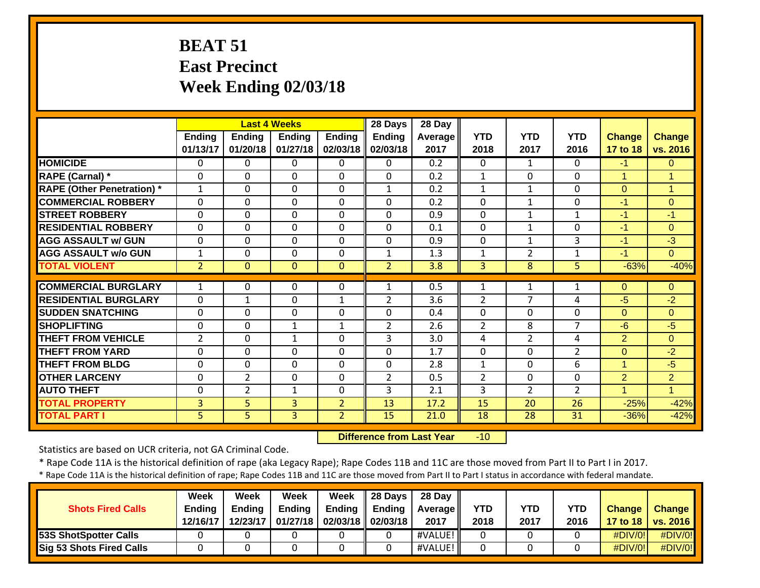# **BEAT 51 East PrecinctWeek Ending 02/03/18**

|                                   |                |                | <b>Last 4 Weeks</b> |                | 28 Days        | 28 Day         |                |                |                |                |                |
|-----------------------------------|----------------|----------------|---------------------|----------------|----------------|----------------|----------------|----------------|----------------|----------------|----------------|
|                                   | Ending         | Ending         | <b>Ending</b>       | <b>Ending</b>  | Ending         | <b>Average</b> | <b>YTD</b>     | <b>YTD</b>     | <b>YTD</b>     | Change         | <b>Change</b>  |
|                                   | 01/13/17       | 01/20/18       | 01/27/18            | 02/03/18       | 02/03/18       | 2017           | 2018           | 2017           | 2016           | 17 to 18       | vs. 2016       |
| <b>HOMICIDE</b>                   | 0              | $\Omega$       | $\Omega$            | 0              | $\Omega$       | 0.2            | $\Omega$       | $\mathbf{1}$   | $\Omega$       | $-1$           | $\Omega$       |
| RAPE (Carnal) *                   | $\Omega$       | $\Omega$       | $\Omega$            | $\Omega$       | $\Omega$       | 0.2            | $\mathbf{1}$   | $\Omega$       | 0              |                | 4              |
| <b>RAPE (Other Penetration) *</b> | 1              | $\Omega$       | $\mathbf 0$         | $\mathbf 0$    | $\mathbf{1}$   | 0.2            | $\mathbf{1}$   | $\mathbf{1}$   | $\Omega$       | $\overline{0}$ | 1              |
| <b>COMMERCIAL ROBBERY</b>         | $\mathbf 0$    | 0              | $\mathbf 0$         | $\mathbf 0$    | $\mathbf 0$    | 0.2            | $\mathbf 0$    | $\mathbf{1}$   | 0              | $-1$           | $\overline{0}$ |
| <b>STREET ROBBERY</b>             | $\mathbf 0$    | 0              | $\mathbf 0$         | $\mathbf 0$    | $\mathbf 0$    | 0.9            | $\mathbf 0$    | $\mathbf{1}$   | $\mathbf{1}$   | $-1$           | $-1$           |
| <b>RESIDENTIAL ROBBERY</b>        | $\Omega$       | 0              | $\mathbf 0$         | $\mathbf{0}$   | $\Omega$       | 0.1            | $\Omega$       | 1              | $\Omega$       | $-1$           | $\Omega$       |
| <b>AGG ASSAULT w/ GUN</b>         | $\Omega$       | $\Omega$       | $\Omega$            | $\mathbf{0}$   | $\Omega$       | 0.9            | $\Omega$       | 1              | 3              | $-1$           | $-3$           |
| <b>AGG ASSAULT w/o GUN</b>        | $\mathbf 1$    | $\Omega$       | $\mathbf 0$         | $\mathbf{0}$   | $\mathbf{1}$   | 1.3            | 1              | $\overline{2}$ | $\mathbf{1}$   | -1             | $\Omega$       |
| <b>TOTAL VIOLENT</b>              | $\overline{2}$ | $\Omega$       | $\mathbf{0}$        | $\mathbf 0$    | $\overline{2}$ | 3.8            | 3              | 8              | 5              | $-63%$         | $-40%$         |
|                                   |                |                |                     |                |                |                |                |                |                |                |                |
| <b>COMMERCIAL BURGLARY</b>        | 1              | $\Omega$       | $\Omega$            | $\mathbf{0}$   | 1              | 0.5            | 1              | 1              | 1              | $\Omega$       | $\Omega$       |
| <b>RESIDENTIAL BURGLARY</b>       | $\Omega$       | $\mathbf{1}$   | $\Omega$            | $\mathbf{1}$   | $\overline{2}$ | 3.6            | 2              | 7              | 4              | -5             | -2             |
| <b>SUDDEN SNATCHING</b>           | $\Omega$       | $\Omega$       | $\Omega$            | $\Omega$       | $\Omega$       | 0.4            | $\Omega$       | $\Omega$       | $\Omega$       | $\Omega$       | $\Omega$       |
| <b>SHOPLIFTING</b>                | $\Omega$       | $\Omega$       | $\mathbf{1}$        | $\mathbf{1}$   | $\overline{2}$ | 2.6            | 2              | 8              | $\overline{7}$ | $-6$           | $-5$           |
| <b>THEFT FROM VEHICLE</b>         | $\overline{2}$ | $\Omega$       | $\mathbf{1}$        | $\mathbf{0}$   | 3              | 3.0            | 4              | $\overline{2}$ | 4              | 2              | $\Omega$       |
| <b>THEFT FROM YARD</b>            | 0              | $\Omega$       | $\Omega$            | $\Omega$       | $\Omega$       | 1.7            | $\Omega$       | $\Omega$       | $\overline{2}$ | $\Omega$       | $-2$           |
| <b>THEFT FROM BLDG</b>            | 0              | $\Omega$       | $\Omega$            | $\Omega$       | $\Omega$       | 2.8            | $\mathbf{1}$   | $\Omega$       | 6              | $\overline{1}$ | -5             |
| <b>OTHER LARCENY</b>              | $\Omega$       | $\overline{2}$ | $\Omega$            | $\mathbf{0}$   | $\overline{2}$ | 0.5            | $\overline{2}$ | $\Omega$       | $\Omega$       | $\overline{2}$ | $\overline{2}$ |
| <b>AUTO THEFT</b>                 | 0              | $\overline{2}$ | $\mathbf{1}$        | $\mathbf 0$    | 3              | 2.1            | 3              | $\overline{2}$ | $\overline{2}$ | 1              | $\mathbf{1}$   |
| <b>TOTAL PROPERTY</b>             | 3              | 5              | 3                   | $\overline{2}$ | 13             | 17.2           | 15             | 20             | 26             | $-25%$         | $-42%$         |
| <b>TOTAL PART I</b>               | 5              | 5              | $\overline{3}$      | $\overline{2}$ | 15             | 21.0           | 18             | 28             | 31             | $-36%$         | $-42%$         |

 **Difference from Last Year** $-10$ 

Statistics are based on UCR criteria, not GA Criminal Code.

\* Rape Code 11A is the historical definition of rape (aka Legacy Rape); Rape Codes 11B and 11C are those moved from Part II to Part I in 2017.

\* Rape Code 11A is the historical definition of rape; Rape Codes 11B and 11C are those moved from Part II to Part I status in accordance with federal mandate.

|                              | Week          | Week          | Week          | Week          | <b>28 Davs</b> | 28 Day     |      |      |      |               |                     |
|------------------------------|---------------|---------------|---------------|---------------|----------------|------------|------|------|------|---------------|---------------------|
| <b>Shots Fired Calls</b>     | <b>Endina</b> | <b>Ending</b> | <b>Ending</b> | <b>Ending</b> | <b>Ending</b>  | Average II | YTD  | YTD  | YTD  | <b>Change</b> | <b>Change</b>       |
|                              | 12/16/17      | 12/23/17      | 01/27/18      | 02/03/18      | 02/03/18       | 2017       | 2018 | 2017 | 2016 |               | 17 to 18   vs. 2016 |
| <b>53S ShotSpotter Calls</b> |               |               |               |               |                | #VALUE! II |      |      |      | #DIV/0!       | $\#$ DIV/0!         |
| Sig 53 Shots Fired Calls     |               |               |               |               |                | #VALUE! I  |      |      |      | #DIV/0!       | #DIV/0!             |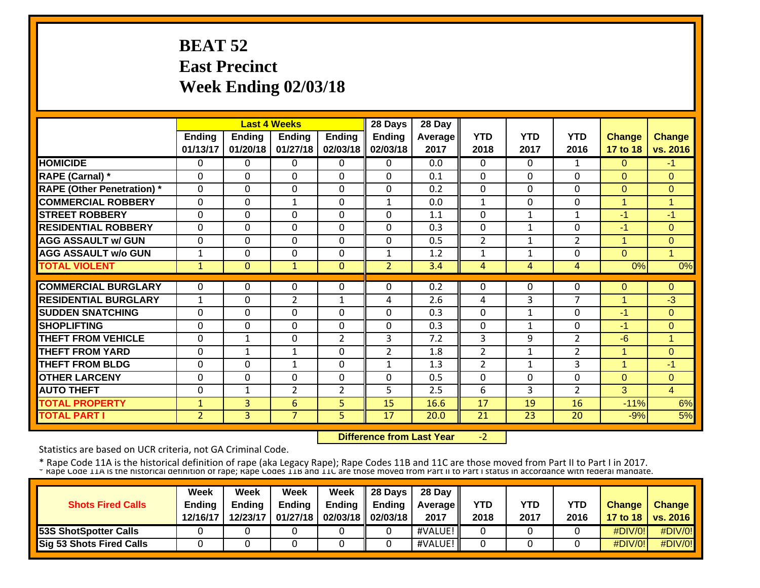# **BEAT 52 East Precinct Week Ending 02/03/18**

|                                   |                | <b>Last 4 Weeks</b> |                |                | 28 Days        | 28 Day  |                |              |                |                      |                |
|-----------------------------------|----------------|---------------------|----------------|----------------|----------------|---------|----------------|--------------|----------------|----------------------|----------------|
|                                   | <b>Ending</b>  | <b>Ending</b>       | Ending         | <b>Ending</b>  | <b>Ending</b>  | Average | <b>YTD</b>     | <b>YTD</b>   | <b>YTD</b>     | <b>Change</b>        | <b>Change</b>  |
|                                   | 01/13/17       | 01/20/18            | 01/27/18       | 02/03/18       | 02/03/18       | 2017    | 2018           | 2017         | 2016           | 17 to 18             | vs. 2016       |
| <b>HOMICIDE</b>                   | 0              | $\Omega$            | 0              | $\Omega$       | $\Omega$       | 0.0     | $\mathbf{0}$   | 0            | $\mathbf{1}$   | $\Omega$             | $-1$           |
| <b>RAPE (Carnal)</b> *            | $\Omega$       | 0                   | $\Omega$       | $\Omega$       | $\Omega$       | 0.1     | $\mathbf{0}$   | 0            | $\Omega$       | $\Omega$             | $\Omega$       |
| <b>RAPE (Other Penetration)</b> * | $\Omega$       | 0                   | $\mathbf{0}$   | $\Omega$       | $\Omega$       | 0.2     | 0              | $\Omega$     | $\Omega$       | $\Omega$             | $\Omega$       |
| <b>COMMERCIAL ROBBERY</b>         | $\Omega$       | 0                   | $\mathbf{1}$   | $\Omega$       | $\mathbf{1}$   | 0.0     | $\mathbf{1}$   | $\Omega$     | $\Omega$       | 4                    | -1             |
| <b>STREET ROBBERY</b>             | $\Omega$       | 0                   | $\mathbf{0}$   | $\Omega$       | $\Omega$       | 1.1     | 0              | $\mathbf 1$  | 1              | $-1$                 | $-1$           |
| <b>RESIDENTIAL ROBBERY</b>        | $\Omega$       | 0                   | $\Omega$       | $\Omega$       | $\Omega$       | 0.3     | 0              | 1            | $\Omega$       | -1                   | $\Omega$       |
| <b>AGG ASSAULT w/ GUN</b>         | $\Omega$       | $\Omega$            | $\Omega$       | $\Omega$       | $\Omega$       | 0.5     | $\overline{2}$ | 1            | $\overline{2}$ | $\overline{1}$       | $\Omega$       |
| <b>AGG ASSAULT w/o GUN</b>        | 1              | 0                   | $\Omega$       | $\Omega$       | $\mathbf{1}$   | 1.2     | 1              | 1            | $\Omega$       | $\Omega$             | -1             |
| <b>TOTAL VIOLENT</b>              | $\mathbf{1}$   | $\Omega$            | $\mathbf{1}$   | $\Omega$       | $\overline{2}$ | 3.4     | $\overline{4}$ | 4            | 4              | 0%                   | 0%             |
|                                   |                |                     |                |                |                |         |                |              |                |                      |                |
| <b>COMMERCIAL BURGLARY</b>        | 0              | 0                   | 0              | $\Omega$       | $\Omega$       | 0.2     | $\Omega$       | 0            | 0              | $\Omega$             | $\Omega$       |
| <b>RESIDENTIAL BURGLARY</b>       | 1              | 0                   | $\overline{2}$ | $\mathbf{1}$   | 4              | 2.6     | 4              | 3            | $\overline{7}$ | 1                    | $-3$           |
| <b>ISUDDEN SNATCHING</b>          | $\Omega$       | $\Omega$            | $\Omega$       | $\Omega$       | $\Omega$       | 0.3     | $\Omega$       | 1            | $\Omega$       | -1                   | $\Omega$       |
| <b>SHOPLIFTING</b>                | $\Omega$       | 0                   | 0              | $\Omega$       | $\Omega$       | 0.3     | $\Omega$       | 1            | $\Omega$       | -1                   | $\Omega$       |
| <b>THEFT FROM VEHICLE</b>         | $\Omega$       | $\mathbf{1}$        | $\mathbf 0$    | $\overline{2}$ | 3              | 7.2     | 3              | 9            | $\overline{2}$ | $-6$                 | $\overline{1}$ |
| <b>THEFT FROM YARD</b>            | $\Omega$       | $\mathbf{1}$        | 1              | $\mathbf 0$    | $\overline{2}$ | 1.8     | $\overline{2}$ | $\mathbf{1}$ | $\overline{2}$ | 1                    | $\Omega$       |
| <b>THEFT FROM BLDG</b>            | $\Omega$       | 0                   | $\mathbf{1}$   | $\Omega$       | $\mathbf{1}$   | 1.3     | $\overline{2}$ | $\mathbf{1}$ | 3              | $\blacktriangleleft$ | $-1$           |
| <b>OTHER LARCENY</b>              | $\Omega$       | 0                   | $\Omega$       | $\Omega$       | $\mathbf{0}$   | 0.5     | 0              | $\Omega$     | $\Omega$       | $\Omega$             | $\Omega$       |
| <b>AUTO THEFT</b>                 | $\Omega$       | $\mathbf{1}$        | $\overline{2}$ | $\overline{2}$ | 5              | 2.5     | 6              | 3            | $\overline{2}$ | 3                    | $\overline{4}$ |
| <b>TOTAL PROPERTY</b>             | $\mathbf{1}$   | 3                   | 6              | 5 <sup>5</sup> | 15             | 16.6    | 17             | 19           | 16             | $-11%$               | 6%             |
| <b>TOTAL PART I</b>               | $\overline{2}$ | 3                   | $\overline{7}$ | 5              | 17             | 20.0    | 21             | 23           | 20             | $-9%$                | 5%             |

 **Difference from Last Year**‐2

Statistics are based on UCR criteria, not GA Criminal Code.

|                                 | Week          | Week          | Week          | Week                       | $\parallel$ 28 Days | 28 Day            |      |      |      |               |                     |
|---------------------------------|---------------|---------------|---------------|----------------------------|---------------------|-------------------|------|------|------|---------------|---------------------|
| <b>Shots Fired Calls</b>        | <b>Ending</b> | <b>Endina</b> | <b>Ending</b> | Ending                     | Endina              | <b>Average II</b> | YTD  | YTD  | YTD  | <b>Change</b> | <b>Change</b>       |
|                                 | 12/16/17      | 12/23/17      |               | 01/27/18 02/03/18 02/03/18 |                     | 2017              | 2018 | 2017 | 2016 |               | 17 to 18   vs. 2016 |
| <b>53S ShotSpotter Calls</b>    |               |               |               |                            |                     | #VALUE!           |      |      |      | #DIV/0!       | $\#$ DIV/0!         |
| <b>Sig 53 Shots Fired Calls</b> |               |               |               |                            |                     | #VALUE!           |      |      |      | #DIV/0!       | #DIV/0!             |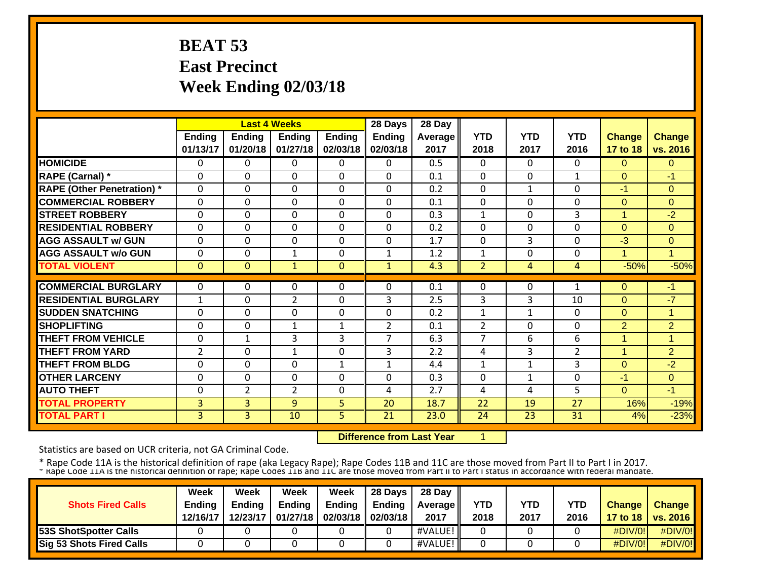# **BEAT 53 East Precinct Week Ending 02/03/18**

|                                   |                |                | <b>Last 4 Weeks</b> |               | 28 Days        | 28 Day  |                |              |                |                |                      |
|-----------------------------------|----------------|----------------|---------------------|---------------|----------------|---------|----------------|--------------|----------------|----------------|----------------------|
|                                   | <b>Ending</b>  | <b>Ending</b>  | Ending              | <b>Ending</b> | Ending         | Average | <b>YTD</b>     | <b>YTD</b>   | <b>YTD</b>     | <b>Change</b>  | <b>Change</b>        |
|                                   | 01/13/17       | 01/20/18       | 01/27/18            | 02/03/18      | 02/03/18       | 2017    | 2018           | 2017         | 2016           | 17 to 18       | vs. 2016             |
| <b>HOMICIDE</b>                   | 0              | $\Omega$       | 0                   | $\Omega$      | $\Omega$       | 0.5     | $\mathbf{0}$   | $\Omega$     | $\Omega$       | $\overline{0}$ | $\Omega$             |
| <b>RAPE (Carnal)</b> *            | $\Omega$       | 0              | $\Omega$            | $\Omega$      | $\Omega$       | 0.1     | $\mathbf{0}$   | $\Omega$     | $\mathbf{1}$   | $\Omega$       | -1                   |
| <b>RAPE (Other Penetration)</b> * | $\Omega$       | 0              | $\Omega$            | $\Omega$      | $\Omega$       | 0.2     | $\mathbf{0}$   | $\mathbf{1}$ | $\Omega$       | -1             | $\Omega$             |
| <b>COMMERCIAL ROBBERY</b>         | $\Omega$       | 0              | $\mathbf 0$         | $\mathbf 0$   | $\Omega$       | 0.1     | $\Omega$       | $\Omega$     | $\Omega$       | $\Omega$       | $\Omega$             |
| <b>STREET ROBBERY</b>             | $\Omega$       | $\Omega$       | $\mathbf 0$         | $\Omega$      | $\Omega$       | 0.3     | $\mathbf{1}$   | $\Omega$     | 3              | 1              | $-2$                 |
| <b>RESIDENTIAL ROBBERY</b>        | $\Omega$       | 0              | $\mathbf 0$         | $\Omega$      | $\Omega$       | 0.2     | $\Omega$       | $\Omega$     | $\Omega$       | $\Omega$       | $\Omega$             |
| <b>AGG ASSAULT w/ GUN</b>         | $\Omega$       | 0              | 0                   | $\Omega$      | $\Omega$       | 1.7     | $\Omega$       | 3            | 0              | $-3$           | $\mathbf 0$          |
| <b>AGG ASSAULT w/o GUN</b>        | $\Omega$       | 0              | $\mathbf{1}$        | $\Omega$      | 1              | 1.2     | $\mathbf{1}$   | $\Omega$     | $\Omega$       | 1              | -1                   |
| <b>TOTAL VIOLENT</b>              | $\mathbf{0}$   | $\Omega$       | $\mathbf{1}$        | $\mathbf{0}$  | $\mathbf{1}$   | 4.3     | $\overline{2}$ | 4            | 4              | $-50%$         | $-50%$               |
|                                   |                |                |                     |               |                |         |                |              |                |                |                      |
| <b>COMMERCIAL BURGLARY</b>        | 0              | 0              | 0                   | $\Omega$      | $\Omega$       | 0.1     | 0              | 0            | 1              | $\Omega$       | -1                   |
| <b>RESIDENTIAL BURGLARY</b>       | 1              | 0              | $\overline{2}$      | $\Omega$      | 3              | 2.5     | 3              | 3            | 10             | $\Omega$       | $-7$                 |
| <b>SUDDEN SNATCHING</b>           | $\Omega$       | 0              | $\Omega$            | $\Omega$      | $\Omega$       | 0.2     | $\mathbf{1}$   | $\mathbf{1}$ | $\Omega$       | $\Omega$       | $\blacktriangleleft$ |
| <b>SHOPLIFTING</b>                | $\Omega$       | $\Omega$       | $\mathbf{1}$        | $\mathbf{1}$  | $\overline{2}$ | 0.1     | $\overline{2}$ | $\Omega$     | $\Omega$       | 2              | $\overline{2}$       |
| <b>THEFT FROM VEHICLE</b>         | $\Omega$       | $\mathbf{1}$   | 3                   | 3             | $\overline{7}$ | 6.3     | 7              | 6            | 6              | 1              | 1                    |
| <b>THEFT FROM YARD</b>            | $\overline{2}$ | 0              | $\mathbf{1}$        | 0             | 3              | 2.2     | 4              | 3            | $\overline{2}$ | 1              | $\overline{2}$       |
| <b>THEFT FROM BLDG</b>            | $\Omega$       | 0              | $\mathbf 0$         | $\mathbf{1}$  | $\mathbf{1}$   | 4.4     | 1              | $\mathbf{1}$ | 3              | $\Omega$       | $-2$                 |
| <b>OTHER LARCENY</b>              | $\mathbf{0}$   | 0              | 0                   | $\Omega$      | $\mathbf{0}$   | 0.3     | $\Omega$       | $\mathbf{1}$ | $\Omega$       | $-1$           | $\Omega$             |
| <b>AUTO THEFT</b>                 | $\mathbf{0}$   | $\overline{2}$ | $\overline{2}$      | $\Omega$      | 4              | 2.7     | 4              | 4            | 5              | $\Omega$       | $-1$                 |
| <b>TOTAL PROPERTY</b>             | 3              | 3              | 9                   | 5             | 20             | 18.7    | 22             | 19           | 27             | 16%            | $-19%$               |
| <b>TOTAL PART I</b>               | $\overline{3}$ | 3              | 10                  | 5             | 21             | 23.0    | 24             | 23           | 31             | 4%             | $-23%$               |

 **Difference from Last Year**

1

Statistics are based on UCR criteria, not GA Criminal Code.

|                              | <b>Week</b>   | Week          | Week          | Week                       | $\parallel$ 28 Days | 28 Day            |            |      |      |               |                     |
|------------------------------|---------------|---------------|---------------|----------------------------|---------------------|-------------------|------------|------|------|---------------|---------------------|
| <b>Shots Fired Calls</b>     | <b>Ending</b> | <b>Ending</b> | <b>Ending</b> | <b>Ending</b>              | Ending              | <b>Average II</b> | <b>YTD</b> | YTD  | YTD  | <b>Change</b> | <b>Change</b>       |
|                              | 12/16/17      | 12/23/17      |               | 01/27/18 02/03/18 02/03/18 |                     | 2017              | 2018       | 2017 | 2016 |               | 17 to 18   vs. 2016 |
| <b>53S ShotSpotter Calls</b> |               |               |               |                            |                     | #VALUE!           |            |      |      | #DIV/0!       | $\#$ DIV/0!         |
| Sig 53 Shots Fired Calls     |               |               |               |                            |                     | #VALUE!           |            |      |      | #DIV/0!       | #DIV/0!             |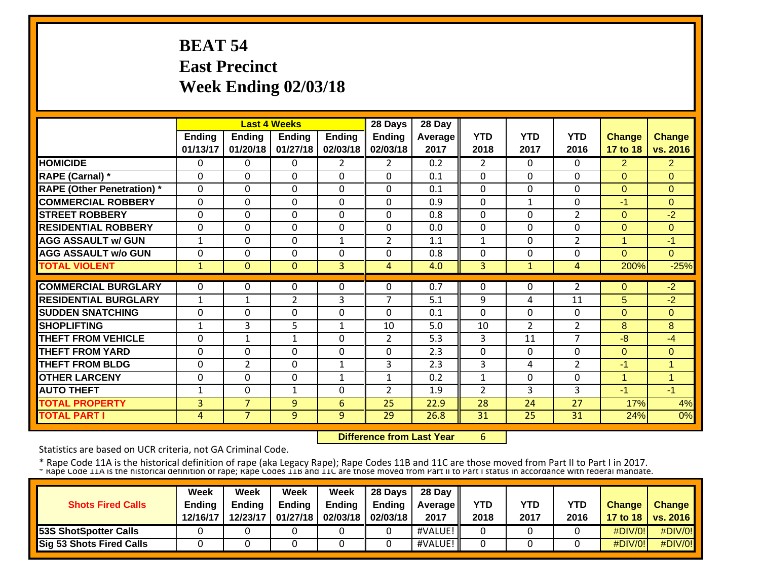# **BEAT 54 East Precinct Week Ending 02/03/18**

|                                   |               |                | <b>Last 4 Weeks</b> |               | 28 Days        | 28 Day  |                |                |                |                      |                      |
|-----------------------------------|---------------|----------------|---------------------|---------------|----------------|---------|----------------|----------------|----------------|----------------------|----------------------|
|                                   | <b>Ending</b> | <b>Ending</b>  | <b>Ending</b>       | <b>Ending</b> | <b>Ending</b>  | Average | <b>YTD</b>     | <b>YTD</b>     | <b>YTD</b>     | <b>Change</b>        | <b>Change</b>        |
|                                   | 01/13/17      | 01/20/18       | 01/27/18            | 02/03/18      | 02/03/18       | 2017    | 2018           | 2017           | 2016           | 17 to 18             | vs. 2016             |
| <b>HOMICIDE</b>                   | 0             | 0              | 0                   | 2             | $\overline{2}$ | 0.2     | $\overline{2}$ | 0              | $\Omega$       | $\overline{2}$       | $\overline{2}$       |
| RAPE (Carnal) *                   | 0             | 0              | $\Omega$            | $\Omega$      | $\Omega$       | 0.1     | $\mathbf{0}$   | $\Omega$       | $\Omega$       | $\Omega$             | $\Omega$             |
| <b>RAPE (Other Penetration)</b> * | $\Omega$      | 0              | $\mathbf 0$         | $\Omega$      | $\Omega$       | 0.1     | $\mathbf{0}$   | $\Omega$       | $\Omega$       | $\Omega$             | $\Omega$             |
| <b>COMMERCIAL ROBBERY</b>         | $\Omega$      | $\Omega$       | $\mathbf 0$         | $\Omega$      | $\Omega$       | 0.9     | $\Omega$       | 1              | $\Omega$       | -1                   | $\Omega$             |
| <b>STREET ROBBERY</b>             | $\Omega$      | $\Omega$       | $\mathbf 0$         | $\Omega$      | $\Omega$       | 0.8     | $\Omega$       | $\Omega$       | $\overline{2}$ | $\Omega$             | $-2$                 |
| <b>RESIDENTIAL ROBBERY</b>        | $\Omega$      | 0              | $\Omega$            | $\Omega$      | $\Omega$       | 0.0     | 0              | $\Omega$       | $\Omega$       | $\Omega$             | $\Omega$             |
| <b>AGG ASSAULT w/ GUN</b>         | 1             | 0              | $\Omega$            | $\mathbf{1}$  | $\overline{2}$ | 1.1     | $\mathbf{1}$   | $\Omega$       | $\overline{2}$ | 1                    | -1                   |
| <b>AGG ASSAULT w/o GUN</b>        | 0             | 0              | $\Omega$            | $\Omega$      | $\Omega$       | 0.8     | $\Omega$       | $\Omega$       | $\Omega$       | $\Omega$             | $\Omega$             |
| <b>TOTAL VIOLENT</b>              | $\mathbf 1$   | $\Omega$       | $\mathbf{0}$        | 3             | 4              | 4.0     | 3              | $\mathbf{1}$   | 4              | 200%                 | $-25%$               |
| <b>COMMERCIAL BURGLARY</b>        | 0             | 0              | 0                   | $\Omega$      | $\Omega$       | 0.7     | 0              | 0              | $\overline{2}$ | $\Omega$             | $-2$                 |
| <b>RESIDENTIAL BURGLARY</b>       | 1             | $\mathbf{1}$   | $\overline{2}$      | 3             | 7              | 5.1     | 9              | 4              | 11             | 5                    | $-2$                 |
| <b>SUDDEN SNATCHING</b>           | $\Omega$      | 0              | 0                   | $\Omega$      | $\Omega$       | 0.1     | $\Omega$       | $\Omega$       | $\Omega$       | $\Omega$             | $\Omega$             |
| <b>ISHOPLIFTING</b>               | 1             | 3              | 5                   | $\mathbf{1}$  | 10             | 5.0     | 10             | $\overline{2}$ | $\overline{2}$ | 8                    | 8                    |
| <b>THEFT FROM VEHICLE</b>         | $\Omega$      | $\mathbf{1}$   | $\mathbf{1}$        | $\Omega$      | $\overline{2}$ | 5.3     | 3              | 11             | $\overline{7}$ | $-8$                 | $-4$                 |
| <b>THEFT FROM YARD</b>            | $\Omega$      | 0              | $\Omega$            | $\Omega$      | $\Omega$       | 2.3     | $\mathbf{0}$   | $\Omega$       | $\Omega$       | $\Omega$             | $\Omega$             |
| <b>THEFT FROM BLDG</b>            | $\Omega$      | 2              | $\mathbf 0$         | $\mathbf{1}$  | 3              | 2.3     | 3              | 4              | $\overline{2}$ | $-1$                 | $\overline{ }$       |
| <b>OTHER LARCENY</b>              | $\Omega$      | 0              | $\Omega$            | $\mathbf{1}$  | $\mathbf{1}$   | 0.2     | $\mathbf{1}$   | $\Omega$       | $\Omega$       | $\blacktriangleleft$ | $\blacktriangleleft$ |
| <b>AUTO THEFT</b>                 | 1             | $\mathbf 0$    | $\mathbf{1}$        | 0             | $\overline{2}$ | 1.9     | $\overline{2}$ | 3              | 3              | $-1$                 | $-1$                 |
| <b>TOTAL PROPERTY</b>             | 3             | $\overline{7}$ | 9                   | 6             | 25             | 22.9    | 28             | 24             | 27             | 17%                  | 4%                   |
| <b>TOTAL PART I</b>               | 4             | $\overline{7}$ | 9                   | 9             | 29             | 26.8    | 31             | 25             | 31             | 24%                  | 0%                   |

 **Difference from Last Year**6

Statistics are based on UCR criteria, not GA Criminal Code.

|                                 | Week          | Week          | Week          | Week                       | <b>28 Davs</b> | 28 Day            |      |      |            |               |                     |
|---------------------------------|---------------|---------------|---------------|----------------------------|----------------|-------------------|------|------|------------|---------------|---------------------|
| <b>Shots Fired Calls</b>        | <b>Ending</b> | <b>Ending</b> | <b>Ending</b> | <b>Ending</b>              | Endina         | <b>Average II</b> | YTD  | YTD  | <b>YTD</b> | <b>Change</b> | <b>Change</b>       |
|                                 | 12/16/17      | 12/23/17      |               | 01/27/18 02/03/18 02/03/18 |                | 2017              | 2018 | 2017 | 2016       |               | 17 to 18   vs. 2016 |
| <b>53S ShotSpotter Calls</b>    |               |               |               |                            |                | #VALUE!           |      |      |            | $\#$ DIV/0!   | #DIV/0!             |
| <b>Sig 53 Shots Fired Calls</b> |               |               |               |                            |                | #VALUE!           |      |      |            | $\#$ DIV/0!   | $\#$ DIV/0!         |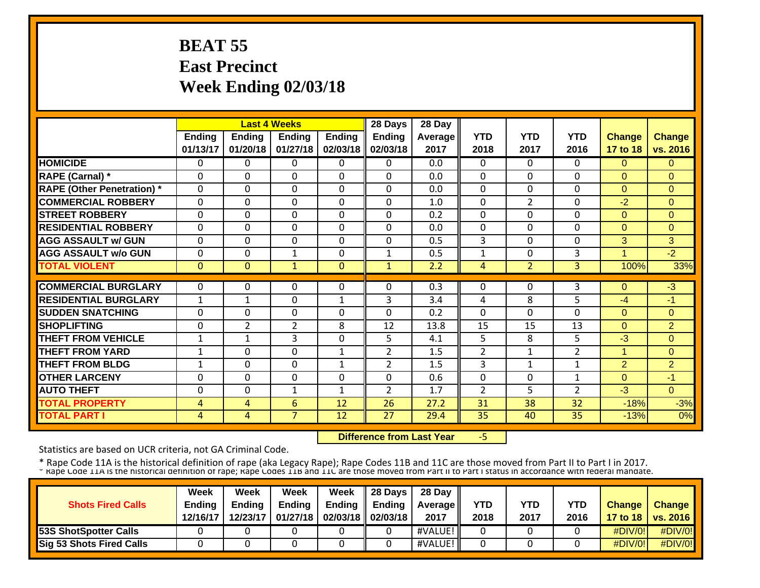## **BEAT 55 East Precinct Week Ending 02/03/18**

|                                   |               | <b>Last 4 Weeks</b> |                |               | 28 Days        | 28 Day  |                |                |                |                |                |
|-----------------------------------|---------------|---------------------|----------------|---------------|----------------|---------|----------------|----------------|----------------|----------------|----------------|
|                                   | <b>Ending</b> | <b>Ending</b>       | <b>Ending</b>  | <b>Ending</b> | <b>Ending</b>  | Average | <b>YTD</b>     | <b>YTD</b>     | <b>YTD</b>     | <b>Change</b>  | <b>Change</b>  |
|                                   | 01/13/17      | 01/20/18            | 01/27/18       | 02/03/18      | 02/03/18       | 2017    | 2018           | 2017           | 2016           | 17 to 18       | vs. 2016       |
| <b>HOMICIDE</b>                   | 0             | $\Omega$            | 0              | 0             | $\Omega$       | 0.0     | 0              | 0              | $\Omega$       | $\Omega$       | $\Omega$       |
| <b>RAPE (Carnal)</b> *            | $\Omega$      | 0                   | $\Omega$       | $\Omega$      | $\Omega$       | 0.0     | $\mathbf{0}$   | $\Omega$       | $\Omega$       | $\Omega$       | $\Omega$       |
| <b>RAPE (Other Penetration)</b> * | $\Omega$      | 0                   | $\Omega$       | $\Omega$      | $\Omega$       | 0.0     | $\mathbf{0}$   | $\Omega$       | $\Omega$       | $\Omega$       | $\Omega$       |
| <b>COMMERCIAL ROBBERY</b>         | $\Omega$      | 0                   | $\Omega$       | $\Omega$      | $\Omega$       | 1.0     | $\mathbf{0}$   | $\overline{2}$ | $\Omega$       | $-2$           | $\Omega$       |
| <b>STREET ROBBERY</b>             | $\Omega$      | 0                   | $\Omega$       | $\Omega$      | $\Omega$       | 0.2     | $\Omega$       | 0              | $\Omega$       | $\Omega$       | $\Omega$       |
| <b>RESIDENTIAL ROBBERY</b>        | $\Omega$      | 0                   | $\Omega$       | $\Omega$      | $\Omega$       | 0.0     | $\mathbf{0}$   | $\Omega$       | $\Omega$       | $\Omega$       | $\Omega$       |
| <b>AGG ASSAULT w/ GUN</b>         | $\Omega$      | 0                   | $\mathbf{0}$   | $\mathbf 0$   | $\Omega$       | 0.5     | 3              | $\Omega$       | $\Omega$       | 3              | 3              |
| <b>AGG ASSAULT w/o GUN</b>        | $\Omega$      | 0                   | $\mathbf{1}$   | $\Omega$      | 1              | 0.5     | $\mathbf{1}$   | $\Omega$       | 3              | 4              | $-2$           |
| <b>TOTAL VIOLENT</b>              | $\mathbf{0}$  | $\Omega$            | $\mathbf{1}$   | $\mathbf{0}$  | $\mathbf{1}$   | 2.2     | 4              | $\overline{2}$ | 3              | 100%           | 33%            |
|                                   |               |                     |                |               |                |         |                |                |                |                |                |
| <b>COMMERCIAL BURGLARY</b>        | 0             | 0                   | 0              | $\Omega$      | $\Omega$       | 0.3     | $\Omega$       | 0              | 3              | 0              | $-3$           |
| <b>RESIDENTIAL BURGLARY</b>       | 1             | $\mathbf{1}$        | $\Omega$       | $\mathbf{1}$  | 3              | 3.4     | 4              | 8              | 5              | $-4$           | -1             |
| <b>SUDDEN SNATCHING</b>           | $\Omega$      | 0                   | 0              | $\Omega$      | $\Omega$       | 0.2     | $\Omega$       | $\Omega$       | $\Omega$       | $\Omega$       | $\Omega$       |
| <b>SHOPLIFTING</b>                | $\Omega$      | $\overline{2}$      | $\overline{2}$ | 8             | 12             | 13.8    | 15             | 15             | 13             | $\Omega$       | $\overline{2}$ |
| <b>THEFT FROM VEHICLE</b>         | 1             | $\mathbf{1}$        | 3              | $\Omega$      | 5.             | 4.1     | 5              | 8              | 5              | $-3$           | $\Omega$       |
| <b>THEFT FROM YARD</b>            | 1             | $\Omega$            | $\mathbf{0}$   | $\mathbf{1}$  | $\overline{2}$ | 1.5     | 2              | $\mathbf 1$    | $\overline{2}$ | 1              | $\Omega$       |
| <b>THEFT FROM BLDG</b>            | $\mathbf{1}$  | 0                   | $\mathbf{0}$   | $\mathbf{1}$  | $\overline{2}$ | 1.5     | 3              | 1              | $\mathbf{1}$   | $\overline{2}$ | $\overline{2}$ |
| <b>OTHER LARCENY</b>              | $\Omega$      | $\Omega$            | $\mathbf{0}$   | $\mathbf 0$   | $\Omega$       | 0.6     | $\Omega$       | $\Omega$       | $\mathbf{1}$   | $\Omega$       | $-1$           |
| <b>AUTO THEFT</b>                 | $\Omega$      | $\Omega$            | $\mathbf{1}$   | $\mathbf{1}$  | $\overline{2}$ | 1.7     | $\overline{2}$ | 5              | $\overline{2}$ | $-3$           | $\Omega$       |
| <b>TOTAL PROPERTY</b>             | 4             | 4                   | 6              | 12            | 26             | 27.2    | 31             | 38             | 32             | $-18%$         | $-3%$          |
| <b>TOTAL PART I</b>               | 4             | $\overline{4}$      | $\overline{7}$ | 12            | 27             | 29.4    | 35             | 40             | 35             | $-13%$         | 0%             |

 **Difference from Last Year**‐5

Statistics are based on UCR criteria, not GA Criminal Code.

|                              | Week          | Week          | Week          | Week                         | $\parallel$ 28 Days | 28 Day            |      |      |      |               |                     |
|------------------------------|---------------|---------------|---------------|------------------------------|---------------------|-------------------|------|------|------|---------------|---------------------|
| <b>Shots Fired Calls</b>     | <b>Ending</b> | <b>Ending</b> | <b>Ending</b> | Ending                       | Endina              | <b>Average II</b> | YTD  | YTD  | YTD  | <b>Change</b> | <b>Change</b>       |
|                              | 12/16/17      | 12/23/17      |               | $01/27/18$ 02/03/18 02/03/18 |                     | 2017              | 2018 | 2017 | 2016 |               | 17 to 18   vs. 2016 |
| <b>53S ShotSpotter Calls</b> |               |               |               |                              |                     | #VALUE!           |      |      |      | #DIV/0!       | $\#$ DIV/0!         |
| Sig 53 Shots Fired Calls     |               |               |               |                              |                     | #VALUE!           |      |      |      | #DIV/0!       | #DIV/0!             |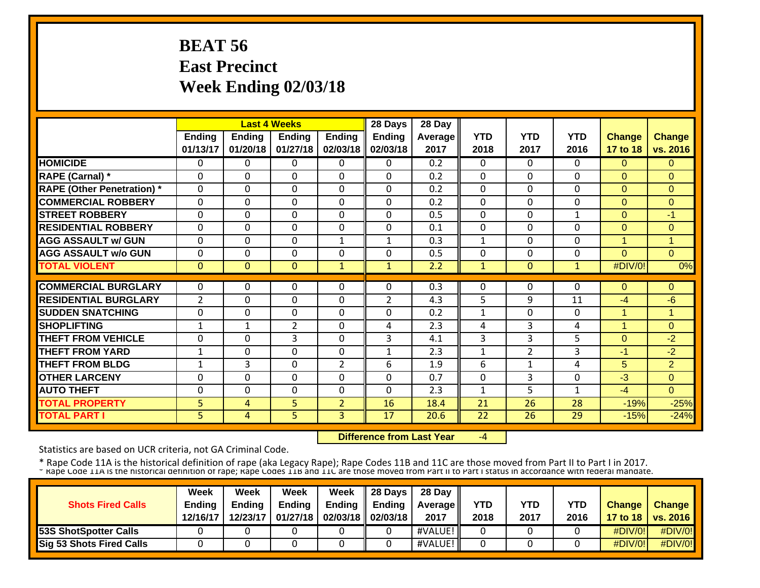# **BEAT 56 East Precinct Week Ending 02/03/18**

|                                   |               | <b>Last 4 Weeks</b> |              |                | 28 Days        | 28 Day  |              |                |              |               |                      |
|-----------------------------------|---------------|---------------------|--------------|----------------|----------------|---------|--------------|----------------|--------------|---------------|----------------------|
|                                   | <b>Ending</b> | <b>Ending</b>       | Ending       | <b>Ending</b>  | <b>Ending</b>  | Average | <b>YTD</b>   | <b>YTD</b>     | <b>YTD</b>   | <b>Change</b> | <b>Change</b>        |
|                                   | 01/13/17      | 01/20/18            | 01/27/18     | 02/03/18       | 02/03/18       | 2017    | 2018         | 2017           | 2016         | 17 to 18      | vs. 2016             |
| <b>HOMICIDE</b>                   | 0             | 0                   | 0            | $\Omega$       | $\Omega$       | 0.2     | $\mathbf{0}$ | 0              | $\Omega$     | $\Omega$      | $\Omega$             |
| RAPE (Carnal) *                   | 0             | 0                   | $\Omega$     | $\Omega$       | $\Omega$       | 0.2     | $\mathbf{0}$ | $\Omega$       | $\Omega$     | $\Omega$      | $\Omega$             |
| <b>RAPE (Other Penetration)</b> * | $\Omega$      | $\Omega$            | $\mathbf 0$  | $\Omega$       | $\Omega$       | 0.2     | $\mathbf{0}$ | $\Omega$       | $\Omega$     | $\Omega$      | $\Omega$             |
| <b>COMMERCIAL ROBBERY</b>         | $\Omega$      | $\Omega$            | $\mathbf 0$  | $\Omega$       | $\Omega$       | 0.2     | $\Omega$     | $\Omega$       | $\Omega$     | $\Omega$      | $\Omega$             |
| <b>STREET ROBBERY</b>             | $\Omega$      | $\Omega$            | $\mathbf 0$  | $\Omega$       | $\Omega$       | 0.5     | $\Omega$     | $\Omega$       | $\mathbf{1}$ | $\Omega$      | -1                   |
| <b>RESIDENTIAL ROBBERY</b>        | $\Omega$      | 0                   | $\Omega$     | $\Omega$       | $\Omega$       | 0.1     | 0            | $\Omega$       | $\Omega$     | $\Omega$      | $\Omega$             |
| <b>AGG ASSAULT w/ GUN</b>         | $\Omega$      | 0                   | $\Omega$     | $\mathbf{1}$   | $\mathbf{1}$   | 0.3     | $\mathbf{1}$ | $\Omega$       | $\Omega$     | 1             | 1                    |
| <b>AGG ASSAULT w/o GUN</b>        | 0             | 0                   | $\Omega$     | $\Omega$       | $\Omega$       | 0.5     | $\Omega$     | $\Omega$       | 0            | $\Omega$      | $\Omega$             |
| <b>TOTAL VIOLENT</b>              | $\mathbf{0}$  | $\Omega$            | $\mathbf{0}$ | $\mathbf{1}$   | $\mathbf{1}$   | 2.2     | $\mathbf{1}$ | $\mathbf{0}$   | $\mathbf{1}$ | #DIV/0!       | 0%                   |
|                                   |               |                     |              |                |                |         |              |                |              |               |                      |
| <b>COMMERCIAL BURGLARY</b>        | 0             | 0                   | $\Omega$     | $\Omega$       | $\Omega$       | 0.3     | $\Omega$     | 0              | 0            | $\Omega$      | $\Omega$             |
| <b>RESIDENTIAL BURGLARY</b>       | 2             | 0                   | 0            | $\Omega$       | $\overline{2}$ | 4.3     | 5            | 9              | 11           | $-4$          | $-6$                 |
| <b>SUDDEN SNATCHING</b>           | $\Omega$      | 0                   | 0            | $\Omega$       | $\Omega$       | 0.2     | $\mathbf{1}$ | $\Omega$       | $\Omega$     | 1             | $\blacktriangleleft$ |
| <b>ISHOPLIFTING</b>               | 1             | $\mathbf{1}$        | 2            | $\Omega$       | 4              | 2.3     | 4            | 3              | 4            | 1             | $\Omega$             |
| <b>THEFT FROM VEHICLE</b>         | $\Omega$      | 0                   | 3            | $\Omega$       | 3              | 4.1     | 3            | 3              | 5            | $\Omega$      | $-2$                 |
| <b>THEFT FROM YARD</b>            | $\mathbf{1}$  | 0                   | $\Omega$     | $\Omega$       | $\mathbf{1}$   | 2.3     | $\mathbf{1}$ | $\overline{2}$ | 3            | $-1$          | $-2$                 |
| <b>THEFT FROM BLDG</b>            | $\mathbf{1}$  | 3                   | $\mathbf 0$  | $\overline{2}$ | 6              | 1.9     | 6            | $\mathbf{1}$   | 4            | 5             | $\overline{2}$       |
| <b>OTHER LARCENY</b>              | $\Omega$      | 0                   | $\Omega$     | $\Omega$       | $\Omega$       | 0.7     | $\mathbf{0}$ | 3              | $\Omega$     | $-3$          | $\Omega$             |
| <b>AUTO THEFT</b>                 | 0             | $\mathbf 0$         | $\mathbf 0$  | 0              | $\Omega$       | 2.3     | $\mathbf{1}$ | 5              | $\mathbf{1}$ | $-4$          | $\Omega$             |
| <b>TOTAL PROPERTY</b>             | 5             | 4                   | 5            | $\overline{2}$ | 16             | 18.4    | 21           | 26             | 28           | $-19%$        | $-25%$               |
| <b>TOTAL PART I</b>               | 5             | 4                   | 5            | 3              | 17             | 20.6    | 22           | 26             | 29           | $-15%$        | $-24%$               |

 **Difference from Last Year**‐4

Statistics are based on UCR criteria, not GA Criminal Code.

|                              | Week          | Week          | Week          | Week                         | $\parallel$ 28 Days | 28 Day            |      |      |      |               |                     |
|------------------------------|---------------|---------------|---------------|------------------------------|---------------------|-------------------|------|------|------|---------------|---------------------|
| <b>Shots Fired Calls</b>     | <b>Ending</b> | <b>Ending</b> | <b>Ending</b> | Ending                       | Endina              | <b>Average II</b> | YTD  | YTD  | YTD  | <b>Change</b> | <b>Change</b>       |
|                              | 12/16/17      | 12/23/17      |               | $01/27/18$ 02/03/18 02/03/18 |                     | 2017              | 2018 | 2017 | 2016 |               | 17 to 18   vs. 2016 |
| <b>53S ShotSpotter Calls</b> |               |               |               |                              |                     | #VALUE!           |      |      |      | #DIV/0!       | $\#$ DIV/0!         |
| Sig 53 Shots Fired Calls     |               |               |               |                              |                     | #VALUE!           |      |      |      | #DIV/0!       | #DIV/0!             |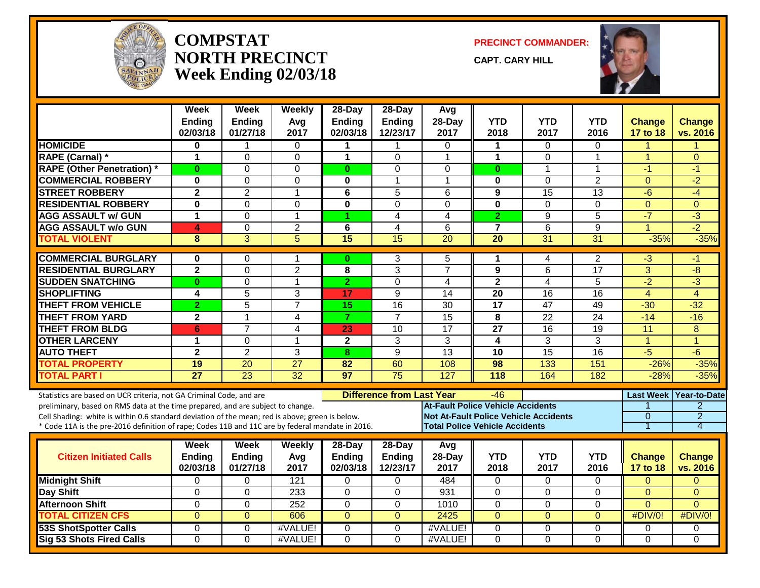

#### **COMPSTATNORTH PRECINCTWeek Ending 02/03/18**

**PRECINCT COMMANDER:**

**CAPT. CARY HILL**



|                                                                                                                                                                                                                                                                                                                                                               | Week<br><b>Ending</b><br>02/03/18 | Week<br><b>Ending</b><br>01/27/18 | Weekly<br>Avg<br>2017 | $28$ -Day<br>Ending<br>02/03/18 | $28-Day$<br><b>Ending</b><br>12/23/17 | Avg<br>28-Day<br>2017                                                             | <b>YTD</b><br>2018 | <b>YTD</b><br>2017                           | <b>YTD</b><br>2016 | <b>Change</b><br>17 to 18               | <b>Change</b><br>vs. 2016                             |
|---------------------------------------------------------------------------------------------------------------------------------------------------------------------------------------------------------------------------------------------------------------------------------------------------------------------------------------------------------------|-----------------------------------|-----------------------------------|-----------------------|---------------------------------|---------------------------------------|-----------------------------------------------------------------------------------|--------------------|----------------------------------------------|--------------------|-----------------------------------------|-------------------------------------------------------|
| <b>HOMICIDE</b>                                                                                                                                                                                                                                                                                                                                               | $\bf{0}$                          |                                   | 0                     | 1                               | 1                                     | $\Omega$                                                                          | $\mathbf 1$        | $\Omega$                                     | 0                  | 1                                       |                                                       |
| RAPE (Carnal) *                                                                                                                                                                                                                                                                                                                                               | 1                                 | $\mathbf 0$                       | $\Omega$              | 1                               | $\Omega$                              | 1                                                                                 | $\mathbf{1}$       | $\Omega$                                     | $\mathbf{1}$       | $\mathbf{1}$                            | $\Omega$                                              |
| <b>RAPE (Other Penetration) *</b>                                                                                                                                                                                                                                                                                                                             | $\bf{0}$                          | $\Omega$                          | 0                     | $\mathbf{0}$                    | $\Omega$                              | $\Omega$                                                                          | $\bf{0}$           | $\mathbf{1}$                                 | $\mathbf{1}$       | $-1$                                    | $-1$                                                  |
| <b>COMMERCIAL ROBBERY</b>                                                                                                                                                                                                                                                                                                                                     | $\bf{0}$                          | 0                                 | 0                     | 0                               | $\mathbf{1}$                          | 1                                                                                 | 0                  | $\Omega$                                     | $\overline{2}$     | $\Omega$                                | $-2$                                                  |
| <b>STREET ROBBERY</b>                                                                                                                                                                                                                                                                                                                                         | $\overline{2}$                    | $\overline{2}$                    | $\mathbf{1}$          | 6                               | 5                                     | 6                                                                                 | 9                  | 15                                           | $\overline{13}$    | $-6$                                    | $-4$                                                  |
| <b>RESIDENTIAL ROBBERY</b>                                                                                                                                                                                                                                                                                                                                    | $\bf{0}$                          | $\Omega$                          | $\Omega$              | $\bf{0}$                        | $\Omega$                              | $\Omega$                                                                          | $\mathbf 0$        | $\Omega$                                     | $\Omega$           | $\Omega$                                | $\Omega$                                              |
| <b>AGG ASSAULT w/ GUN</b>                                                                                                                                                                                                                                                                                                                                     | $\mathbf{1}$                      | $\Omega$                          | 1                     |                                 | 4                                     | 4                                                                                 | $\overline{2}$     | 9                                            | 5                  | $-7$                                    | $\overline{\cdot}$                                    |
| <b>AGG ASSAULT w/o GUN</b>                                                                                                                                                                                                                                                                                                                                    | 4                                 | $\mathbf 0$                       | $\overline{2}$        | 6                               | 4                                     | 6                                                                                 | $\overline{7}$     | 6                                            | 9                  | $\overline{1}$                          | $-2$                                                  |
| <b>TOTAL VIOLENT</b>                                                                                                                                                                                                                                                                                                                                          | 8                                 | $\overline{3}$                    | $\overline{5}$        | 15                              | 15                                    | $\overline{20}$                                                                   | $\overline{20}$    | $\overline{31}$                              | 31                 | $-35%$                                  | $-35%$                                                |
| <b>COMMERCIAL BURGLARY</b>                                                                                                                                                                                                                                                                                                                                    | $\bf{0}$                          | $\Omega$                          | 1                     | $\bf{0}$                        | 3                                     | 5                                                                                 | 1                  | 4                                            | $\overline{c}$     | $-3$                                    | -1                                                    |
| <b>RESIDENTIAL BURGLARY</b>                                                                                                                                                                                                                                                                                                                                   | $\overline{2}$                    | $\overline{0}$                    | $\overline{2}$        | 8                               | 3                                     | $\overline{7}$                                                                    | $\overline{9}$     | 6                                            | $\overline{17}$    | $\overline{3}$                          | $-8$                                                  |
| <b>SUDDEN SNATCHING</b>                                                                                                                                                                                                                                                                                                                                       | $\bf{0}$                          | $\mathbf 0$                       | 1                     | $\overline{2}$                  | $\Omega$                              | $\overline{4}$                                                                    | $\mathbf{2}$       | 4                                            | 5                  | $\overline{-2}$                         | $\overline{\cdot}$                                    |
| <b>SHOPLIFTING</b>                                                                                                                                                                                                                                                                                                                                            | 4                                 | 5                                 | 3                     | 17                              | 9                                     | 14                                                                                | 20                 | 16                                           | 16                 | $\overline{4}$                          | $\overline{4}$                                        |
| <b>THEFT FROM VEHICLE</b>                                                                                                                                                                                                                                                                                                                                     | $\overline{2}$                    | $\overline{5}$                    | $\overline{7}$        | $\overline{15}$                 | $\overline{16}$                       | $\overline{30}$                                                                   | $\overline{17}$    | 47                                           | 49                 | $-30$                                   | $-32$                                                 |
| <b>THEFT FROM YARD</b>                                                                                                                                                                                                                                                                                                                                        | $\mathbf{2}$                      | 1                                 | 4                     | $\overline{7}$                  | $\overline{7}$                        | $\overline{15}$                                                                   | 8                  | $\overline{22}$                              | $\overline{24}$    | $-14$                                   | $-16$                                                 |
| <b>THEFT FROM BLDG</b>                                                                                                                                                                                                                                                                                                                                        | 6                                 | $\overline{7}$                    | 4                     | 23                              | 10                                    | $\overline{17}$                                                                   | $\overline{27}$    | 16                                           | 19                 | 11                                      | 8                                                     |
| <b>OTHER LARCENY</b>                                                                                                                                                                                                                                                                                                                                          | $\mathbf 1$                       | 0                                 | 1                     | $\mathbf{2}$                    | 3                                     | 3                                                                                 | 4                  | 3                                            | $\overline{3}$     | $\blacktriangleleft$                    | $\overline{1}$                                        |
| <b>AUTO THEFT</b>                                                                                                                                                                                                                                                                                                                                             | $\overline{2}$                    | $\overline{2}$                    | 3                     | 8                               | $\overline{9}$                        | 13                                                                                | 10                 | 15                                           | $\overline{16}$    | $-5$                                    | $-6$                                                  |
| <b>TOTAL PROPERTY</b>                                                                                                                                                                                                                                                                                                                                         | 19                                | $\overline{20}$                   | $\overline{27}$       | 82                              | 60                                    | 108                                                                               | 98                 | 133                                          | 151                | $-26%$                                  | $-35%$                                                |
| <b>TOTAL PART I</b>                                                                                                                                                                                                                                                                                                                                           | $\overline{27}$                   | $\overline{23}$                   | 32                    | 97                              | $\overline{75}$                       | 127                                                                               | 118                | 164                                          | 182                | $-28%$                                  | $-35%$                                                |
| Statistics are based on UCR criteria, not GA Criminal Code, and are<br>preliminary, based on RMS data at the time prepared, and are subject to change.<br>Cell Shading: white is within 0.6 standard deviation of the mean; red is above; green is below.<br>* Code 11A is the pre-2016 definition of rape; Codes 11B and 11C are by federal mandate in 2016. |                                   |                                   |                       |                                 | <b>Difference from Last Year</b>      | <b>At-Fault Police Vehicle Accidents</b><br><b>Total Police Vehicle Accidents</b> | -46                | <b>Not At-Fault Police Vehicle Accidents</b> |                    | <b>Last Week</b><br>$\overline{0}$<br>1 | Year-to-Date<br>$\overline{2}$<br>$\overline{2}$<br>4 |
|                                                                                                                                                                                                                                                                                                                                                               | Week                              | Week                              | Weekly                | $28$ -Day                       | 28-Day                                | Avg                                                                               |                    |                                              |                    |                                         |                                                       |
| <b>Citizen Initiated Calls</b>                                                                                                                                                                                                                                                                                                                                | <b>Ending</b><br>02/03/18         | <b>Ending</b><br>01/27/18         | Avg<br>2017           | <b>Ending</b><br>02/03/18       | <b>Ending</b><br>12/23/17             | 28-Day<br>2017                                                                    | <b>YTD</b><br>2018 | <b>YTD</b><br>2017                           | <b>YTD</b><br>2016 | <b>Change</b><br>17 to 18               | <b>Change</b><br>vs. 2016                             |
| <b>Midnight Shift</b>                                                                                                                                                                                                                                                                                                                                         | $\Omega$                          | $\Omega$                          | 121                   | $\Omega$                        | $\Omega$                              | 484                                                                               | $\Omega$           | $\Omega$                                     | 0                  | $\Omega$                                | $\mathbf{0}$                                          |
| Day Shift                                                                                                                                                                                                                                                                                                                                                     | $\Omega$                          | $\Omega$                          | 233                   | $\Omega$                        | $\Omega$                              | 931                                                                               | $\Omega$           | $\Omega$                                     | $\Omega$           | $\Omega$                                | $\Omega$                                              |
| <b>Afternoon Shift</b>                                                                                                                                                                                                                                                                                                                                        | 0                                 | 0                                 | 252                   | $\Omega$                        | 0                                     | 1010                                                                              | 0                  | $\Omega$                                     | 0                  | $\Omega$                                | $\Omega$                                              |
| <b>TOTAL CITIZEN CFS</b>                                                                                                                                                                                                                                                                                                                                      | $\overline{0}$                    | $\overline{0}$                    | 606                   | $\Omega$                        | $\overline{0}$                        | 2425                                                                              | $\overline{0}$     | $\overline{0}$                               | $\Omega$           | #DIV/0!                                 | #DIV/0!                                               |
| <b>53S ShotSpotter Calls</b>                                                                                                                                                                                                                                                                                                                                  | 0                                 | 0                                 | #VALUE!               | $\Omega$                        | 0                                     | #VALUE!                                                                           | 0                  | $\Omega$                                     | 0                  | 0                                       | $\mathbf{0}$                                          |
| <b>Sig 53 Shots Fired Calls</b>                                                                                                                                                                                                                                                                                                                               | $\Omega$                          | $\Omega$                          | #VALUE!               | $\Omega$                        | $\Omega$                              | #VALUE!                                                                           | $\mathbf 0$        | $\Omega$                                     | $\Omega$           | $\Omega$                                | $\Omega$                                              |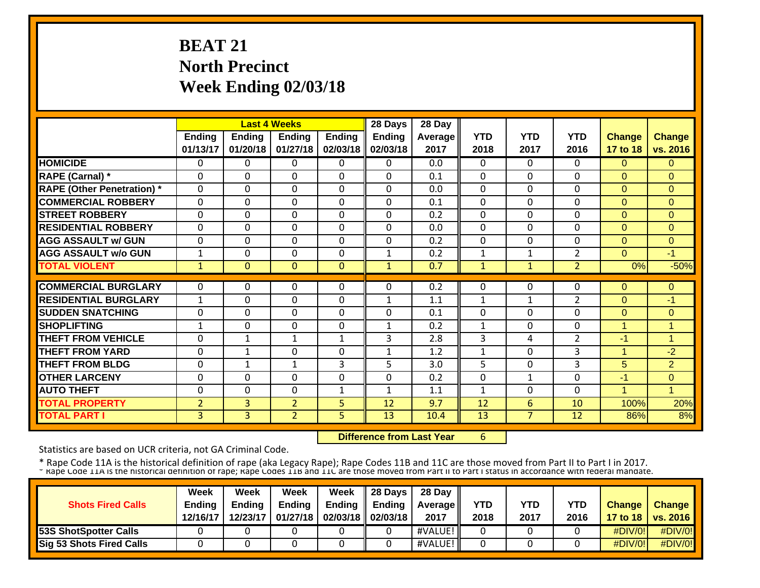# **BEAT 21 North Precinct Week Ending 02/03/18**

|                                   |                |              | <b>Last 4 Weeks</b> |               | 28 Days       | 28 Day  |              |                |                |                |                |
|-----------------------------------|----------------|--------------|---------------------|---------------|---------------|---------|--------------|----------------|----------------|----------------|----------------|
|                                   | <b>Ending</b>  | Ending       | Ending              | <b>Ending</b> | <b>Ending</b> | Average | <b>YTD</b>   | <b>YTD</b>     | <b>YTD</b>     | <b>Change</b>  | <b>Change</b>  |
|                                   | 01/13/17       | 01/20/18     | 01/27/18            | 02/03/18      | 02/03/18      | 2017    | 2018         | 2017           | 2016           | 17 to 18       | vs. 2016       |
| <b>HOMICIDE</b>                   | 0              | 0            | 0                   | 0             | $\mathbf{0}$  | 0.0     | $\Omega$     | $\Omega$       | 0              | $\Omega$       | $\Omega$       |
| <b>RAPE (Carnal)</b> *            | 0              | $\Omega$     | 0                   | 0             | $\Omega$      | 0.1     | $\mathbf{0}$ | 0              | $\Omega$       | $\Omega$       | $\Omega$       |
| <b>RAPE (Other Penetration)</b> * | 0              | $\Omega$     | 0                   | 0             | $\mathbf 0$   | 0.0     | $\mathbf 0$  | 0              | $\Omega$       | $\Omega$       | $\overline{0}$ |
| <b>COMMERCIAL ROBBERY</b>         | 0              | $\Omega$     | 0                   | 0             | $\Omega$      | 0.1     | $\mathbf{0}$ | 0              | $\Omega$       | $\Omega$       | $\Omega$       |
| <b>STREET ROBBERY</b>             | 0              | $\Omega$     | 0                   | 0             | $\Omega$      | 0.2     | $\mathbf{0}$ | 0              | 0              | $\Omega$       | $\Omega$       |
| <b>RESIDENTIAL ROBBERY</b>        | 0              | $\Omega$     | 0                   | 0             | $\mathbf 0$   | 0.0     | $\mathbf{0}$ | 0              | $\Omega$       | $\Omega$       | $\overline{0}$ |
| <b>AGG ASSAULT w/ GUN</b>         | 0              | $\Omega$     | 0                   | 0             | $\Omega$      | 0.2     | $\mathbf{0}$ | $\Omega$       | $\Omega$       | $\Omega$       | $\overline{0}$ |
| <b>AGG ASSAULT w/o GUN</b>        | $\mathbf{1}$   | $\Omega$     | 0                   | 0             | 1             | 0.2     | 1            | 1              | $\overline{2}$ | $\Omega$       | $-1$           |
| <b>TOTAL VIOLENT</b>              | 1              | $\Omega$     | $\mathbf{0}$        | $\mathbf{0}$  | $\mathbf{1}$  | 0.7     | $\mathbf{1}$ | $\mathbf{1}$   | $\overline{2}$ | 0%             | $-50%$         |
|                                   |                |              |                     |               |               |         |              |                |                |                |                |
| <b>COMMERCIAL BURGLARY</b>        | $\Omega$       | 0            | 0                   | 0             | $\Omega$      | 0.2     | $\Omega$     | 0              | 0              | $\Omega$       | 0              |
| <b>RESIDENTIAL BURGLARY</b>       | 1              | $\Omega$     | 0                   | 0             | $\mathbf 1$   | 1.1     | $\mathbf{1}$ | 1              | $\overline{2}$ | $\Omega$       | $-1$           |
| <b>ISUDDEN SNATCHING</b>          | $\Omega$       | $\Omega$     | 0                   | 0             | $\Omega$      | 0.1     | $\Omega$     | $\Omega$       | $\Omega$       | $\Omega$       | $\Omega$       |
| <b>ISHOPLIFTING</b>               | $\mathbf 1$    | $\Omega$     | 0                   | 0             | $\mathbf{1}$  | 0.2     | $\mathbf{1}$ | $\Omega$       | $\Omega$       | $\overline{1}$ | 1              |
| <b>THEFT FROM VEHICLE</b>         | 0              | $\mathbf{1}$ | $\mathbf{1}$        | $\mathbf{1}$  | 3             | 2.8     | 3            | 4              | $\overline{2}$ | $-1$           | $\mathbf{1}$   |
| <b>THEFT FROM YARD</b>            | $\Omega$       | $\mathbf{1}$ | 0                   | 0             | $\mathbf{1}$  | 1.2     | 1            | $\Omega$       | 3              | 1              | $-2$           |
| <b>THEFT FROM BLDG</b>            | 0              | $\mathbf{1}$ | $\mathbf{1}$        | 3             | 5.            | 3.0     | 5            | $\Omega$       | 3              | 5              | $\overline{2}$ |
| <b>OTHER LARCENY</b>              | 0              | $\Omega$     | 0                   | 0             | $\Omega$      | 0.2     | $\mathbf{0}$ | 1              | $\Omega$       | $-1$           | $\mathbf{0}$   |
| <b>AUTO THEFT</b>                 | 0              | $\Omega$     | 0                   | $\mathbf{1}$  | $\mathbf{1}$  | 1.1     | $\mathbf{1}$ | 0              | $\Omega$       | $\overline{1}$ | $\overline{1}$ |
| <b>TOTAL PROPERTY</b>             | $\overline{2}$ | 3            | $\overline{2}$      | 5             | 12            | 9.7     | 12           | 6              | 10             | 100%           | 20%            |
| <b>TOTAL PART I</b>               | $\overline{3}$ | 3            | $\overline{2}$      | 5             | 13            | 10.4    | 13           | $\overline{7}$ | 12             | 86%            | 8%             |

 **Difference from Last Year**6

Statistics are based on UCR criteria, not GA Criminal Code.

|                              | Week          | Week          | <b>Week</b>   | Week          | 28 Days           | 28 Day     |      |      |      |                  |                 |
|------------------------------|---------------|---------------|---------------|---------------|-------------------|------------|------|------|------|------------------|-----------------|
| <b>Shots Fired Calls</b>     | <b>Ending</b> | <b>Ending</b> | <b>Ending</b> | <b>Ending</b> | Endina            | Average II | YTD  | YTD  | YTD  | <b>Change</b>    | <b>Change</b>   |
|                              | 12/16/17      | 12/23/17      | 01/27/18      |               | 02/03/18 02/03/18 | 2017       | 2018 | 2017 | 2016 | 17 to 18 $\vert$ | <b>vs. 2016</b> |
| <b>53S ShotSpotter Calls</b> |               |               |               |               |                   | #VALUE!    |      |      |      | #DIV/0!          | $\#$ DIV/0!     |
| Sig 53 Shots Fired Calls     |               |               |               |               |                   | #VALUE!    |      |      |      | #DIV/0!          | #DIV/0!         |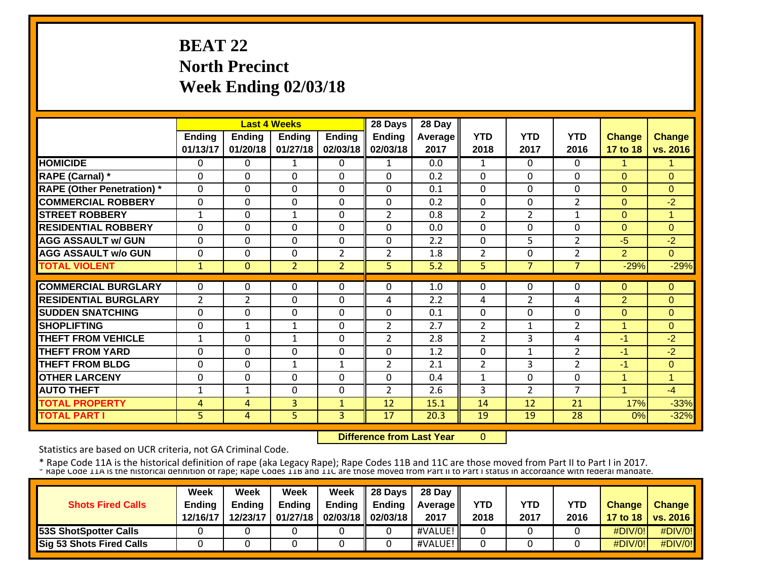# **BEAT 22 North Precinct Week Ending 02/03/18**

|                                   |                |                | <b>Last 4 Weeks</b> |                | 28 Days        | 28 Day  |                |                |                |                |                |
|-----------------------------------|----------------|----------------|---------------------|----------------|----------------|---------|----------------|----------------|----------------|----------------|----------------|
|                                   | <b>Ending</b>  | <b>Ending</b>  | <b>Ending</b>       | <b>Ending</b>  | <b>Ending</b>  | Average | <b>YTD</b>     | <b>YTD</b>     | <b>YTD</b>     | <b>Change</b>  | <b>Change</b>  |
|                                   | 01/13/17       | 01/20/18       | 01/27/18            | 02/03/18       | 02/03/18       | 2017    | 2018           | 2017           | 2016           | 17 to 18       | vs. 2016       |
| <b>HOMICIDE</b>                   | 0              | $\Omega$       | 1                   | 0              | 1              | 0.0     | 1              | $\Omega$       | $\Omega$       | 1              | 1              |
| <b>RAPE (Carnal)</b> *            | $\Omega$       | $\Omega$       | 0                   | 0              | $\Omega$       | 0.2     | $\mathbf{0}$   | $\Omega$       | 0              | $\Omega$       | $\Omega$       |
| <b>RAPE (Other Penetration)</b> * | $\mathbf 0$    | $\Omega$       | 0                   | 0              | $\Omega$       | 0.1     | $\mathbf 0$    | $\Omega$       | $\Omega$       | $\overline{0}$ | $\overline{0}$ |
| <b>COMMERCIAL ROBBERY</b>         | 0              | $\Omega$       | 0                   | 0              | $\Omega$       | 0.2     | $\mathbf 0$    | 0              | $\overline{2}$ | $\Omega$       | $-2$           |
| <b>STREET ROBBERY</b>             | $\mathbf{1}$   | $\Omega$       | $\mathbf{1}$        | 0              | $\overline{2}$ | 0.8     | $\overline{2}$ | $\overline{2}$ | $\mathbf{1}$   | $\mathbf{0}$   | $\blacksquare$ |
| <b>RESIDENTIAL ROBBERY</b>        | 0              | $\Omega$       | 0                   | 0              | $\Omega$       | 0.0     | $\mathbf{0}$   | 0              | $\Omega$       | $\Omega$       | $\Omega$       |
| <b>AGG ASSAULT w/ GUN</b>         | 0              | $\Omega$       | 0                   | 0              | $\Omega$       | 2.2     | $\Omega$       | 5              | $\overline{2}$ | $-5$           | $-2$           |
| <b>AGG ASSAULT w/o GUN</b>        | $\mathbf{0}$   | $\Omega$       | 0                   | $\overline{2}$ | $\overline{2}$ | 1.8     | $\overline{2}$ | $\Omega$       | $\overline{2}$ | $\overline{2}$ | $\Omega$       |
| <b>TOTAL VIOLENT</b>              | $\mathbf{1}$   | $\Omega$       | $\overline{2}$      | $\overline{2}$ | 5              | 5.2     | 5              | $\overline{7}$ | $\overline{7}$ | $-29%$         | $-29%$         |
| <b>COMMERCIAL BURGLARY</b>        |                |                |                     |                |                |         |                |                |                |                |                |
|                                   | $\Omega$       | 0              | 0                   | 0              | $\Omega$       | 1.0     | $\mathbf{0}$   | 0              | 0              | $\mathbf{0}$   | 0              |
| <b>RESIDENTIAL BURGLARY</b>       | $\overline{2}$ | $\overline{2}$ | 0                   | 0              | 4              | 2.2     | 4              | $\overline{2}$ | 4              | 2              | 0              |
| <b>ISUDDEN SNATCHING</b>          | $\mathbf{0}$   | $\Omega$       | 0                   | 0              | $\Omega$       | 0.1     | $\Omega$       | $\Omega$       | $\Omega$       | $\Omega$       | $\Omega$       |
| <b>ISHOPLIFTING</b>               | $\mathbf{0}$   | $\mathbf{1}$   | $\mathbf{1}$        | 0              | $\overline{2}$ | 2.7     | $\overline{2}$ | 1              | $\overline{2}$ | 1              | $\Omega$       |
| <b>THEFT FROM VEHICLE</b>         | 1              | $\Omega$       | $\mathbf{1}$        | 0              | $\overline{2}$ | 2.8     | $\overline{2}$ | 3              | 4              | $-1$           | -2             |
| <b>THEFT FROM YARD</b>            | 0              | $\Omega$       | 0                   | 0              | $\Omega$       | 1.2     | $\mathbf{0}$   | $\mathbf{1}$   | $\overline{2}$ | $-1$           | $-2$           |
| <b>THEFT FROM BLDG</b>            | 0              | $\Omega$       | $\mathbf{1}$        | $\mathbf{1}$   | $\overline{2}$ | 2.1     | $\overline{2}$ | 3              | $\overline{2}$ | $-1$           | $\mathbf{0}$   |
| <b>OTHER LARCENY</b>              | $\Omega$       | $\Omega$       | 0                   | 0              | $\Omega$       | 0.4     | 1              | $\Omega$       | $\Omega$       | $\overline{1}$ | 1              |
| <b>AUTO THEFT</b>                 | $\mathbf{1}$   | $\mathbf{1}$   | $\Omega$            | 0              | $\overline{2}$ | 2.6     | 3              | $\overline{2}$ | $\overline{7}$ | $\overline{1}$ | $-4$           |
| <b>TOTAL PROPERTY</b>             | 4              | 4              | 3                   | $\mathbf{1}$   | 12             | 15.1    | 14             | 12             | 21             | 17%            | $-33%$         |
| <b>TOTAL PART I</b>               | 5              | $\overline{4}$ | 5                   | 3              | 17             | 20.3    | 19             | 19             | 28             | 0%             | $-32%$         |

 **Difference from Last Year** $\overline{0}$ 

Statistics are based on UCR criteria, not GA Criminal Code.

|                                 | Week          | Week          | Week          | Week          | 28 Davs           | 28 Day     |      |      |            |                  |                 |
|---------------------------------|---------------|---------------|---------------|---------------|-------------------|------------|------|------|------------|------------------|-----------------|
| <b>Shots Fired Calls</b>        | <b>Ending</b> | <b>Endina</b> | <b>Ending</b> | <b>Ending</b> | Endina            | Average II | YTD  | YTD  | <b>YTD</b> | <b>Change</b>    | <b>Change</b>   |
|                                 | 12/16/17      | 12/23/17      | 01/27/18      |               | 02/03/18 02/03/18 | 2017       | 2018 | 2017 | 2016       | 17 to 18 $\vert$ | <b>vs. 2016</b> |
| 53S ShotSpotter Calls           |               |               |               |               |                   | #VALUE!    |      |      |            | #DIV/0!          | #DIV/0!         |
| <b>Sig 53 Shots Fired Calls</b> |               |               |               |               |                   | #VALUE!    |      |      |            | #DIV/0!          | #DIV/0!         |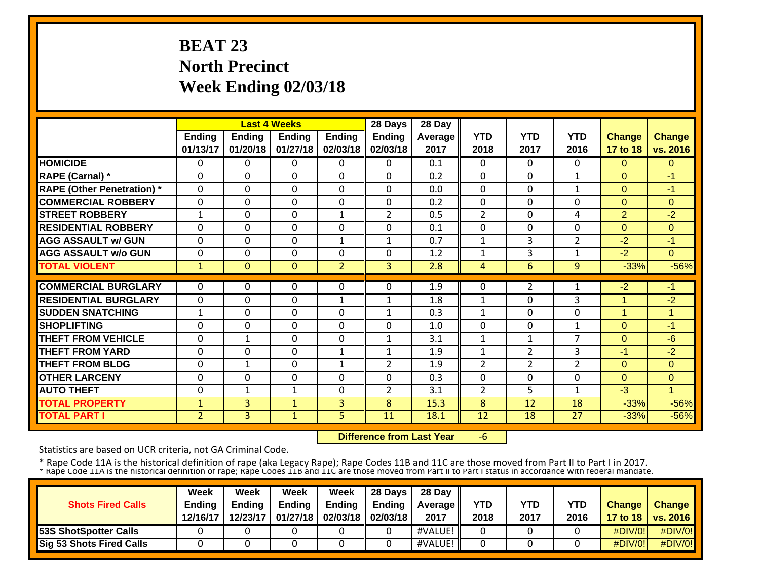# **BEAT 23 North Precinct Week Ending 02/03/18**

|                                   |                | <b>Last 4 Weeks</b> |                |                | 28 Days        | 28 Day  |                |                |                |                |               |
|-----------------------------------|----------------|---------------------|----------------|----------------|----------------|---------|----------------|----------------|----------------|----------------|---------------|
|                                   | <b>Ending</b>  | <b>Ending</b>       | <b>Ending</b>  | <b>Ending</b>  | <b>Ending</b>  | Average | <b>YTD</b>     | <b>YTD</b>     | <b>YTD</b>     | <b>Change</b>  | <b>Change</b> |
|                                   | 01/13/17       | 01/20/18            | 01/27/18       | 02/03/18       | 02/03/18       | 2017    | 2018           | 2017           | 2016           | 17 to 18       | vs. 2016      |
| <b>HOMICIDE</b>                   | 0              | 0                   | 0              | 0              | $\Omega$       | 0.1     | $\Omega$       | $\Omega$       | 0              | $\Omega$       | $\mathbf{0}$  |
| RAPE (Carnal) *                   | 0              | 0                   | $\Omega$       | 0              | $\Omega$       | 0.2     | $\Omega$       | 0              | $\mathbf{1}$   | $\Omega$       | -1            |
| <b>RAPE (Other Penetration)</b> * | $\mathbf 0$    | $\Omega$            | $\overline{0}$ | $\mathbf 0$    | $\Omega$       | 0.0     | $\mathbf 0$    | 0              | 1              | $\overline{0}$ | $-1$          |
| <b>COMMERCIAL ROBBERY</b>         | $\Omega$       | $\Omega$            | $\Omega$       | $\Omega$       | $\Omega$       | 0.2     | $\Omega$       | 0              | $\Omega$       | $\Omega$       | $\Omega$      |
| <b>STREET ROBBERY</b>             | $\mathbf{1}$   | 0                   | $\Omega$       | $\mathbf{1}$   | 2              | 0.5     | $\overline{2}$ | 0              | 4              | 2              | $-2$          |
| <b>RESIDENTIAL ROBBERY</b>        | $\Omega$       | $\Omega$            | 0              | $\mathbf 0$    | $\Omega$       | 0.1     | $\mathbf 0$    | $\Omega$       | $\Omega$       | $\overline{0}$ | $\Omega$      |
| <b>AGG ASSAULT w/ GUN</b>         | $\Omega$       | 0                   | $\mathbf 0$    | $\mathbf{1}$   | $\mathbf{1}$   | 0.7     | 1              | 3              | $\overline{2}$ | $-2$           | $-1$          |
| <b>AGG ASSAULT w/o GUN</b>        | $\Omega$       | 0                   | $\Omega$       | $\Omega$       | $\Omega$       | 1.2     | 1              | 3              | 1              | $-2$           | $\Omega$      |
| <b>TOTAL VIOLENT</b>              | $\mathbf 1$    | $\Omega$            | $\mathbf{0}$   | $\overline{2}$ | $\overline{3}$ | 2.8     | 4              | 6              | 9              | $-33%$         | $-56%$        |
|                                   |                |                     |                |                |                |         |                |                |                |                |               |
| <b>COMMERCIAL BURGLARY</b>        | $\Omega$       | 0                   | 0              | $\Omega$       | $\Omega$       | 1.9     | $\Omega$       | $\overline{2}$ |                | $-2$           | -1            |
| <b>RESIDENTIAL BURGLARY</b>       | $\Omega$       | 0                   | $\Omega$       | $\mathbf{1}$   | 1              | 1.8     | 1              | $\Omega$       | 3              | 1              | $-2$          |
| <b>ISUDDEN SNATCHING</b>          | 1              | 0                   | $\Omega$       | $\Omega$       | $\mathbf 1$    | 0.3     | 1              | 0              | $\Omega$       | 1              | 1             |
| <b>SHOPLIFTING</b>                | 0              | 0                   | $\Omega$       | $\Omega$       | $\Omega$       | 1.0     | $\Omega$       | 0              | $\mathbf{1}$   | $\Omega$       | -1            |
| <b>THEFT FROM VEHICLE</b>         | 0              | $\mathbf{1}$        | $\Omega$       | 0              | $\mathbf{1}$   | 3.1     | 1              | $\mathbf{1}$   | $\overline{7}$ | $\mathbf{0}$   | $-6$          |
| <b>THEFT FROM YARD</b>            | $\Omega$       | $\Omega$            | $\Omega$       | $\mathbf{1}$   | $\mathbf{1}$   | 1.9     | $\mathbf{1}$   | $\overline{2}$ | 3              | $-1$           | $-2$          |
| <b>THEFT FROM BLDG</b>            | $\Omega$       | $\mathbf{1}$        | $\mathbf 0$    | $\mathbf{1}$   | $\overline{2}$ | 1.9     | $\overline{2}$ | $\overline{2}$ | $\overline{2}$ | $\overline{0}$ | $\mathbf{0}$  |
| <b>OTHER LARCENY</b>              | $\Omega$       | $\Omega$            | $\mathbf 0$    | $\Omega$       | $\Omega$       | 0.3     | $\Omega$       | $\Omega$       | $\Omega$       | $\Omega$       | 0             |
| <b>AUTO THEFT</b>                 | $\Omega$       | $\mathbf{1}$        | $\mathbf{1}$   | 0              | $\overline{2}$ | 3.1     | $\overline{2}$ | 5              | 1              | $-3$           | $\mathbf{1}$  |
| <b>TOTAL PROPERTY</b>             | $\mathbf 1$    | 3                   | $\mathbf{1}$   | 3              | 8              | 15.3    | 8              | 12             | 18             | $-33%$         | $-56%$        |
| <b>TOTAL PART I</b>               | 2 <sup>1</sup> | 3                   | $\mathbf{1}$   | 5              | 11             | 18.1    | 12             | 18             | 27             | $-33%$         | $-56%$        |

 **Difference from Last Year**‐6

Statistics are based on UCR criteria, not GA Criminal Code.

|                                 | Week          | Week          | Week          | Week          | 28 Davs           | 28 Day     |      |      |            |                  |                 |
|---------------------------------|---------------|---------------|---------------|---------------|-------------------|------------|------|------|------------|------------------|-----------------|
| <b>Shots Fired Calls</b>        | <b>Ending</b> | <b>Endina</b> | <b>Ending</b> | <b>Ending</b> | Endina            | Average II | YTD  | YTD  | <b>YTD</b> | <b>Change</b>    | <b>Change</b>   |
|                                 | 12/16/17      | 12/23/17      | 01/27/18      |               | 02/03/18 02/03/18 | 2017       | 2018 | 2017 | 2016       | 17 to 18 $\vert$ | <b>vs. 2016</b> |
| 53S ShotSpotter Calls           |               |               |               |               |                   | #VALUE!    |      |      |            | #DIV/0!          | #DIV/0!         |
| <b>Sig 53 Shots Fired Calls</b> |               |               |               |               |                   | #VALUE!    |      |      |            | #DIV/0!          | #DIV/0!         |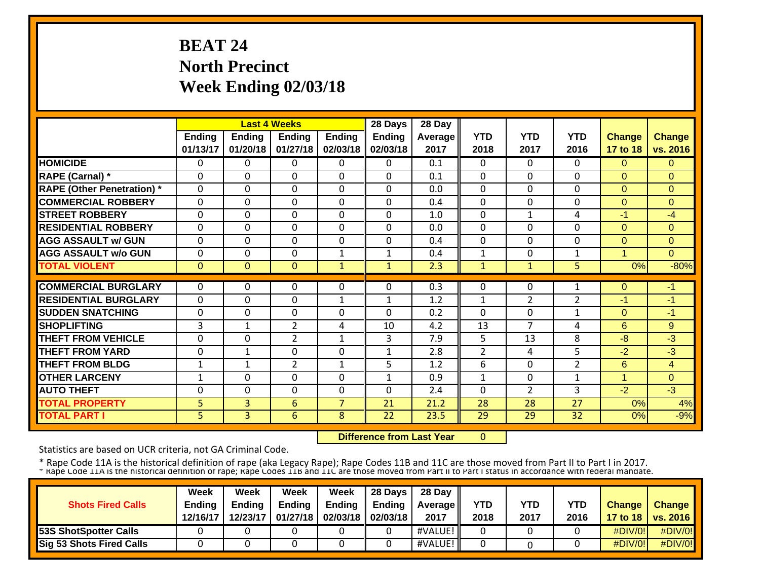# **BEAT 24 North Precinct Week Ending 02/03/18**

|                                   |               |                | <b>Last 4 Weeks</b> |                | 28 Days       | 28 Day  |                |                |                |               |                |
|-----------------------------------|---------------|----------------|---------------------|----------------|---------------|---------|----------------|----------------|----------------|---------------|----------------|
|                                   | <b>Ending</b> | <b>Ending</b>  | <b>Ending</b>       | <b>Ending</b>  | <b>Ending</b> | Average | <b>YTD</b>     | <b>YTD</b>     | <b>YTD</b>     | <b>Change</b> | <b>Change</b>  |
|                                   | 01/13/17      | 01/20/18       | 01/27/18            | 02/03/18       | 02/03/18      | 2017    | 2018           | 2017           | 2016           | 17 to 18      | vs. 2016       |
| <b>HOMICIDE</b>                   | 0             | 0              | 0                   | 0              | $\Omega$      | 0.1     | $\Omega$       | $\Omega$       | 0              | $\Omega$      | $\Omega$       |
| RAPE (Carnal) *                   | $\Omega$      | $\Omega$       | 0                   | 0              | $\Omega$      | 0.1     | $\mathbf{0}$   | 0              | 0              | $\Omega$      | $\Omega$       |
| <b>RAPE (Other Penetration) *</b> | $\mathbf 0$   | $\Omega$       | 0                   | $\mathbf 0$    | $\Omega$      | 0.0     | $\mathbf 0$    | $\overline{0}$ | $\Omega$       | $\mathbf{0}$  | $\overline{0}$ |
| <b>COMMERCIAL ROBBERY</b>         | $\Omega$      | $\Omega$       | 0                   | $\Omega$       | $\Omega$      | 0.4     | $\mathbf{0}$   | 0              | $\Omega$       | $\Omega$      | $\Omega$       |
| <b>STREET ROBBERY</b>             | 0             | $\Omega$       | 0                   | 0              | $\Omega$      | 1.0     | $\mathbf{0}$   | $\mathbf{1}$   | 4              | $-1$          | $-4$           |
| <b>RESIDENTIAL ROBBERY</b>        | 0             | $\Omega$       | 0                   | 0              | $\Omega$      | 0.0     | $\Omega$       | $\Omega$       | $\Omega$       | $\Omega$      | $\Omega$       |
| <b>AGG ASSAULT w/ GUN</b>         | 0             | $\Omega$       | 0                   | 0              | $\Omega$      | 0.4     | $\Omega$       | $\Omega$       | 0              | $\Omega$      | $\mathbf 0$    |
| <b>AGG ASSAULT w/o GUN</b>        | $\mathbf{0}$  | $\Omega$       | 0                   | $\mathbf{1}$   | $\mathbf{1}$  | 0.4     | $\mathbf{1}$   | $\Omega$       | $\mathbf{1}$   | 4             | $\Omega$       |
| <b>TOTAL VIOLENT</b>              | 0             | $\Omega$       | 0                   | $\mathbf{1}$   | $\mathbf{1}$  | 2.3     | $\mathbf{1}$   | $\mathbf{1}$   | 5              | 0%            | $-80%$         |
|                                   |               |                |                     |                |               |         |                |                |                |               |                |
| <b>COMMERCIAL BURGLARY</b>        | 0             | 0              | 0                   | 0              | $\Omega$      | 0.3     | $\Omega$       | 0              | 1              | $\Omega$      | -1             |
| <b>RESIDENTIAL BURGLARY</b>       | $\Omega$      | $\Omega$       | 0                   | 1              | $\mathbf{1}$  | 1.2     | 1              | $\overline{2}$ | $\overline{2}$ | -1            | -1             |
| <b>ISUDDEN SNATCHING</b>          | $\mathbf{0}$  | $\Omega$       | 0                   | 0              | $\Omega$      | 0.2     | $\Omega$       | $\Omega$       | 1              | $\Omega$      | $-1$           |
| <b>SHOPLIFTING</b>                | 3             | $\mathbf{1}$   | $\overline{2}$      | 4              | 10            | 4.2     | 13             | 7              | 4              | 6             | 9              |
| <b>THEFT FROM VEHICLE</b>         | 0             | $\Omega$       | $\overline{2}$      | 1              | 3             | 7.9     | 5              | 13             | 8              | -8            | $-3$           |
| <b>THEFT FROM YARD</b>            | 0             | $\mathbf{1}$   | 0                   | $\Omega$       | $\mathbf{1}$  | 2.8     | $\overline{2}$ | 4              | 5              | $-2$          | $-3$           |
| <b>THEFT FROM BLDG</b>            | $\mathbf{1}$  | $\mathbf{1}$   | $\overline{2}$      | $\mathbf{1}$   | 5             | 1.2     | 6              | $\Omega$       | $\overline{2}$ | 6             | $\overline{4}$ |
| <b>OTHER LARCENY</b>              | $\mathbf 1$   | $\Omega$       | 0                   | 0              | $\mathbf{1}$  | 0.9     | 1              | 0              | 1              | $\mathbf{1}$  | $\mathbf{0}$   |
| <b>AUTO THEFT</b>                 | $\mathbf 0$   | $\Omega$       | 0                   | 0              | $\Omega$      | 2.4     | $\mathbf{0}$   | $\overline{2}$ | 3              | $-2$          | $-3$           |
| <b>TOTAL PROPERTY</b>             | 5             | 3              | 6                   | $\overline{7}$ | 21            | 21.2    | 28             | 28             | 27             | 0%            | 4%             |
| <b>TOTAL PART I</b>               | 5             | $\overline{3}$ | 6                   | 8              | 22            | 23.5    | 29             | 29             | 32             | 0%            | $-9%$          |

 **Difference from Last Year** $\overline{0}$ 

Statistics are based on UCR criteria, not GA Criminal Code.

|                                 | Week          | Week          | Week          | Week                       | $\parallel$ 28 Days | 28 Day            |      |      |      |               |                     |
|---------------------------------|---------------|---------------|---------------|----------------------------|---------------------|-------------------|------|------|------|---------------|---------------------|
| <b>Shots Fired Calls</b>        | <b>Ending</b> | <b>Endina</b> | <b>Ending</b> | Ending                     | Endina              | <b>Average II</b> | YTD  | YTD  | YTD  | <b>Change</b> | <b>Change</b>       |
|                                 | 12/16/17      | 12/23/17      |               | 01/27/18 02/03/18 02/03/18 |                     | 2017              | 2018 | 2017 | 2016 |               | 17 to 18   vs. 2016 |
| <b>53S ShotSpotter Calls</b>    |               |               |               |                            |                     | #VALUE!           |      |      |      | #DIV/0!       | $\#$ DIV/0!         |
| <b>Sig 53 Shots Fired Calls</b> |               |               |               |                            |                     | #VALUE!           |      |      |      | #DIV/0!       | #DIV/0!             |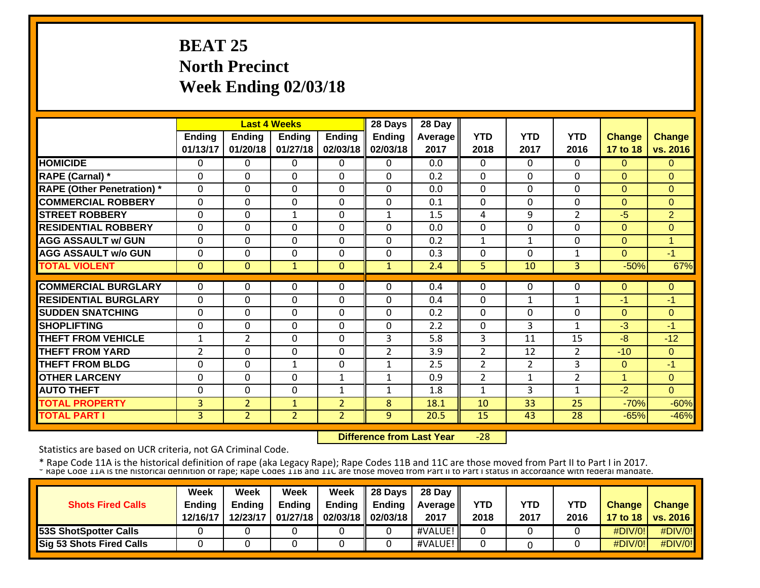# **BEAT 25 North Precinct Week Ending 02/03/18**

|                                   |                |                | <b>Last 4 Weeks</b> |                | 28 Days        | 28 Day  |                |                |                |                |                |
|-----------------------------------|----------------|----------------|---------------------|----------------|----------------|---------|----------------|----------------|----------------|----------------|----------------|
|                                   | <b>Ending</b>  | <b>Ending</b>  | <b>Ending</b>       | <b>Ending</b>  | <b>Ending</b>  | Average | <b>YTD</b>     | <b>YTD</b>     | <b>YTD</b>     | <b>Change</b>  | <b>Change</b>  |
|                                   | 01/13/17       | 01/20/18       | 01/27/18            | 02/03/18       | 02/03/18       | 2017    | 2018           | 2017           | 2016           | 17 to 18       | vs. 2016       |
| <b>HOMICIDE</b>                   | 0              | $\Omega$       | 0                   | 0              | $\Omega$       | 0.0     | $\mathbf{0}$   | $\Omega$       | $\Omega$       | $\Omega$       | $\Omega$       |
| <b>RAPE (Carnal)</b> *            | $\Omega$       | $\Omega$       | 0                   | 0              | $\Omega$       | 0.2     | $\mathbf{0}$   | $\Omega$       | 0              | $\Omega$       | $\Omega$       |
| <b>RAPE (Other Penetration)</b> * | $\mathbf 0$    | $\Omega$       | 0                   | 0              | $\Omega$       | 0.0     | $\mathbf{0}$   | 0              | $\Omega$       | $\overline{0}$ | $\overline{0}$ |
| <b>COMMERCIAL ROBBERY</b>         | $\mathbf 0$    | $\Omega$       | 0                   | 0              | $\Omega$       | 0.1     | $\mathbf{0}$   | 0              | $\Omega$       | $\overline{0}$ | $\Omega$       |
| <b>ISTREET ROBBERY</b>            | 0              | $\mathbf 0$    | $\mathbf{1}$        | 0              | $\mathbf{1}$   | 1.5     | 4              | 9              | $\overline{2}$ | $-5$           | $\overline{2}$ |
| <b>RESIDENTIAL ROBBERY</b>        | 0              | $\Omega$       | 0                   | 0              | $\Omega$       | 0.0     | $\mathbf{0}$   | 0              | $\Omega$       | $\Omega$       | $\overline{0}$ |
| <b>AGG ASSAULT w/ GUN</b>         | 0              | $\Omega$       | 0                   | 0              | $\Omega$       | 0.2     | 1              | 1              | $\Omega$       | $\Omega$       | 1              |
| <b>AGG ASSAULT w/o GUN</b>        | 0              | $\Omega$       | 0                   | 0              | $\Omega$       | 0.3     | $\Omega$       | $\Omega$       |                | $\Omega$       | $-1$           |
| <b>TOTAL VIOLENT</b>              | $\Omega$       | $\Omega$       | $\mathbf{1}$        | $\Omega$       | $\mathbf{1}$   | 2.4     | 5              | 10             | $\overline{3}$ | $-50%$         | 67%            |
|                                   |                |                |                     |                |                |         |                |                |                |                |                |
| <b>COMMERCIAL BURGLARY</b>        | $\mathbf{0}$   | 0              | 0                   | 0              | $\Omega$       | 0.4     | $\mathbf{0}$   | 0              | 0              | $\mathbf{0}$   | $\mathbf{0}$   |
| <b>RESIDENTIAL BURGLARY</b>       | 0              | $\Omega$       | 0                   | 0              | $\Omega$       | 0.4     | $\mathbf{0}$   | 1              | 1              | -1             | -1             |
| <b>SUDDEN SNATCHING</b>           | $\Omega$       | $\Omega$       | 0                   | 0              | $\Omega$       | 0.2     | $\Omega$       | $\Omega$       | $\Omega$       | $\Omega$       | $\Omega$       |
| <b>SHOPLIFTING</b>                | $\mathbf{0}$   | $\Omega$       | 0                   | 0              | $\Omega$       | 2.2     | $\mathbf{0}$   | 3              | 1              | $-3$           | $-1$           |
| <b>THEFT FROM VEHICLE</b>         | 1              | $\overline{2}$ | 0                   | 0              | 3              | 5.8     | 3              | 11             | 15             | -8             | $-12$          |
| <b>THEFT FROM YARD</b>            | $\overline{2}$ | $\Omega$       | 0                   | 0              | $\overline{2}$ | 3.9     | $\overline{2}$ | 12             | $\overline{2}$ | $-10$          | $\Omega$       |
| <b>THEFT FROM BLDG</b>            | 0              | $\Omega$       | $\mathbf{1}$        | 0              | $\mathbf{1}$   | 2.5     | $\overline{2}$ | $\overline{2}$ | 3              | $\Omega$       | $-1$           |
| <b>OTHER LARCENY</b>              | 0              | $\Omega$       | 0                   | $\mathbf{1}$   | $\mathbf{1}$   | 0.9     | $\overline{2}$ | 1              | $\overline{2}$ | $\overline{1}$ | $\mathbf{0}$   |
| <b>AUTO THEFT</b>                 | 0              | $\Omega$       | 0                   | $\mathbf{1}$   | $\mathbf{1}$   | 1.8     | $\mathbf{1}$   | 3              | 1              | $-2$           | $\Omega$       |
| <b>TOTAL PROPERTY</b>             | 3              | $\overline{2}$ | $\mathbf{1}$        | $\overline{2}$ | 8              | 18.1    | 10             | 33             | 25             | $-70%$         | $-60%$         |
| <b>TOTAL PART I</b>               | 3              | $\overline{2}$ | $\overline{2}$      | $\overline{2}$ | 9              | 20.5    | 15             | 43             | 28             | $-65%$         | $-46%$         |

 **Difference from Last Year** $-28$ 

Statistics are based on UCR criteria, not GA Criminal Code.

|                                 | Week          | Week          | Week          | Week                       | $\parallel$ 28 Days | 28 Day            |      |      |      |               |                     |
|---------------------------------|---------------|---------------|---------------|----------------------------|---------------------|-------------------|------|------|------|---------------|---------------------|
| <b>Shots Fired Calls</b>        | <b>Ending</b> | <b>Endina</b> | <b>Ending</b> | Ending                     | Endina              | <b>Average II</b> | YTD  | YTD  | YTD  | <b>Change</b> | <b>Change</b>       |
|                                 | 12/16/17      | 12/23/17      |               | 01/27/18 02/03/18 02/03/18 |                     | 2017              | 2018 | 2017 | 2016 |               | 17 to 18   vs. 2016 |
| <b>53S ShotSpotter Calls</b>    |               |               |               |                            |                     | #VALUE!           |      |      |      | #DIV/0!       | $\#$ DIV/0!         |
| <b>Sig 53 Shots Fired Calls</b> |               |               |               |                            |                     | #VALUE!           |      |      |      | #DIV/0!       | #DIV/0!             |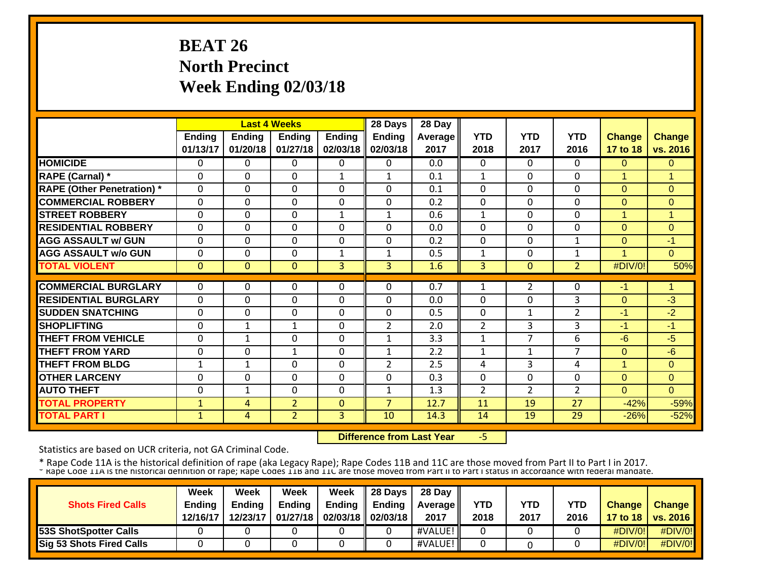# **BEAT 26 North Precinct Week Ending 02/03/18**

|                                   |               |                | <b>Last 4 Weeks</b> |               | 28 Days        | 28 Day  |                |                |                |                |                |
|-----------------------------------|---------------|----------------|---------------------|---------------|----------------|---------|----------------|----------------|----------------|----------------|----------------|
|                                   | <b>Ending</b> | <b>Ending</b>  | <b>Ending</b>       | <b>Ending</b> | <b>Ending</b>  | Average | <b>YTD</b>     | <b>YTD</b>     | <b>YTD</b>     | <b>Change</b>  | <b>Change</b>  |
|                                   | 01/13/17      | 01/20/18       | 01/27/18            | 02/03/18      | 02/03/18       | 2017    | 2018           | 2017           | 2016           | 17 to 18       | vs. 2016       |
| <b>HOMICIDE</b>                   | 0             | $\Omega$       | 0                   | 0             | $\Omega$       | 0.0     | $\mathbf{0}$   | $\Omega$       | $\Omega$       | $\Omega$       | $\mathbf{0}$   |
| <b>RAPE (Carnal)</b> *            | $\Omega$      | $\Omega$       | 0                   | $\mathbf{1}$  | $\mathbf{1}$   | 0.1     | $\mathbf{1}$   | $\Omega$       | $\Omega$       | 1              | $\mathbf 1$    |
| <b>RAPE (Other Penetration)</b> * | $\mathbf 0$   | $\Omega$       | 0                   | 0             | $\Omega$       | 0.1     | $\mathbf 0$    | $\Omega$       | $\Omega$       | $\Omega$       | $\mathbf{0}$   |
| <b>COMMERCIAL ROBBERY</b>         | $\mathbf 0$   | $\Omega$       | 0                   | 0             | $\Omega$       | 0.2     | $\mathbf 0$    | 0              | $\Omega$       | $\Omega$       | $\Omega$       |
| <b>STREET ROBBERY</b>             | 0             | $\Omega$       | 0                   | $\mathbf{1}$  | $\mathbf{1}$   | 0.6     | $\mathbf{1}$   | 0              | $\Omega$       | 1              | 1              |
| <b>RESIDENTIAL ROBBERY</b>        | 0             | $\Omega$       | 0                   | 0             | $\Omega$       | 0.0     | $\mathbf{0}$   | 0              | $\Omega$       | $\Omega$       | $\Omega$       |
| <b>AGG ASSAULT w/ GUN</b>         | 0             | $\Omega$       | 0                   | 0             | $\Omega$       | 0.2     | $\Omega$       | $\Omega$       | $\mathbf{1}$   | $\Omega$       | $-1$           |
| <b>AGG ASSAULT w/o GUN</b>        | 0             | $\Omega$       | 0                   | $\mathbf{1}$  | $\mathbf{1}$   | 0.5     | $\mathbf{1}$   | $\Omega$       | 1              | 4              | $\Omega$       |
| <b>TOTAL VIOLENT</b>              | $\mathbf{0}$  | $\Omega$       | $\mathbf{0}$        | 3             | $\mathbf{3}$   | 1.6     | 3              | $\Omega$       | $\overline{2}$ | #DIV/0!        | 50%            |
|                                   |               |                |                     |               |                |         |                |                |                |                |                |
| <b>COMMERCIAL BURGLARY</b>        | $\mathbf{0}$  | 0              | 0                   | 0             | $\Omega$       | 0.7     | 1              | 2              | 0              | $-1$           | 1              |
| <b>RESIDENTIAL BURGLARY</b>       | $\Omega$      | $\Omega$       | 0                   | 0             | $\Omega$       | 0.0     | $\Omega$       | $\Omega$       | 3              | $\Omega$       | $-3$           |
| <b>ISUDDEN SNATCHING</b>          | $\Omega$      | $\Omega$       | 0                   | 0             | $\Omega$       | 0.5     | $\Omega$       | 1              | $\overline{2}$ | -1             | $-2$           |
| <b>ISHOPLIFTING</b>               | $\Omega$      | $\mathbf{1}$   | $\mathbf{1}$        | 0             | $\overline{2}$ | 2.0     | $\overline{2}$ | 3              | 3              | -1             | -1             |
| <b>THEFT FROM VEHICLE</b>         | 0             | 1              | 0                   | 0             | $\mathbf{1}$   | 3.3     | 1              | 7              | 6              | -6             | -5             |
| <b>THEFT FROM YARD</b>            | 0             | $\Omega$       | $\mathbf{1}$        | $\Omega$      | $\mathbf{1}$   | 2.2     | $\mathbf{1}$   | $\mathbf{1}$   | $\overline{7}$ | $\Omega$       | $-6$           |
| <b>THEFT FROM BLDG</b>            | $\mathbf{1}$  | $\mathbf{1}$   | 0                   | 0             | $\overline{2}$ | 2.5     | 4              | 3              | 4              | $\overline{1}$ | $\overline{0}$ |
| <b>OTHER LARCENY</b>              | 0             | $\Omega$       | $\Omega$            | 0             | $\Omega$       | 0.3     | $\mathbf{0}$   | $\Omega$       | $\Omega$       | $\overline{0}$ | $\Omega$       |
| <b>AUTO THEFT</b>                 | 0             | $\mathbf{1}$   | $\Omega$            | 0             | $\mathbf{1}$   | 1.3     | $\overline{2}$ | $\overline{2}$ | $\overline{2}$ | $\Omega$       | $\Omega$       |
| <b>TOTAL PROPERTY</b>             | $\mathbf{1}$  | 4              | $\overline{2}$      | $\mathbf{0}$  | $\overline{7}$ | 12.7    | 11             | 19             | 27             | $-42%$         | $-59%$         |
| <b>TOTAL PART I</b>               | $\mathbf{1}$  | $\overline{4}$ | $\overline{2}$      | 3             | 10             | 14.3    | 14             | 19             | 29             | $-26%$         | $-52%$         |

 **Difference from Last Year**‐5

Statistics are based on UCR criteria, not GA Criminal Code.

|                                 | Week          | Week          | Week          | Week          | 28 Davs           | 28 Day     |            |      |            |                  |                 |
|---------------------------------|---------------|---------------|---------------|---------------|-------------------|------------|------------|------|------------|------------------|-----------------|
| <b>Shots Fired Calls</b>        | <b>Ending</b> | <b>Endina</b> | <b>Ending</b> | <b>Ending</b> | Endina            | Average II | <b>YTD</b> | YTD  | <b>YTD</b> | <b>Change</b>    | <b>Change</b>   |
|                                 | 12/16/17      | 12/23/17      | 01/27/18      |               | 02/03/18 02/03/18 | 2017       | 2018       | 2017 | 2016       | 17 to 18 $\vert$ | <b>vs. 2016</b> |
| <b>53S ShotSpotter Calls</b>    |               |               |               |               |                   | #VALUE!    |            |      |            | #DIV/0!          | #DIV/0!         |
| <b>Sig 53 Shots Fired Calls</b> |               |               |               |               |                   | #VALUE!    |            |      |            | #DIV/0!          | #DIV/0!         |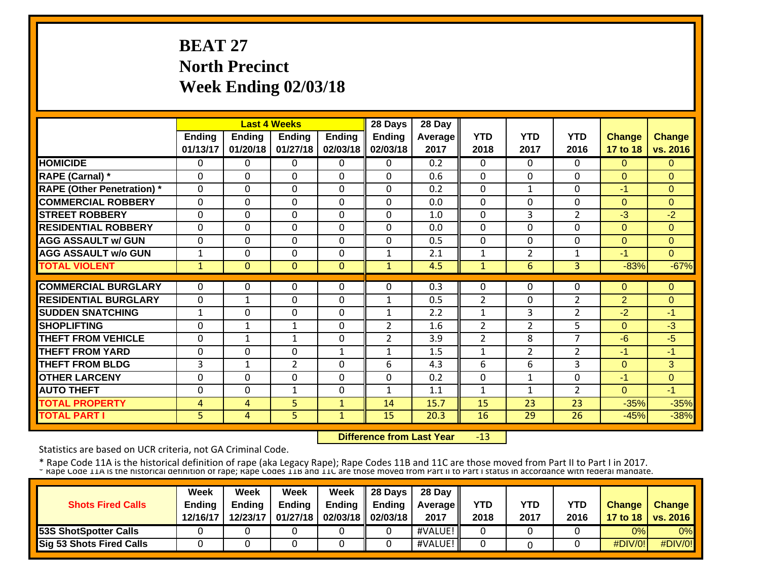# **BEAT 27 North Precinct Week Ending 02/03/18**

|                                   |                |                | <b>Last 4 Weeks</b> |               | 28 Days        | 28 Day  |                |                |                |               |                |
|-----------------------------------|----------------|----------------|---------------------|---------------|----------------|---------|----------------|----------------|----------------|---------------|----------------|
|                                   | <b>Ending</b>  | <b>Ending</b>  | <b>Ending</b>       | <b>Ending</b> | <b>Ending</b>  | Average | <b>YTD</b>     | <b>YTD</b>     | <b>YTD</b>     | <b>Change</b> | <b>Change</b>  |
|                                   | 01/13/17       | 01/20/18       | 01/27/18            | 02/03/18      | 02/03/18       | 2017    | 2018           | 2017           | 2016           | 17 to 18      | vs. 2016       |
| <b>HOMICIDE</b>                   | 0              | $\Omega$       | 0                   | 0             | $\Omega$       | 0.2     | $\mathbf{0}$   | $\Omega$       | $\Omega$       | $\Omega$      | $\Omega$       |
| <b>RAPE (Carnal)</b> *            | $\mathbf{0}$   | $\Omega$       | 0                   | 0             | $\Omega$       | 0.6     | $\mathbf{0}$   | $\Omega$       | 0              | $\Omega$      | $\Omega$       |
| <b>RAPE (Other Penetration)</b> * | $\mathbf 0$    | $\Omega$       | 0                   | 0             | $\Omega$       | 0.2     | $\mathbf{0}$   | $\mathbf{1}$   | $\Omega$       | $-1$          | $\overline{0}$ |
| <b>COMMERCIAL ROBBERY</b>         | $\mathbf 0$    | $\Omega$       | 0                   | 0             | $\Omega$       | 0.0     | $\mathbf{0}$   | 0              | $\Omega$       | $\Omega$      | $\Omega$       |
| <b>STREET ROBBERY</b>             | 0              | $\Omega$       | 0                   | 0             | $\mathbf 0$    | 1.0     | $\mathbf{0}$   | 3              | $\overline{2}$ | $-3$          | $-2$           |
| <b>RESIDENTIAL ROBBERY</b>        | 0              | $\Omega$       | 0                   | 0             | $\Omega$       | 0.0     | $\mathbf{0}$   | $\Omega$       | $\Omega$       | $\mathbf{0}$  | $\overline{0}$ |
| <b>AGG ASSAULT w/ GUN</b>         | 0              | $\Omega$       | 0                   | 0             | $\Omega$       | 0.5     | $\mathbf{0}$   | $\Omega$       | $\Omega$       | $\mathbf{0}$  | 0              |
| <b>AGG ASSAULT w/o GUN</b>        | $\mathbf 1$    | $\Omega$       | 0                   | 0             | $\mathbf 1$    | 2.1     | $\mathbf{1}$   | $\overline{2}$ | 1              | -1            | $\Omega$       |
| <b>TOTAL VIOLENT</b>              | $\mathbf{1}$   | $\Omega$       | $\mathbf{0}$        | $\Omega$      | $\mathbf{1}$   | 4.5     | $\mathbf{1}$   | 6              | $\overline{3}$ | $-83%$        | $-67%$         |
|                                   |                |                |                     |               |                |         |                |                |                |               |                |
| <b>COMMERCIAL BURGLARY</b>        | $\mathbf{0}$   | 0              | 0                   | 0             | $\Omega$       | 0.3     | $\mathbf{0}$   | 0              | 0              | $\mathbf{0}$  | $\mathbf{0}$   |
| <b>RESIDENTIAL BURGLARY</b>       | $\mathbf{0}$   | 1              | 0                   | 0             | 1              | 0.5     | $\overline{2}$ | $\Omega$       | $\overline{2}$ | 2             | 0              |
| <b>SUDDEN SNATCHING</b>           | $\mathbf 1$    | $\Omega$       | 0                   | 0             | $\mathbf 1$    | 2.2     | 1              | 3              | $\overline{2}$ | $-2$          | $-1$           |
| <b>SHOPLIFTING</b>                | $\Omega$       | $\mathbf{1}$   | $\mathbf{1}$        | 0             | $\overline{2}$ | 1.6     | $\overline{2}$ | $\overline{2}$ | 5              | $\Omega$      | -3             |
| <b>THEFT FROM VEHICLE</b>         | 0              | $\mathbf{1}$   | $\mathbf{1}$        | 0             | $\overline{2}$ | 3.9     | $\overline{2}$ | 8              | 7              | $-6$          | $-5$           |
| <b>THEFT FROM YARD</b>            | $\Omega$       | $\Omega$       | 0                   | $\mathbf{1}$  | $\mathbf{1}$   | 1.5     | $\mathbf{1}$   | $\overline{2}$ | $\overline{2}$ | $-1$          | $-1$           |
| <b>THEFT FROM BLDG</b>            | 3              | $\mathbf{1}$   | $\overline{2}$      | 0             | 6              | 4.3     | 6              | 6              | 3              | $\Omega$      | 3              |
| <b>OTHER LARCENY</b>              | 0              | $\Omega$       | 0                   | 0             | $\Omega$       | 0.2     | $\mathbf{0}$   | 1              | $\Omega$       | $-1$          | $\overline{0}$ |
| <b>AUTO THEFT</b>                 | 0              | $\Omega$       | $\mathbf{1}$        | $\Omega$      | $\mathbf{1}$   | 1.1     | $\mathbf{1}$   | $\mathbf{1}$   | $\overline{2}$ | $\Omega$      | -1             |
| <b>TOTAL PROPERTY</b>             | 4              | 4              | 5                   | $\mathbf{1}$  | 14             | 15.7    | 15             | 23             | 23             | $-35%$        | $-35%$         |
| <b>TOTAL PART I</b>               | $\overline{5}$ | $\overline{4}$ | 5                   | $\mathbf{1}$  | 15             | 20.3    | 16             | 29             | 26             | $-45%$        | $-38%$         |

 **Difference from Last Year**‐13

Statistics are based on UCR criteria, not GA Criminal Code.

|                              | Week          | Week          | Week          | Week                       | 28 Days | 28 Day            |            |      |            |               |                   |
|------------------------------|---------------|---------------|---------------|----------------------------|---------|-------------------|------------|------|------------|---------------|-------------------|
| <b>Shots Fired Calls</b>     | <b>Ending</b> | <b>Ending</b> | <b>Ending</b> | <b>Ending</b>              | Endina  | <b>Average</b> II | <b>YTD</b> | YTD  | <b>YTD</b> | <b>Change</b> | <b>Change</b>     |
|                              | 12/16/17      | 12/23/17      |               | 01/27/18 02/03/18 02/03/18 |         | 2017              | 2018       | 2017 | 2016       |               | 17 to 18 vs. 2016 |
| <b>53S ShotSpotter Calls</b> |               |               |               |                            |         | #VALUE!           |            |      |            | 0%l           | $0\%$             |
| Sig 53 Shots Fired Calls     |               |               |               |                            |         | #VALUE!           |            |      |            | #DIV/0!       | #DIV/0!           |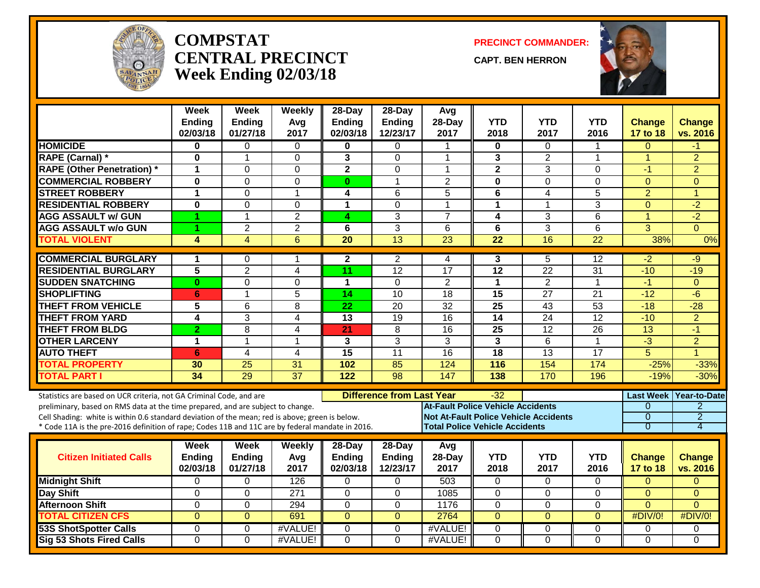

#### **COMPSTATCENTRAL PRECINCTWeek Ending 02/03/18**

**PRECINCT COMMANDER:**

**CAPT. BEN HERRON**



|                                                                                                  | Week<br><b>Ending</b> | <b>Week</b><br>Ending | Weekly          | 28-Day<br>Ending        | $28-Day$<br><b>Ending</b>        | Avg<br>28-Day                            | <b>YTD</b>                                   | <b>YTD</b>              | <b>YTD</b>      | <b>Change</b>        | <b>Change</b>        |
|--------------------------------------------------------------------------------------------------|-----------------------|-----------------------|-----------------|-------------------------|----------------------------------|------------------------------------------|----------------------------------------------|-------------------------|-----------------|----------------------|----------------------|
|                                                                                                  | 02/03/18              | 01/27/18              | Avg<br>2017     | 02/03/18                | 12/23/17                         | 2017                                     | 2018                                         | 2017                    | 2016            | 17 to 18             | vs. 2016             |
| <b>HOMICIDE</b>                                                                                  | $\mathbf 0$           | 0                     | $\mathbf{0}$    | 0                       | $\mathbf 0$                      |                                          | 0                                            | 0                       | 1               | $\overline{0}$       | -1                   |
| <b>RAPE (Carnal) *</b>                                                                           | $\bf{0}$              | $\mathbf{1}$          | $\Omega$        | 3                       | $\Omega$                         | 1                                        | 3                                            | $\overline{2}$          | $\mathbf{1}$    | $\mathbf{1}$         | $\overline{2}$       |
| <b>RAPE (Other Penetration)</b> *                                                                | 1                     | $\mathbf 0$           | $\Omega$        | $\overline{\mathbf{2}}$ | $\mathbf 0$                      | 1                                        | $\overline{2}$                               | 3                       | 0               | $-1$                 | $\overline{2}$       |
| <b>COMMERCIAL ROBBERY</b>                                                                        | $\mathbf 0$           | $\Omega$              | $\mathbf{0}$    | $\mathbf{0}$            | $\mathbf{1}$                     | $\overline{2}$                           | $\mathbf 0$                                  | 0                       | $\overline{0}$  | $\overline{0}$       | $\Omega$             |
| <b>STREET ROBBERY</b>                                                                            | $\mathbf{1}$          | $\Omega$              | 1               | 4                       | 6                                | $\overline{5}$                           | $\overline{\mathbf{6}}$                      | $\overline{\mathbf{4}}$ | 5               | $\overline{2}$       | $\blacktriangleleft$ |
| <b>RESIDENTIAL ROBBERY</b>                                                                       | $\bf{0}$              | $\Omega$              | $\Omega$        | 1                       | $\Omega$                         | $\blacktriangleleft$                     | 1                                            | 1                       | 3               | $\Omega$             | $-2$                 |
| <b>AGG ASSAULT w/ GUN</b>                                                                        | 1                     | $\blacktriangleleft$  | 2               | 4                       | 3                                | $\overline{7}$                           | 4                                            | 3                       | 6               | $\overline{1}$       | $-2$                 |
| <b>AGG ASSAULT W/o GUN</b>                                                                       | 1                     | $\overline{2}$        | $\overline{2}$  | 6                       | $\overline{3}$                   | 6                                        | 6                                            | 3                       | 6               | $\overline{3}$       | $\Omega$             |
| <b>TOTAL VIOLENT</b>                                                                             | $\overline{4}$        | $\overline{4}$        | $\overline{6}$  | $\overline{20}$         | $\overline{13}$                  | $\overline{23}$                          | $\overline{22}$                              | 16                      | $\overline{22}$ | 38%                  | 0%                   |
| <b>COMMERCIAL BURGLARY</b>                                                                       | $\mathbf 1$           | $\Omega$              | 1               | $\mathbf{2}$            | $\overline{2}$                   | 4                                        | 3                                            | 5                       | 12              | $-2$                 | $-9$                 |
| <b>RESIDENTIAL BURGLARY</b>                                                                      | $\overline{5}$        | $\overline{2}$        | 4               | $\overline{11}$         | $\overline{12}$                  | $\overline{17}$                          | $\overline{12}$                              | $\overline{22}$         | $\overline{31}$ | $-10$                | $-19$                |
| <b>SUDDEN SNATCHING</b>                                                                          | $\bf{0}$              | $\Omega$              | $\mathbf{0}$    | 1                       | $\mathbf 0$                      | $\overline{2}$                           | $\mathbf{1}$                                 | $\overline{2}$          | 1               | $-1$                 | $\mathbf{0}$         |
| <b>SHOPLIFTING</b>                                                                               | 6                     | $\blacktriangleleft$  | 5               | 14                      | $\overline{10}$                  | $\overline{18}$                          | 15                                           | $\overline{27}$         | $\overline{21}$ | $-12$                | $-6$                 |
| <b>THEFT FROM VEHICLE</b>                                                                        | 5                     | $\overline{6}$        | 8               | $\overline{22}$         | 20                               | 32                                       | $\overline{25}$                              | $\overline{43}$         | 53              | $-18$                | $-28$                |
| <b>THEFT FROM YARD</b>                                                                           | 4                     | 3                     | 4               | 13                      | 19                               | 16                                       | 14                                           | 24                      | 12              | $-10$                | $\overline{2}$       |
| <b>THEFT FROM BLDG</b>                                                                           | 2                     | 8                     | 4               | 21                      | 8                                | 16                                       | 25                                           | 12                      | 26              | 13                   | $-1$                 |
| <b>OTHER LARCENY</b>                                                                             | $\mathbf 1$           | $\blacktriangleleft$  | 1               | 3                       | $\overline{3}$                   | 3                                        | 3                                            | 6                       | 1               | $\overline{\cdot 3}$ | $\overline{2}$       |
| <b>AUTO THEFT</b>                                                                                | 6                     | $\overline{4}$        | 4               | $\overline{15}$         | $\overline{11}$                  | 16                                       | $\overline{18}$                              | $\overline{13}$         | $\overline{17}$ | $\overline{5}$       | 1                    |
| <b>TOTAL PROPERTY</b>                                                                            | 30                    | $\overline{25}$       | 31              | 102                     | 85                               | 124                                      | 116                                          | 154                     | 174             | $-25%$               | $-33%$               |
| <b>TOTAL PART I</b>                                                                              | 34                    | 29                    | $\overline{37}$ | 122                     | 98                               | 147                                      | 138                                          | 170                     | 196             | $-19%$               | $-30%$               |
| Statistics are based on UCR criteria, not GA Criminal Code, and are                              |                       |                       |                 |                         | <b>Difference from Last Year</b> |                                          | $-32$                                        |                         |                 | <b>Last Week</b>     | <b>Year-to-Date</b>  |
| preliminary, based on RMS data at the time prepared, and are subject to change.                  |                       |                       |                 |                         |                                  | <b>At-Fault Police Vehicle Accidents</b> |                                              |                         |                 | $\Omega$             | $\overline{2}$       |
| Cell Shading: white is within 0.6 standard deviation of the mean; red is above; green is below.  |                       |                       |                 |                         |                                  |                                          | <b>Not At-Fault Police Vehicle Accidents</b> |                         |                 | $\overline{0}$       | $\overline{2}$       |
| * Code 11A is the pre-2016 definition of rape; Codes 11B and 11C are by federal mandate in 2016. |                       |                       |                 |                         |                                  |                                          | <b>Total Police Vehicle Accidents</b>        |                         |                 | $\overline{0}$       | 4                    |
|                                                                                                  | Week                  | <b>Week</b>           | Weekly          | 28-Day                  | 28-Day                           | Avg                                      |                                              |                         |                 |                      |                      |
| <b>Citizen Initiated Calls</b>                                                                   | <b>Ending</b>         | Ending                | Avg             | <b>Ending</b>           | <b>Ending</b>                    | 28-Day                                   | <b>YTD</b>                                   | <b>YTD</b>              | <b>YTD</b>      | <b>Change</b>        | <b>Change</b>        |
|                                                                                                  | 02/03/18              | 01/27/18              | 2017            | 02/03/18                | 12/23/17                         | 2017                                     | 2018                                         | 2017                    | 2016            | 17 to 18             | vs. 2016             |
| <b>Midnight Shift</b>                                                                            | $\Omega$              | $\Omega$              | 126             | $\Omega$                | $\mathbf{0}$                     | 503                                      | 0                                            | $\Omega$                | $\Omega$        | $\Omega$             | $\Omega$             |
| <b>Day Shift</b>                                                                                 | $\Omega$              | $\Omega$              | 271             | $\Omega$                | $\Omega$                         | 1085                                     | 0                                            | $\Omega$                | $\Omega$        | $\Omega$             | $\Omega$             |
| <b>Afternoon Shift</b>                                                                           | $\mathbf 0$           | $\Omega$              | 294             | $\Omega$                | $\mathbf 0$                      | 1176                                     | 0                                            | $\mathbf 0$             | $\overline{0}$  | $\overline{0}$       | $\Omega$             |
| <b>TOTAL CITIZEN CFS</b>                                                                         | $\overline{0}$        | $\overline{0}$        | 691             | $\overline{0}$          | $\Omega$                         | 2764                                     | $\overline{0}$                               | $\overline{0}$          | $\Omega$        | #DIV/0!              | #DIV/0!              |
| <b>53S ShotSpotter Calls</b>                                                                     | $\Omega$              | $\Omega$              | #VALUE!         | $\Omega$                | $\Omega$                         | #VALUE!                                  | $\overline{0}$                               | 0                       | 0               | 0                    | $\mathbf 0$          |
| <b>Sig 53 Shots Fired Calls</b>                                                                  | $\overline{0}$        | $\Omega$              | #VALUE!         | $\Omega$                | $\Omega$                         | #VALUE!                                  | $\overline{0}$                               | $\overline{0}$          | $\Omega$        | $\overline{0}$       | $\Omega$             |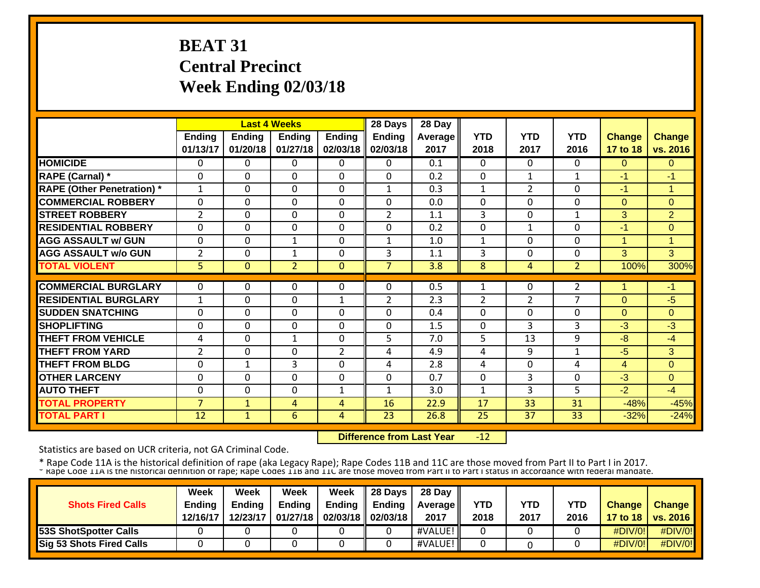# **BEAT 31 Central Precinct Week Ending 02/03/18**

|                                   |                |               | <b>Last 4 Weeks</b> |                | 28 Days        | 28 Day  |                |                |                |               |                |
|-----------------------------------|----------------|---------------|---------------------|----------------|----------------|---------|----------------|----------------|----------------|---------------|----------------|
|                                   | <b>Ending</b>  | <b>Ending</b> | Ending              | <b>Ending</b>  | <b>Ending</b>  | Average | <b>YTD</b>     | <b>YTD</b>     | <b>YTD</b>     | <b>Change</b> | <b>Change</b>  |
|                                   | 01/13/17       | 01/20/18      | 01/27/18            | 02/03/18       | 02/03/18       | 2017    | 2018           | 2017           | 2016           | 17 to 18      | vs. 2016       |
| <b>HOMICIDE</b>                   | 0              | 0             | 0                   | $\Omega$       | $\Omega$       | 0.1     | $\Omega$       | 0              | 0              | $\Omega$      | $\mathbf{0}$   |
| <b>RAPE (Carnal)</b> *            | 0              | $\Omega$      | 0                   | $\Omega$       | $\Omega$       | 0.2     | $\Omega$       | 1              | $\mathbf{1}$   | $-1$          | $-1$           |
| <b>RAPE (Other Penetration)</b> * | $\mathbf{1}$   | $\Omega$      | 0                   | $\Omega$       | $\mathbf{1}$   | 0.3     | 1              | $\overline{2}$ | $\Omega$       | $-1$          | 1              |
| <b>COMMERCIAL ROBBERY</b>         | $\Omega$       | 0             | 0                   | $\Omega$       | $\Omega$       | 0.0     | 0              | 0              | $\Omega$       | $\Omega$      | $\Omega$       |
| <b>STREET ROBBERY</b>             | 2              | 0             | $\Omega$            | $\Omega$       | $\overline{2}$ | 1.1     | 3              | 0              | 1              | 3             | $\overline{2}$ |
| <b>RESIDENTIAL ROBBERY</b>        | $\Omega$       | $\Omega$      | $\Omega$            | $\Omega$       | $\Omega$       | 0.2     | $\Omega$       | 1              | 0              | -1            | $\Omega$       |
| <b>AGG ASSAULT w/ GUN</b>         | $\Omega$       | 0             | $\mathbf{1}$        | $\Omega$       | $\mathbf{1}$   | 1.0     | $\mathbf{1}$   | $\Omega$       | $\Omega$       | 1             | 1              |
| <b>AGG ASSAULT w/o GUN</b>        | $\overline{2}$ | 0             | $\mathbf{1}$        | $\Omega$       | 3              | 1.1     | 3              | $\Omega$       | $\Omega$       | 3             | 3              |
| <b>TOTAL VIOLENT</b>              | 5              | $\Omega$      | $\overline{2}$      | $\Omega$       | 7              | 3.8     | 8              | 4              | $\overline{2}$ | 100%          | 300%           |
|                                   |                |               |                     |                |                |         |                |                |                |               |                |
| <b>COMMERCIAL BURGLARY</b>        | 0              | 0             | 0                   | 0              | $\Omega$       | 0.5     | 1              | 0              | $\overline{2}$ |               | -1             |
| <b>RESIDENTIAL BURGLARY</b>       | 1              | 0             | $\Omega$            | 1              | 2              | 2.3     | $\overline{2}$ | $\overline{2}$ | $\overline{7}$ | $\Omega$      | -5             |
| <b>SUDDEN SNATCHING</b>           | 0              | 0             | $\Omega$            | $\Omega$       | $\Omega$       | 0.4     | $\Omega$       | $\Omega$       | 0              | $\Omega$      | $\Omega$       |
| <b>ISHOPLIFTING</b>               | 0              | 0             | $\Omega$            | $\Omega$       | $\Omega$       | 1.5     | $\Omega$       | 3              | 3              | $-3$          | -3             |
| <b>THEFT FROM VEHICLE</b>         | 4              | $\mathbf 0$   | $\mathbf{1}$        | $\mathbf 0$    | 5              | 7.0     | 5              | 13             | 9              | $-8$          | -4             |
| <b>THEFT FROM YARD</b>            | $\overline{2}$ | $\Omega$      | 0                   | $\overline{2}$ | 4              | 4.9     | 4              | 9              | $\mathbf{1}$   | $-5$          | 3              |
| <b>THEFT FROM BLDG</b>            | 0              | $\mathbf{1}$  | 3                   | $\mathbf 0$    | 4              | 2.8     | 4              | $\Omega$       | 4              | 4             | $\overline{0}$ |
| <b>OTHER LARCENY</b>              | $\Omega$       | 0             | $\Omega$            | $\Omega$       | $\Omega$       | 0.7     | $\Omega$       | 3              | $\Omega$       | $-3$          | 0              |
| <b>AUTO THEFT</b>                 | $\Omega$       | $\Omega$      | 0                   | $\mathbf{1}$   | $\mathbf{1}$   | 3.0     | 1              | 3              | 5              | $-2$          | $-4$           |
| <b>TOTAL PROPERTY</b>             | $\overline{7}$ | $\mathbf{1}$  | $\overline{4}$      | 4              | 16             | 22.9    | 17             | 33             | 31             | $-48%$        | $-45%$         |
| <b>TOTAL PART I</b>               | 12             | $\mathbf{1}$  | 6                   | $\overline{4}$ | 23             | 26.8    | 25             | 37             | 33             | $-32%$        | $-24%$         |

 **Difference from Last Year**‐12

Statistics are based on UCR criteria, not GA Criminal Code.

|                              | Week          | Week          | Week          | Week                       | $\parallel$ 28 Days | 28 Day            |      |      |            |               |                     |
|------------------------------|---------------|---------------|---------------|----------------------------|---------------------|-------------------|------|------|------------|---------------|---------------------|
| <b>Shots Fired Calls</b>     | <b>Ending</b> | <b>Endina</b> | <b>Ending</b> | Ending                     | Endina              | <b>Average II</b> | YTD  | YTD  | <b>YTD</b> | <b>Change</b> | <b>Change</b>       |
|                              | 12/16/17      | 12/23/17      |               | 01/27/18 02/03/18 02/03/18 |                     | 2017              | 2018 | 2017 | 2016       |               | 17 to 18   vs. 2016 |
| <b>53S ShotSpotter Calls</b> |               |               |               |                            |                     | #VALUE!           |      |      |            | $\#$ DIV/0!   | #DIV/0!             |
| Sig 53 Shots Fired Calls     |               |               |               |                            |                     | #VALUE!           |      |      |            | $\#$ DIV/0!   | #DIV/0!             |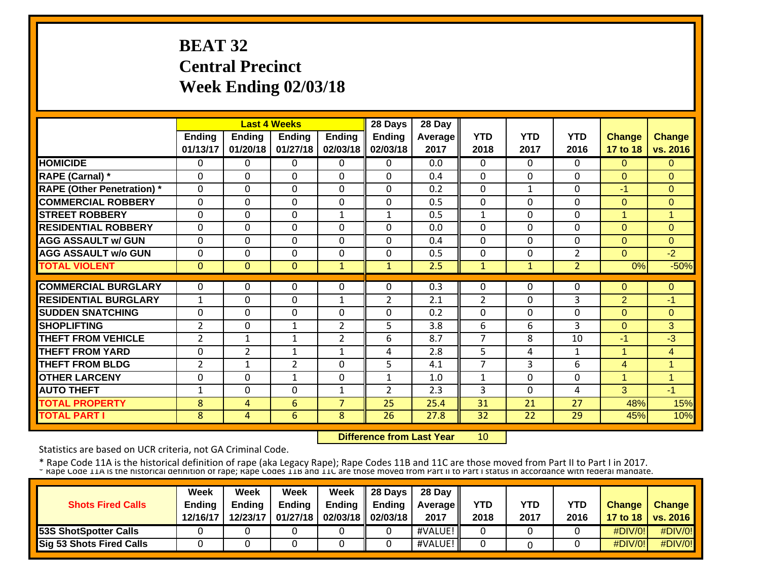# **BEAT 32 Central Precinct Week Ending 02/03/18**

|                                   |                |                | <b>Last 4 Weeks</b> |                | 28 Days        | 28 Day  |                |              |                |               |                |
|-----------------------------------|----------------|----------------|---------------------|----------------|----------------|---------|----------------|--------------|----------------|---------------|----------------|
|                                   | <b>Ending</b>  | <b>Ending</b>  | Ending              | <b>Ending</b>  | <b>Ending</b>  | Average | <b>YTD</b>     | <b>YTD</b>   | <b>YTD</b>     | <b>Change</b> | <b>Change</b>  |
|                                   | 01/13/17       | 01/20/18       | 01/27/18            | 02/03/18       | 02/03/18       | 2017    | 2018           | 2017         | 2016           | 17 to 18      | vs. 2016       |
| <b>HOMICIDE</b>                   | 0              | 0              | 0                   | 0              | $\Omega$       | 0.0     | $\Omega$       | 0            | 0              | $\Omega$      | $\Omega$       |
| RAPE (Carnal) *                   | 0              | $\Omega$       | $\Omega$            | $\Omega$       | $\Omega$       | 0.4     | $\Omega$       | $\Omega$     | $\Omega$       | $\Omega$      | $\Omega$       |
| <b>RAPE (Other Penetration)</b> * | $\mathbf 0$    | $\Omega$       | 0                   | $\mathbf 0$    | $\Omega$       | 0.2     | $\mathbf 0$    | $\mathbf{1}$ | $\Omega$       | $-1$          | $\overline{0}$ |
| <b>COMMERCIAL ROBBERY</b>         | $\Omega$       | 0              | 0                   | $\Omega$       | $\Omega$       | 0.5     | $\Omega$       | $\Omega$     | $\Omega$       | $\Omega$      | $\Omega$       |
| <b>STREET ROBBERY</b>             | $\Omega$       | 0              | $\mathbf 0$         | $\mathbf{1}$   | 1              | 0.5     | 1              | $\Omega$     | 0              | 1             | 1              |
| <b>RESIDENTIAL ROBBERY</b>        | $\Omega$       | 0              | $\Omega$            | $\Omega$       | $\Omega$       | 0.0     | $\Omega$       | 0            | 0              | $\Omega$      | $\Omega$       |
| <b>AGG ASSAULT w/ GUN</b>         | $\Omega$       | 0              | $\Omega$            | $\Omega$       | $\Omega$       | 0.4     | $\Omega$       | $\Omega$     | $\Omega$       | $\Omega$      | $\Omega$       |
| <b>AGG ASSAULT w/o GUN</b>        | $\Omega$       | 0              | $\Omega$            | $\Omega$       | $\Omega$       | 0.5     | $\Omega$       | $\Omega$     | $\overline{2}$ | $\Omega$      | $-2$           |
| <b>TOTAL VIOLENT</b>              | $\mathbf{0}$   | $\Omega$       | $\mathbf{0}$        | $\mathbf{1}$   | $\mathbf{1}$   | 2.5     | 1              | $\mathbf{1}$ | $\overline{2}$ | 0%            | $-50%$         |
|                                   |                |                |                     |                |                |         |                |              |                |               |                |
| <b>COMMERCIAL BURGLARY</b>        | 0              | 0              | 0                   | 0              | $\Omega$       | 0.3     | $\Omega$       | 0            | 0              | $\Omega$      | 0              |
| <b>RESIDENTIAL BURGLARY</b>       | $\mathbf{1}$   | 0              | $\Omega$            | 1              | 2              | 2.1     | $\overline{2}$ | $\Omega$     | 3              | 2             | $-1$           |
| <b>ISUDDEN SNATCHING</b>          | 0              | 0              | $\Omega$            | $\Omega$       | $\Omega$       | 0.2     | $\Omega$       | $\Omega$     | $\Omega$       | $\Omega$      | $\Omega$       |
| <b>ISHOPLIFTING</b>               | $\overline{2}$ | 0              | $\mathbf{1}$        | $\overline{2}$ | 5              | 3.8     | 6              | 6            | 3              | $\Omega$      | 3              |
| <b>THEFT FROM VEHICLE</b>         | $\overline{2}$ | $\mathbf{1}$   | $\mathbf{1}$        | $\overline{2}$ | 6              | 8.7     | 7              | 8            | 10             | $-1$          | -3             |
| <b>THEFT FROM YARD</b>            | $\Omega$       | $\overline{2}$ | $\mathbf{1}$        | $\mathbf{1}$   | 4              | 2.8     | 5              | 4            | $\mathbf{1}$   | 1             | 4              |
| <b>THEFT FROM BLDG</b>            | $\overline{2}$ | $\mathbf{1}$   | $\overline{2}$      | $\mathbf 0$    | 5              | 4.1     | $\overline{7}$ | 3            | 6              | 4             | 1              |
| <b>OTHER LARCENY</b>              | $\Omega$       | $\Omega$       | $\mathbf{1}$        | $\Omega$       | 1              | 1.0     | 1              | $\Omega$     | $\Omega$       | 1             | $\mathbf{1}$   |
| <b>AUTO THEFT</b>                 | $\mathbf{1}$   | $\Omega$       | $\mathbf 0$         | $\mathbf{1}$   | $\overline{2}$ | 2.3     | 3              | $\Omega$     | 4              | 3             | $-1$           |
| <b>TOTAL PROPERTY</b>             | 8              | 4              | 6                   | $\overline{7}$ | 25             | 25.4    | 31             | 21           | 27             | 48%           | 15%            |
| <b>TOTAL PART I</b>               | 8              | $\overline{4}$ | 6                   | 8              | 26             | 27.8    | 32             | 22           | 29             | 45%           | 10%            |

 **Difference from Last Year**10

Statistics are based on UCR criteria, not GA Criminal Code.

|                                 | Week          | Week          | Week          | Week                       | <b>28 Davs</b> | 28 Day            |            |      |            |               |                     |
|---------------------------------|---------------|---------------|---------------|----------------------------|----------------|-------------------|------------|------|------------|---------------|---------------------|
| <b>Shots Fired Calls</b>        | <b>Ending</b> | <b>Ending</b> | <b>Ending</b> | <b>Ending</b>              | Endina         | <b>Average II</b> | <b>YTD</b> | YTD  | <b>YTD</b> | <b>Change</b> | <b>Change</b>       |
|                                 | 12/16/17      | 12/23/17      |               | 01/27/18 02/03/18 02/03/18 |                | 2017              | 2018       | 2017 | 2016       |               | 17 to 18   vs. 2016 |
| <b>53S ShotSpotter Calls</b>    |               |               |               |                            |                | #VALUE!           |            |      |            | $\#$ DIV/0!   | #DIV/0!             |
| <b>Sig 53 Shots Fired Calls</b> |               |               |               |                            |                | #VALUE!           |            |      |            | $\#$ DIV/0!   | $\#$ DIV/0!         |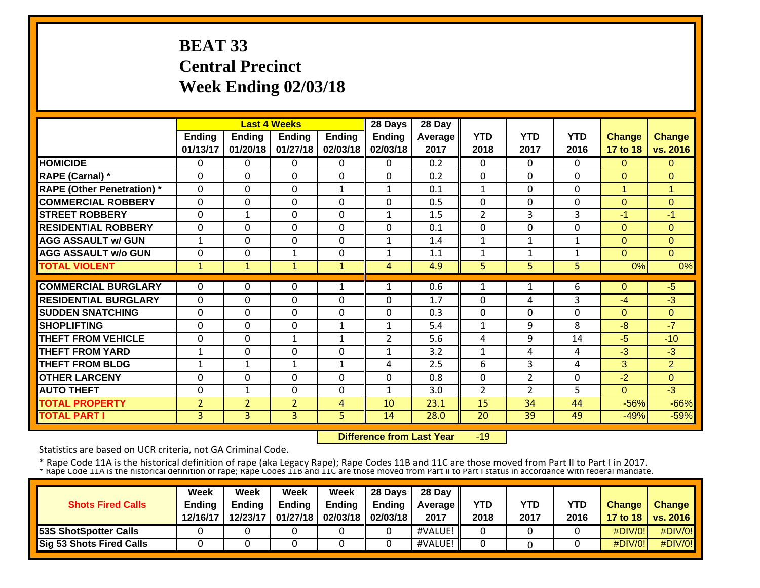# **BEAT 33 Central Precinct Week Ending 02/03/18**

|                                   |                |                | <b>Last 4 Weeks</b> |               | 28 Days        | 28 Day  |                |                |              |                |                |
|-----------------------------------|----------------|----------------|---------------------|---------------|----------------|---------|----------------|----------------|--------------|----------------|----------------|
|                                   | <b>Ending</b>  | <b>Ending</b>  | Ending              | <b>Ending</b> | <b>Ending</b>  | Average | <b>YTD</b>     | <b>YTD</b>     | <b>YTD</b>   | <b>Change</b>  | <b>Change</b>  |
|                                   | 01/13/17       | 01/20/18       | 01/27/18            | 02/03/18      | 02/03/18       | 2017    | 2018           | 2017           | 2016         | 17 to 18       | vs. 2016       |
| <b>HOMICIDE</b>                   | 0              | 0              | 0                   | 0             | $\mathbf{0}$   | 0.2     | $\Omega$       | $\Omega$       | 0            | $\Omega$       | $\Omega$       |
| <b>RAPE (Carnal)</b> *            | $\Omega$       | $\Omega$       | $\Omega$            | $\Omega$      | $\Omega$       | 0.2     | $\mathbf 0$    | 0              | $\Omega$     | $\Omega$       | $\Omega$       |
| <b>RAPE (Other Penetration)</b> * | $\mathbf 0$    | $\Omega$       | 0                   | $\mathbf{1}$  | $\mathbf{1}$   | 0.1     | $\mathbf{1}$   | 0              | 0            | $\overline{1}$ | $\mathbf{1}$   |
| <b>COMMERCIAL ROBBERY</b>         | $\Omega$       | 0              | $\Omega$            | $\Omega$      | $\Omega$       | 0.5     | $\Omega$       | 0              | $\Omega$     | $\Omega$       | $\Omega$       |
| <b>STREET ROBBERY</b>             | $\Omega$       | $\mathbf{1}$   | $\Omega$            | $\Omega$      | $\mathbf{1}$   | 1.5     | 2              | 3              | 3            | $-1$           | $-1$           |
| <b>RESIDENTIAL ROBBERY</b>        | $\Omega$       | 0              | 0                   | $\mathbf 0$   | $\mathbf 0$    | 0.1     | $\mathbf{0}$   | 0              | $\Omega$     | $\Omega$       | $\Omega$       |
| <b>AGG ASSAULT w/ GUN</b>         | 1              | 0              | $\mathbf 0$         | $\Omega$      | $\mathbf{1}$   | 1.4     | 1              | 1              | $\mathbf{1}$ | $\Omega$       | $\Omega$       |
| <b>AGG ASSAULT w/o GUN</b>        | $\Omega$       | 0              | 1                   | $\Omega$      | 1              | 1.1     | 1              | 1              |              | $\Omega$       | $\Omega$       |
| <b>TOTAL VIOLENT</b>              | $\mathbf 1$    | $\mathbf{1}$   | $\mathbf{1}$        | $\mathbf{1}$  | 4              | 4.9     | 5              | 5              | 5            | 0%             | 0%             |
|                                   |                |                |                     |               |                |         |                |                |              |                |                |
| <b>COMMERCIAL BURGLARY</b>        | 0              | 0              | 0                   | 1             | 1              | 0.6     | 1              | 1              | 6            | $\Omega$       | $-5$           |
| <b>RESIDENTIAL BURGLARY</b>       | $\Omega$       | 0              | 0                   | $\Omega$      | $\Omega$       | 1.7     | $\Omega$       | 4              | 3            | $-4$           | $-3$           |
| <b>ISUDDEN SNATCHING</b>          | $\Omega$       | 0              | $\Omega$            | $\Omega$      | $\Omega$       | 0.3     | $\Omega$       | $\Omega$       | $\Omega$     | $\Omega$       | $\Omega$       |
| <b>SHOPLIFTING</b>                | $\Omega$       | 0              | $\Omega$            | 1             | 1              | 5.4     | 1              | 9              | 8            | -8             | $-7$           |
| <b>THEFT FROM VEHICLE</b>         | 0              | 0              | $\mathbf{1}$        | 1             | $\overline{2}$ | 5.6     | 4              | 9              | 14           | $-5$           | $-10$          |
| <b>THEFT FROM YARD</b>            | 1              | $\Omega$       | $\Omega$            | $\Omega$      | $\mathbf{1}$   | 3.2     | 1              | 4              | 4            | $-3$           | $-3$           |
| <b>THEFT FROM BLDG</b>            | $\mathbf{1}$   | $\mathbf{1}$   | $\mathbf{1}$        | $\mathbf{1}$  | 4              | 2.5     | 6              | 3              | 4            | 3              | $\overline{2}$ |
| <b>OTHER LARCENY</b>              | $\Omega$       | $\Omega$       | 0                   | $\Omega$      | $\Omega$       | 0.8     | $\mathbf 0$    | $\overline{2}$ | $\Omega$     | $-2$           | $\mathbf{0}$   |
| <b>AUTO THEFT</b>                 | $\Omega$       | $\mathbf{1}$   | $\mathbf 0$         | $\mathbf 0$   | $\mathbf{1}$   | 3.0     | $\overline{2}$ | $\overline{2}$ | 5.           | $\overline{0}$ | $-3$           |
| <b>TOTAL PROPERTY</b>             | $\overline{2}$ | $\overline{2}$ | $\overline{2}$      | 4             | 10             | 23.1    | 15             | 34             | 44           | $-56%$         | $-66%$         |
| <b>TOTAL PART I</b>               | $\overline{3}$ | 3              | 3                   | 5             | 14             | 28.0    | 20             | 39             | 49           | $-49%$         | $-59%$         |

 **Difference from Last Year**‐19

Statistics are based on UCR criteria, not GA Criminal Code.

|                                 | Week          | Week          | Week          | Week                       | $\parallel$ 28 Days | 28 Day            |      |      |      |               |                     |
|---------------------------------|---------------|---------------|---------------|----------------------------|---------------------|-------------------|------|------|------|---------------|---------------------|
| <b>Shots Fired Calls</b>        | <b>Ending</b> | <b>Endina</b> | <b>Ending</b> | Ending                     | Endina              | <b>Average II</b> | YTD  | YTD  | YTD  | <b>Change</b> | <b>Change</b>       |
|                                 | 12/16/17      | 12/23/17      |               | 01/27/18 02/03/18 02/03/18 |                     | 2017              | 2018 | 2017 | 2016 |               | 17 to 18   vs. 2016 |
| <b>53S ShotSpotter Calls</b>    |               |               |               |                            |                     | #VALUE!           |      |      |      | #DIV/0!       | $\#$ DIV/0!         |
| <b>Sig 53 Shots Fired Calls</b> |               |               |               |                            |                     | #VALUE!           |      |      |      | #DIV/0!       | #DIV/0!             |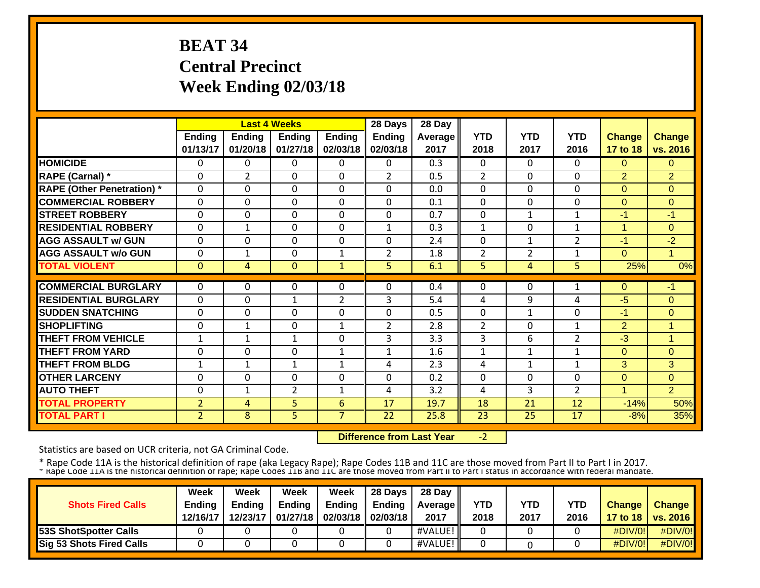# **BEAT 34 Central Precinct Week Ending 02/03/18**

|                                   |                | <b>Last 4 Weeks</b> |                |                | 28 Days        | 28 Day  |                |                |                |                |                |
|-----------------------------------|----------------|---------------------|----------------|----------------|----------------|---------|----------------|----------------|----------------|----------------|----------------|
|                                   | <b>Ending</b>  | <b>Ending</b>       | <b>Ending</b>  | <b>Ending</b>  | <b>Ending</b>  | Average | <b>YTD</b>     | <b>YTD</b>     | <b>YTD</b>     | <b>Change</b>  | <b>Change</b>  |
|                                   | 01/13/17       | 01/20/18            | 01/27/18       | 02/03/18       | 02/03/18       | 2017    | 2018           | 2017           | 2016           | 17 to 18       | vs. 2016       |
| <b>HOMICIDE</b>                   | 0              | 0                   | 0              | $\Omega$       | $\Omega$       | 0.3     | $\Omega$       | $\Omega$       | 0              | $\Omega$       | $\Omega$       |
| <b>RAPE (Carnal)</b> *            | 0              | $\overline{2}$      | $\Omega$       | $\Omega$       | $\overline{2}$ | 0.5     | $\overline{2}$ | $\Omega$       | $\Omega$       | 2              | $\overline{2}$ |
| <b>RAPE (Other Penetration) *</b> | $\mathbf 0$    | $\Omega$            | 0              | $\mathbf 0$    | $\Omega$       | 0.0     | $\mathbf 0$    | $\Omega$       | $\Omega$       | $\overline{0}$ | $\overline{0}$ |
| <b>COMMERCIAL ROBBERY</b>         | $\mathbf 0$    | $\Omega$            | 0              | $\mathbf 0$    | $\Omega$       | 0.1     | $\mathbf 0$    | 0              | $\Omega$       | $\Omega$       | $\overline{0}$ |
| <b>STREET ROBBERY</b>             | $\Omega$       | $\Omega$            | 0              | $\Omega$       | $\Omega$       | 0.7     | 0              | $\mathbf{1}$   | 1              | $-1$           | $-1$           |
| <b>RESIDENTIAL ROBBERY</b>        | $\Omega$       | $\mathbf{1}$        | $\Omega$       | $\Omega$       | $\mathbf{1}$   | 0.3     | $\mathbf{1}$   | 0              | $\mathbf{1}$   | 1              | $\Omega$       |
| <b>AGG ASSAULT w/ GUN</b>         | $\Omega$       | 0                   | $\Omega$       | $\Omega$       | $\Omega$       | 2.4     | $\Omega$       | $\mathbf{1}$   | $\overline{2}$ | $-1$           | $-2$           |
| <b>AGG ASSAULT w/o GUN</b>        | $\Omega$       |                     | 0              | $\mathbf{1}$   | $\overline{2}$ | 1.8     | 2              | $\overline{2}$ | 1              | $\Omega$       | 1              |
| <b>TOTAL VIOLENT</b>              | $\mathbf{0}$   | 4                   | $\mathbf{0}$   | $\mathbf{1}$   | 5              | 6.1     | 5              | 4              | 5.             | 25%            | 0%             |
| <b>COMMERCIAL BURGLARY</b>        | $\Omega$       | 0                   |                |                | $\Omega$       |         |                |                |                |                |                |
|                                   |                |                     | 0              | 0              |                | 0.4     | $\Omega$       | 0              |                | $\Omega$       | -1             |
| <b>RESIDENTIAL BURGLARY</b>       | $\Omega$       | 0                   | $\mathbf{1}$   | $\overline{2}$ | 3              | 5.4     | 4              | 9              | 4              | -5             | $\mathbf 0$    |
| <b>ISUDDEN SNATCHING</b>          | $\Omega$       | 0                   | $\Omega$       | $\Omega$       | $\Omega$       | 0.5     | $\Omega$       | 1              | $\Omega$       | -1             | $\Omega$       |
| <b>SHOPLIFTING</b>                | 0              | $\mathbf{1}$        | $\Omega$       | 1              | $\overline{2}$ | 2.8     | $\overline{2}$ | $\Omega$       | $\mathbf{1}$   | 2              | $\mathbf{1}$   |
| <b>THEFT FROM VEHICLE</b>         | $\mathbf{1}$   | $\mathbf{1}$        | $\mathbf{1}$   | $\Omega$       | 3              | 3.3     | 3              | 6              | $\overline{2}$ | $-3$           | $\mathbf{1}$   |
| <b>THEFT FROM YARD</b>            | $\Omega$       | $\Omega$            | $\Omega$       | $\mathbf{1}$   | $\mathbf{1}$   | 1.6     | $\mathbf{1}$   | $\mathbf{1}$   | $\mathbf{1}$   | $\Omega$       | $\Omega$       |
| <b>THEFT FROM BLDG</b>            | $\mathbf{1}$   | $\mathbf{1}$        | $\mathbf 1$    | $\mathbf{1}$   | 4              | 2.3     | 4              | $\mathbf{1}$   | $\mathbf{1}$   | 3              | 3              |
| <b>OTHER LARCENY</b>              | $\Omega$       | $\Omega$            | 0              | $\mathbf 0$    | $\Omega$       | 0.2     | $\mathbf 0$    | $\Omega$       | $\Omega$       | $\overline{0}$ | $\overline{0}$ |
| <b>AUTO THEFT</b>                 | $\mathbf 0$    | $\mathbf{1}$        | $\overline{2}$ | $\mathbf{1}$   | 4              | 3.2     | 4              | 3              | $\overline{2}$ | $\overline{1}$ | 2              |
| <b>TOTAL PROPERTY</b>             | $\overline{2}$ | 4                   | 5              | 6              | 17             | 19.7    | 18             | 21             | 12             | $-14%$         | 50%            |
| <b>TOTAL PART I</b>               | $\overline{2}$ | 8                   | 5              | $\overline{7}$ | 22             | 25.8    | 23             | 25             | 17             | $-8%$          | 35%            |

 **Difference from Last Year**‐2

Statistics are based on UCR criteria, not GA Criminal Code.

|                              | Week          | Week          | Week          | Week                       | $\parallel$ 28 Days | 28 Day            |      |      |            |               |                     |
|------------------------------|---------------|---------------|---------------|----------------------------|---------------------|-------------------|------|------|------------|---------------|---------------------|
| <b>Shots Fired Calls</b>     | <b>Ending</b> | <b>Endina</b> | <b>Ending</b> | Ending                     | Endina              | <b>Average II</b> | YTD  | YTD  | <b>YTD</b> | <b>Change</b> | <b>Change</b>       |
|                              | 12/16/17      | 12/23/17      |               | 01/27/18 02/03/18 02/03/18 |                     | 2017              | 2018 | 2017 | 2016       |               | 17 to 18   vs. 2016 |
| <b>53S ShotSpotter Calls</b> |               |               |               |                            |                     | #VALUE!           |      |      |            | $\#$ DIV/0!   | #DIV/0!             |
| Sig 53 Shots Fired Calls     |               |               |               |                            |                     | #VALUE!           |      |      |            | $\#$ DIV/0!   | #DIV/0!             |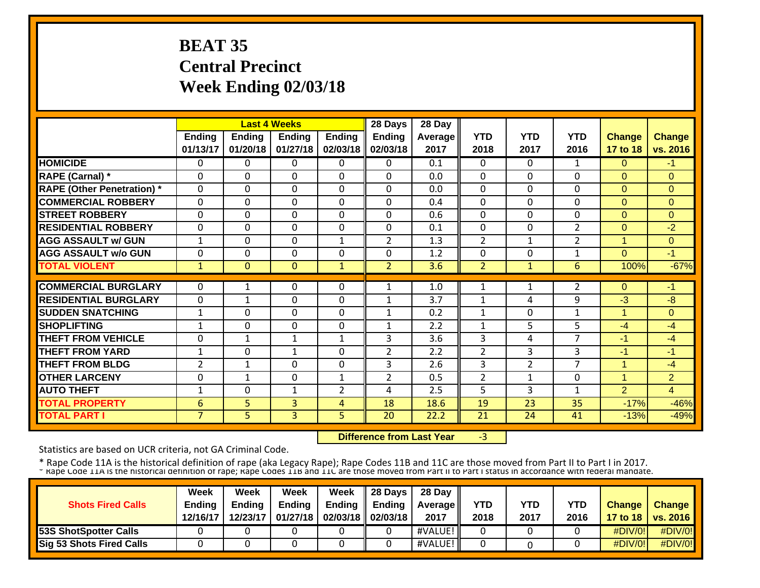# **BEAT 35 Central Precinct Week Ending 02/03/18**

|                                   |                | <b>Last 4 Weeks</b> |                |                | 28 Days        | 28 Day         |                |                |                |                |                |
|-----------------------------------|----------------|---------------------|----------------|----------------|----------------|----------------|----------------|----------------|----------------|----------------|----------------|
|                                   | <b>Ending</b>  | <b>Ending</b>       | <b>Ending</b>  | <b>Ending</b>  | <b>Ending</b>  | <b>Average</b> | <b>YTD</b>     | <b>YTD</b>     | <b>YTD</b>     | <b>Change</b>  | <b>Change</b>  |
|                                   | 01/13/17       | 01/20/18            | 01/27/18       | 02/03/18       | 02/03/18       | 2017           | 2018           | 2017           | 2016           | 17 to 18       | vs. 2016       |
| <b>HOMICIDE</b>                   | 0              | $\Omega$            | 0              | 0              | $\Omega$       | 0.1            | 0              | 0              | 1              | 0              | -1             |
| <b>RAPE (Carnal)</b> *            | $\Omega$       | 0                   | $\Omega$       | $\Omega$       | $\Omega$       | 0.0            | $\Omega$       | $\Omega$       | $\Omega$       | $\Omega$       | $\Omega$       |
| <b>RAPE (Other Penetration)</b> * | $\Omega$       | 0                   | $\Omega$       | $\Omega$       | $\Omega$       | 0.0            | $\mathbf{0}$   | $\Omega$       | $\Omega$       | $\Omega$       | $\Omega$       |
| <b>COMMERCIAL ROBBERY</b>         | $\Omega$       | 0                   | $\Omega$       | $\Omega$       | $\Omega$       | 0.4            | $\mathbf{0}$   | 0              | $\Omega$       | $\Omega$       | $\Omega$       |
| <b>STREET ROBBERY</b>             | $\Omega$       | 0                   | $\Omega$       | $\Omega$       | $\Omega$       | 0.6            | $\Omega$       | $\Omega$       | $\Omega$       | $\Omega$       | $\Omega$       |
| <b>RESIDENTIAL ROBBERY</b>        | $\Omega$       | 0                   | $\Omega$       | $\Omega$       | $\Omega$       | 0.1            | $\Omega$       | $\Omega$       | $\overline{2}$ | $\Omega$       | $-2$           |
| <b>AGG ASSAULT w/ GUN</b>         | $\mathbf{1}$   | 0                   | $\mathbf 0$    | $\mathbf{1}$   | $\overline{2}$ | 1.3            | $\overline{2}$ | 1              | $\overline{2}$ | $\mathbf{1}$   | $\Omega$       |
| <b>AGG ASSAULT w/o GUN</b>        | $\Omega$       | 0                   | 0              | $\Omega$       | $\Omega$       | 1.2            | 0              | $\Omega$       | 1              | $\Omega$       | $-1$           |
| <b>TOTAL VIOLENT</b>              | 1              | $\Omega$            | $\mathbf{0}$   | $\mathbf{1}$   | 2              | 3.6            | $\overline{2}$ | $\mathbf{1}$   | 6              | 100%           | $-67%$         |
|                                   |                |                     |                |                |                |                |                |                |                |                |                |
| <b>COMMERCIAL BURGLARY</b>        | 0              |                     | 0              | $\Omega$       | 1              | 1.0            | 1              | 1              | 2              | $\Omega$       | -1             |
| <b>RESIDENTIAL BURGLARY</b>       | $\Omega$       | $\mathbf{1}$        | $\Omega$       | $\Omega$       | $\mathbf{1}$   | 3.7            | $\mathbf{1}$   | 4              | 9              | -3             | $-8$           |
| <b>SUDDEN SNATCHING</b>           | 1              | 0                   | $\Omega$       | $\Omega$       | 1              | 0.2            | 1              | $\Omega$       | 1              | 1              | $\Omega$       |
| <b>SHOPLIFTING</b>                | 1              | 0                   | $\Omega$       | $\Omega$       | $\mathbf{1}$   | 2.2            | 1              | 5              | 5              | $-4$           | $-4$           |
| <b>THEFT FROM VEHICLE</b>         | 0              | $\mathbf{1}$        | $\mathbf{1}$   | 1              | 3              | 3.6            | 3              | 4              | 7              | -1             | $-4$           |
| <b>THEFT FROM YARD</b>            | 1              | $\Omega$            | $\mathbf{1}$   | $\Omega$       | $\overline{2}$ | 2.2            | $\overline{2}$ | 3              | 3              | -1             | -1             |
| <b>THEFT FROM BLDG</b>            | $\overline{2}$ | $\mathbf{1}$        | $\mathbf 0$    | $\Omega$       | 3              | 2.6            | 3              | $\overline{2}$ | $\overline{7}$ | 1              | $-4$           |
| <b>OTHER LARCENY</b>              | $\Omega$       | $\mathbf{1}$        | $\mathbf 0$    | $\mathbf{1}$   | $\overline{2}$ | 0.5            | $\overline{2}$ | 1              | $\Omega$       | $\overline{1}$ | $\overline{2}$ |
| <b>AUTO THEFT</b>                 | $\mathbf{1}$   | $\Omega$            | $\mathbf{1}$   | $\overline{2}$ | 4              | 2.5            | 5              | 3              | $\mathbf{1}$   | $\overline{2}$ | $\overline{4}$ |
| <b>TOTAL PROPERTY</b>             | 6              | 5                   | 3              | 4              | 18             | 18.6           | 19             | 23             | 35             | $-17%$         | $-46%$         |
| <b>TOTAL PART I</b>               | $\overline{7}$ | 5                   | $\overline{3}$ | 5              | 20             | 22.2           | 21             | 24             | 41             | $-13%$         | $-49%$         |

 **Difference from Last Year**‐3

Statistics are based on UCR criteria, not GA Criminal Code.

|                                 | Week          | Week          | Week          | Week          | 28 Davs           | 28 Day     |            |      |            |                  |                 |
|---------------------------------|---------------|---------------|---------------|---------------|-------------------|------------|------------|------|------------|------------------|-----------------|
| <b>Shots Fired Calls</b>        | <b>Ending</b> | <b>Endina</b> | <b>Ending</b> | <b>Ending</b> | Endina            | Average II | <b>YTD</b> | YTD  | <b>YTD</b> | <b>Change</b>    | <b>Change</b>   |
|                                 | 12/16/17      | 12/23/17      | 01/27/18      |               | 02/03/18 02/03/18 | 2017       | 2018       | 2017 | 2016       | 17 to 18 $\vert$ | <b>vs. 2016</b> |
| <b>53S ShotSpotter Calls</b>    |               |               |               |               |                   | #VALUE!    |            |      |            | #DIV/0!          | #DIV/0!         |
| <b>Sig 53 Shots Fired Calls</b> |               |               |               |               |                   | #VALUE!    |            |      |            | #DIV/0!          | #DIV/0!         |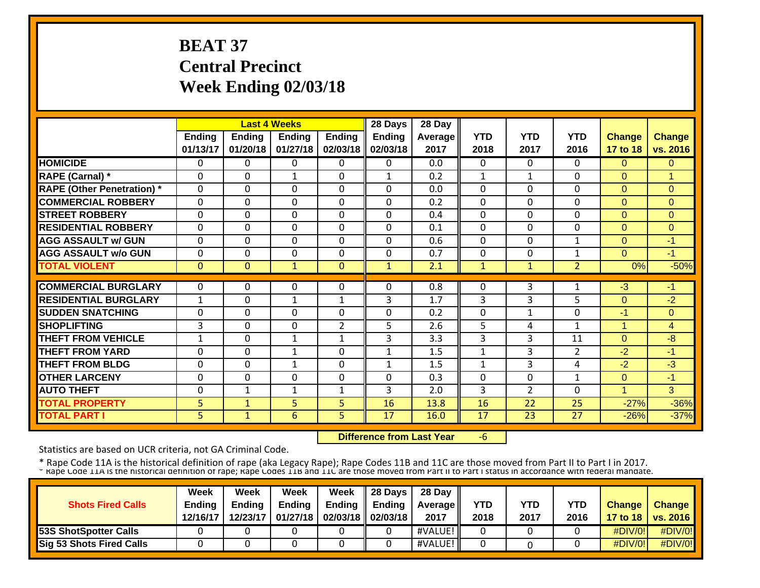# **BEAT 37 Central Precinct Week Ending 02/03/18**

|                                   |               |               | <b>Last 4 Weeks</b> |               | 28 Days       | 28 Day  |            |                |                |               |               |
|-----------------------------------|---------------|---------------|---------------------|---------------|---------------|---------|------------|----------------|----------------|---------------|---------------|
|                                   | <b>Ending</b> | <b>Ending</b> | Ending              | <b>Ending</b> | <b>Ending</b> | Average | <b>YTD</b> | <b>YTD</b>     | <b>YTD</b>     | <b>Change</b> | <b>Change</b> |
|                                   | 01/13/17      | 01/20/18      | 01/27/18            | 02/03/18      | 02/03/18      | 2017    | 2018       | 2017           | 2016           | 17 to 18      | vs. 2016      |
| <b>HOMICIDE</b>                   | 0             | 0             | 0                   | $\Omega$      | $\Omega$      | 0.0     | $\Omega$   | 0              | 0              | $\Omega$      | 0             |
| <b>RAPE (Carnal)</b> *            | 0             | $\Omega$      | 1                   | $\Omega$      | $\mathbf{1}$  | 0.2     | 1          | 1              | $\Omega$       | $\Omega$      | 1             |
| <b>RAPE (Other Penetration)</b> * | $\Omega$      | $\Omega$      | $\Omega$            | $\Omega$      | $\Omega$      | 0.0     | 0          | 0              | $\Omega$       | $\Omega$      | $\Omega$      |
| <b>COMMERCIAL ROBBERY</b>         | $\Omega$      | 0             | 0                   | $\Omega$      | $\Omega$      | 0.2     | $\Omega$   | 0              | $\Omega$       | $\Omega$      | $\Omega$      |
| <b>STREET ROBBERY</b>             | $\Omega$      | 0             | $\Omega$            | $\Omega$      | $\Omega$      | 0.4     | $\Omega$   | 0              | $\Omega$       | $\Omega$      | $\Omega$      |
| <b>RESIDENTIAL ROBBERY</b>        | $\Omega$      | $\Omega$      | $\Omega$            | $\Omega$      | $\Omega$      | 0.1     | $\Omega$   | $\Omega$       | $\Omega$       | $\Omega$      | $\Omega$      |
| <b>AGG ASSAULT w/ GUN</b>         | $\Omega$      | 0             | $\Omega$            | $\Omega$      | $\Omega$      | 0.6     | $\Omega$   | $\Omega$       | $\mathbf{1}$   | $\Omega$      | $-1$          |
| <b>AGG ASSAULT w/o GUN</b>        | 0             | 0             | $\Omega$            | $\Omega$      | $\Omega$      | 0.7     | $\Omega$   | $\Omega$       | 1              | $\Omega$      | $-1$          |
| <b>TOTAL VIOLENT</b>              | $\Omega$      | $\Omega$      | $\mathbf{1}$        | $\mathbf{0}$  | $\mathbf{1}$  | 2.1     | 1          | $\mathbf{1}$   | $\overline{2}$ | 0%            | $-50%$        |
|                                   |               |               |                     |               |               |         |            |                |                |               |               |
| <b>COMMERCIAL BURGLARY</b>        | 0             | 0             | 0                   | 0             | $\Omega$      | 0.8     | 0          | 3              |                | $-3$          | -1            |
| <b>RESIDENTIAL BURGLARY</b>       | 1             | 0             | $\mathbf{1}$        | 1             | 3             | 1.7     | 3          | 3              | 5              | $\Omega$      | $-2$          |
| <b>SUDDEN SNATCHING</b>           | 0             | 0             | $\Omega$            | $\Omega$      | $\Omega$      | 0.2     | $\Omega$   | 1              | 0              | -1            | $\Omega$      |
| <b>ISHOPLIFTING</b>               | 3             | 0             | $\Omega$            | 2             | 5             | 2.6     | 5          | 4              | 1              | 1             | 4             |
| <b>THEFT FROM VEHICLE</b>         | $\mathbf{1}$  | $\mathbf 0$   | $\mathbf{1}$        | $\mathbf{1}$  | 3             | 3.3     | 3          | 3              | 11             | $\Omega$      | -8            |
| <b>THEFT FROM YARD</b>            | $\Omega$      | $\Omega$      | $\mathbf{1}$        | $\Omega$      | $\mathbf{1}$  | 1.5     | 1          | 3              | $\overline{2}$ | $-2$          | $-1$          |
| <b>THEFT FROM BLDG</b>            | $\Omega$      | $\Omega$      | $\mathbf{1}$        | $\Omega$      | $\mathbf{1}$  | 1.5     | 1          | 3              | 4              | $-2$          | $-3$          |
| <b>OTHER LARCENY</b>              | $\Omega$      | 0             | $\Omega$            | 0             | $\Omega$      | 0.3     | $\Omega$   | $\Omega$       | $\mathbf{1}$   | $\mathbf{0}$  | $-1$          |
| <b>AUTO THEFT</b>                 | $\Omega$      | 1             | $\mathbf{1}$        | $\mathbf{1}$  | 3             | 2.0     | 3          | $\overline{2}$ | 0              | $\mathbf{1}$  | 3             |
| <b>TOTAL PROPERTY</b>             | 5             | $\mathbf{1}$  | 5                   | 5             | 16            | 13.8    | 16         | 22             | 25             | $-27%$        | $-36%$        |
| <b>TOTAL PART I</b>               | 5             | $\mathbf{1}$  | 6                   | 5             | 17            | 16.0    | 17         | 23             | 27             | $-26%$        | $-37%$        |

 **Difference from Last Year**‐6

Statistics are based on UCR criteria, not GA Criminal Code.

|                                 | Week          | Week          | Week          | Week          | 28 Davs           | 28 Day     |            |      |            |                  |                 |
|---------------------------------|---------------|---------------|---------------|---------------|-------------------|------------|------------|------|------------|------------------|-----------------|
| <b>Shots Fired Calls</b>        | <b>Ending</b> | <b>Endina</b> | <b>Ending</b> | <b>Ending</b> | Endina            | Average II | <b>YTD</b> | YTD  | <b>YTD</b> | <b>Change</b>    | <b>Change</b>   |
|                                 | 12/16/17      | 12/23/17      | 01/27/18      |               | 02/03/18 02/03/18 | 2017       | 2018       | 2017 | 2016       | 17 to 18 $\vert$ | <b>vs. 2016</b> |
| <b>53S ShotSpotter Calls</b>    |               |               |               |               |                   | #VALUE!    |            |      |            | #DIV/0!          | #DIV/0!         |
| <b>Sig 53 Shots Fired Calls</b> |               |               |               |               |                   | #VALUE!    |            |      |            | #DIV/0!          | #DIV/0!         |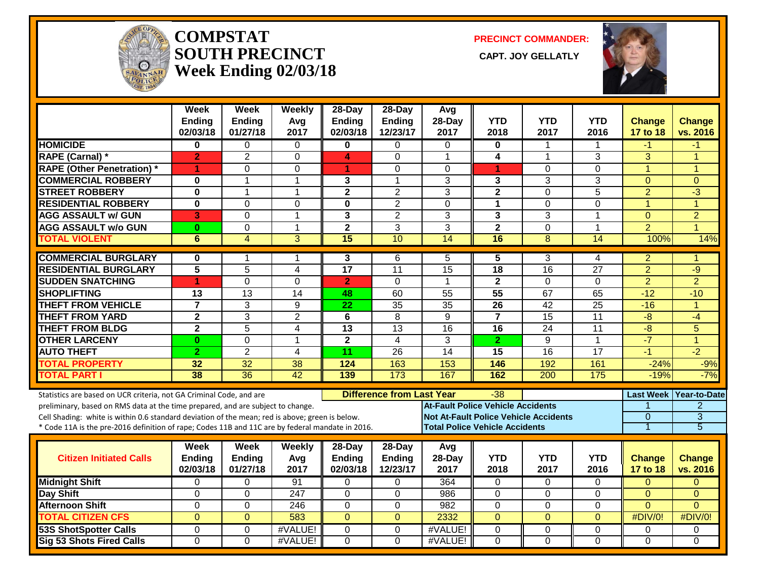

#### **COMPSTATSOUTH PRECINCT CAPT. JOY GELLATLYWeek Ending 02/03/18**

**PRECINCT COMMANDER:**

CAPT. JOY GELLATLY



|                                                                                                  | Week<br>Ending<br>02/03/18 | Week<br><b>Ending</b><br>01/27/18 | Weekly<br>Avg<br>2017 | 28-Day<br>Ending<br>02/03/18 | 28-Day<br><b>Ending</b><br>12/23/17 | Avg<br>28-Day<br>2017                        | <b>YTD</b><br>2018                    | <b>YTD</b><br>2017 | <b>YTD</b><br>2016 | <b>Change</b><br>17 to 18 | <b>Change</b><br>vs. 2016 |
|--------------------------------------------------------------------------------------------------|----------------------------|-----------------------------------|-----------------------|------------------------------|-------------------------------------|----------------------------------------------|---------------------------------------|--------------------|--------------------|---------------------------|---------------------------|
| <b>HOMICIDE</b>                                                                                  | 0                          | $\Omega$                          | $\mathbf{0}$          | $\mathbf{0}$                 | $\Omega$                            | $\Omega$                                     | $\mathbf{0}$                          | 1                  |                    | $-1$                      | -1                        |
| <b>RAPE (Carnal)*</b>                                                                            | $\overline{2}$             | $\overline{2}$                    | $\Omega$              | 4                            | $\Omega$                            | 1                                            | 4                                     | 1                  | 3                  | 3                         | 1                         |
| <b>RAPE (Other Penetration)</b> *                                                                | 1                          | $\overline{0}$                    | $\overline{0}$        | 1                            | $\Omega$                            | $\Omega$                                     | 1                                     | $\overline{0}$     | $\overline{0}$     | $\overline{1}$            | $\overline{1}$            |
| <b>COMMERCIAL ROBBERY</b>                                                                        | $\bf{0}$                   | 1                                 | $\mathbf{1}$          | 3                            | $\mathbf 1$                         | 3                                            | 3                                     | 3                  | 3                  | $\mathbf{0}$              | $\mathbf{0}$              |
| <b>STREET ROBBERY</b>                                                                            | $\mathbf{0}$               | $\mathbf 1$                       | $\overline{1}$        | $\overline{2}$               | $\overline{2}$                      | $\overline{3}$                               | $\overline{2}$                        | 0                  | 5                  | $\overline{2}$            | $\overline{\cdot 3}$      |
| <b>RESIDENTIAL ROBBERY</b>                                                                       | $\mathbf 0$                | 0                                 | $\Omega$              | $\bf{0}$                     | $\overline{2}$                      | $\Omega$                                     | $\mathbf{1}$                          | $\mathbf 0$        | 0                  | $\overline{1}$            | $\overline{1}$            |
| <b>AGG ASSAULT w/ GUN</b>                                                                        | 3                          | 0                                 | $\overline{1}$        | 3                            | $\overline{2}$                      | 3                                            | 3                                     | 3                  | 1                  | $\overline{0}$            | $\overline{2}$            |
| <b>AGG ASSAULT w/o GUN</b>                                                                       | $\bf{0}$                   | 0                                 | $\mathbf{1}$          | $\mathbf{2}$                 | 3                                   | 3                                            | $\mathbf{2}$                          | 0                  | $\mathbf 1$        | $\overline{2}$            | $\overline{1}$            |
| <b>TOTAL VIOLENT</b>                                                                             | 6                          | $\overline{4}$                    | $\overline{3}$        | 15                           | 10                                  | 14                                           | 16                                    | 8                  | 14                 | 100%                      | 14%                       |
| <b>COMMERCIAL BURGLARY</b>                                                                       | $\bf{0}$                   | 1                                 | -1                    | 3                            | 6                                   | 5                                            | 5                                     | 3                  | 4                  | $\overline{2}$            | 1                         |
| <b>RESIDENTIAL BURGLARY</b>                                                                      | $\overline{5}$             | $\overline{5}$                    | $\overline{4}$        | $\overline{17}$              | $\overline{11}$                     | $\overline{15}$                              | 18                                    | 16                 | $\overline{27}$    | $\overline{2}$            | $-9$                      |
| <b>SUDDEN SNATCHING</b>                                                                          | 1                          | 0                                 | $\Omega$              | $\overline{2}$               | $\Omega$                            | $\mathbf{1}$                                 | $\mathbf{2}$                          | 0                  | $\Omega$           | $\overline{2}$            | $\overline{2}$            |
| <b>SHOPLIFTING</b>                                                                               | $\overline{13}$            | $\overline{13}$                   | 14                    | 48                           | 60                                  | $\overline{55}$                              | 55                                    | 67                 | 65                 | $-12$                     | $-10$                     |
| <b>THEFT FROM VEHICLE</b>                                                                        | $\overline{7}$             | 3                                 | 9                     | $\overline{22}$              | 35                                  | $\overline{35}$                              | 26                                    | 42                 | 25                 | $-16$                     | $\overline{1}$            |
| <b>THEFT FROM YARD</b>                                                                           | $\overline{2}$             | 3                                 | $\overline{2}$        | 6                            | 8                                   | 9                                            | $\overline{7}$                        | $\overline{15}$    | $\overline{11}$    | $-\frac{1}{\sqrt{2}}$     | $-4$                      |
| <b>THEFT FROM BLDG</b>                                                                           | $\mathbf 2$                | 5                                 | 4                     | 13                           | 13                                  | 16                                           | 16                                    | 24                 | 11                 | $-8$                      | 5                         |
| <b>OTHER LARCENY</b>                                                                             | $\bf{0}$                   | 0                                 | $\overline{1}$        | $\overline{2}$               | 4                                   | 3                                            | $\overline{2}$                        | $\overline{9}$     | 1                  | $-7$                      | $\overline{1}$            |
| <b>AUTO THEFT</b>                                                                                | $\overline{2}$             | $\overline{2}$                    | 4                     | 11                           | 26                                  | 14                                           | 15                                    | 16                 | 17                 | $-1$                      | $-2$                      |
| <b>TOTAL PROPERTY</b>                                                                            | 32                         | $\overline{32}$                   | 38                    | $\frac{1}{124}$              | 163                                 | 153                                          | 146                                   | 192                | 161                | $-24%$                    | $-9%$                     |
| <b>TOTAL PART I</b>                                                                              | 38                         | $\overline{36}$                   | 42                    | 139                          | 173                                 | 167                                          | 162                                   | 200                | 175                | $-19%$                    | $-7%$                     |
| Statistics are based on UCR criteria, not GA Criminal Code, and are                              |                            |                                   |                       |                              | <b>Difference from Last Year</b>    |                                              | -38                                   |                    |                    |                           | Last Week Year-to-Date    |
| preliminary, based on RMS data at the time prepared, and are subject to change.                  |                            |                                   |                       |                              |                                     | At-Fault Police Vehicle Accidents            |                                       |                    |                    | 1                         | $\overline{2}$            |
| Cell Shading: white is within 0.6 standard deviation of the mean; red is above; green is below.  |                            |                                   |                       |                              |                                     | <b>Not At-Fault Police Vehicle Accidents</b> |                                       |                    |                    | $\overline{0}$            | $\overline{3}$            |
| * Code 11A is the pre-2016 definition of rape; Codes 11B and 11C are by federal mandate in 2016. |                            |                                   |                       |                              |                                     |                                              | <b>Total Police Vehicle Accidents</b> |                    |                    | 1                         | 5                         |
|                                                                                                  | Week                       | <b>Week</b>                       | Weekly                | 28-Day                       | 28-Day                              | Avg                                          |                                       |                    |                    |                           |                           |
| <b>Citizen Initiated Calls</b>                                                                   | <b>Ending</b>              | <b>Ending</b>                     | Avg                   | <b>Ending</b>                | Ending                              | 28-Day                                       | <b>YTD</b>                            | <b>YTD</b>         | <b>YTD</b>         | <b>Change</b>             | <b>Change</b>             |
|                                                                                                  | 02/03/18                   | 01/27/18                          | 2017                  | 02/03/18                     | 12/23/17                            | 2017                                         | 2018                                  | 2017               | 2016               | 17 to 18                  | vs. 2016                  |
| <b>Midnight Shift</b>                                                                            | 0                          | 0                                 | 91                    | 0                            | $\Omega$                            | 364                                          | 0                                     | $\overline{0}$     | $\Omega$           | $\mathbf{0}$              | $\mathbf{0}$              |
| Day Shift                                                                                        | 0                          | 0                                 | 247                   | $\Omega$                     | $\Omega$                            | 986                                          | $\Omega$                              | $\mathbf 0$        | 0                  | $\Omega$                  | $\Omega$                  |
| <b>Afternoon Shift</b>                                                                           | $\overline{0}$             | 0                                 | $\overline{246}$      | $\mathbf 0$                  | $\mathbf 0$                         | 982                                          | $\mathbf 0$                           | $\mathbf 0$        | $\Omega$           | $\Omega$                  | $\Omega$                  |
| <b>TOTAL CITIZEN CFS</b>                                                                         | $\overline{0}$             | $\overline{0}$                    | 583                   | $\overline{0}$               | $\overline{0}$                      | 2332                                         | $\overline{0}$                        | $\overline{0}$     | $\overline{0}$     | #DIV/0!                   | #DIV/0!                   |
| <b>53S ShotSpotter Calls</b>                                                                     | $\Omega$                   | $\Omega$                          | #VALUE!               | $\Omega$                     | $\Omega$                            | #VALUE!                                      | $\Omega$                              | $\Omega$           | $\Omega$           | 0                         | $\Omega$                  |
| <b>Sig 53 Shots Fired Calls</b>                                                                  | $\overline{0}$             | $\overline{0}$                    | #VALUE!               | $\overline{0}$               | $\overline{0}$                      | #VALUE!                                      | $\overline{0}$                        | $\overline{0}$     | $\overline{0}$     | $\overline{0}$            | $\overline{0}$            |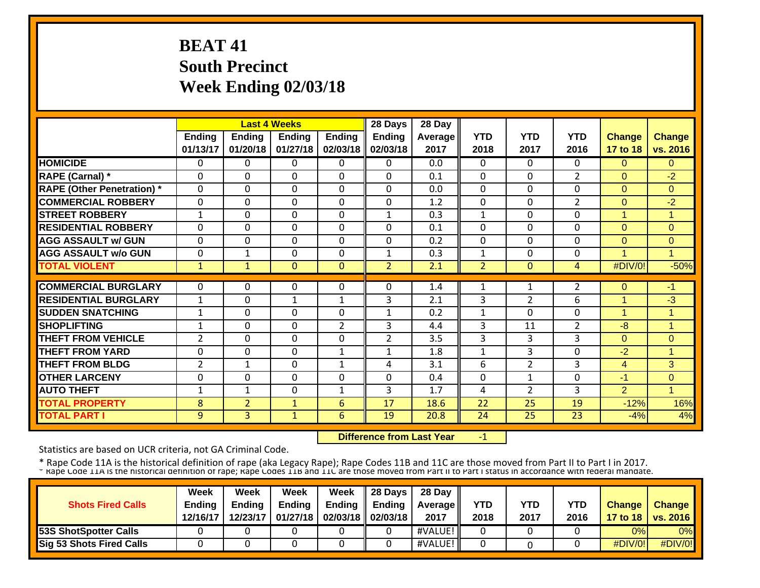# **BEAT 41 South Precinct Week Ending 02/03/18**

|                                   |                |                | <b>Last 4 Weeks</b> |               | 28 Days        | 28 Day  |              |                |                |                |                |
|-----------------------------------|----------------|----------------|---------------------|---------------|----------------|---------|--------------|----------------|----------------|----------------|----------------|
|                                   | <b>Ending</b>  | Ending         | Ending              | <b>Ending</b> | <b>Ending</b>  | Average | <b>YTD</b>   | <b>YTD</b>     | <b>YTD</b>     | <b>Change</b>  | <b>Change</b>  |
|                                   | 01/13/17       | 01/20/18       | 01/27/18            | 02/03/18      | 02/03/18       | 2017    | 2018         | 2017           | 2016           | 17 to 18       | vs. 2016       |
| <b>HOMICIDE</b>                   | 0              | 0              | 0                   | 0             | $\Omega$       | 0.0     | $\mathbf{0}$ | 0              | 0              | $\Omega$       | $\overline{0}$ |
| <b>RAPE (Carnal)</b> *            | 0              | $\Omega$       | 0                   | 0             | $\Omega$       | 0.1     | 0            | 0              | $\overline{2}$ | $\Omega$       | $-2$           |
| <b>RAPE (Other Penetration)</b> * | $\mathbf 0$    | $\Omega$       | 0                   | 0             | $\Omega$       | 0.0     | $\mathbf 0$  | 0              | $\Omega$       | $\mathbf{0}$   | 0              |
| <b>COMMERCIAL ROBBERY</b>         | 0              | $\Omega$       | 0                   | 0             | $\Omega$       | 1.2     | $\mathbf 0$  | 0              | $\overline{2}$ | $\mathbf{0}$   | $-2$           |
| <b>STREET ROBBERY</b>             | $\mathbf{1}$   | $\Omega$       | 0                   | 0             | $\mathbf{1}$   | 0.3     | $\mathbf{1}$ | 0              | 0              | 1              | 1              |
| <b>RESIDENTIAL ROBBERY</b>        | $\Omega$       | $\Omega$       | $\Omega$            | 0             | $\Omega$       | 0.1     | $\Omega$     | $\Omega$       | 0              | $\Omega$       | $\overline{0}$ |
| <b>AGG ASSAULT w/ GUN</b>         | $\Omega$       | $\Omega$       | 0                   | 0             | $\Omega$       | 0.2     | $\mathbf 0$  | $\Omega$       | $\Omega$       | $\Omega$       | 0              |
| <b>AGG ASSAULT w/o GUN</b>        | $\Omega$       | $\mathbf{1}$   | 0                   | 0             | $\mathbf{1}$   | 0.3     | 1            | $\Omega$       | 0              | 4              | 1              |
| <b>TOTAL VIOLENT</b>              | $\mathbf{1}$   | $\mathbf{1}$   | 0                   | $\Omega$      | $\overline{2}$ | 2.1     | 2            | $\Omega$       | 4              | #DIV/0!        | $-50%$         |
|                                   |                |                |                     |               |                |         |              |                |                |                |                |
| <b>COMMERCIAL BURGLARY</b>        | 0              | 0              | 0                   | 0             | $\Omega$       | 1.4     | 1            | 1              | $\overline{2}$ | $\mathbf{0}$   | -1             |
| <b>RESIDENTIAL BURGLARY</b>       | 1              | $\Omega$       | $\mathbf{1}$        | $\mathbf{1}$  | 3              | 2.1     | 3            | $\overline{2}$ | 6              | 1              | $-3$           |
| <b>SUDDEN SNATCHING</b>           | 1              | $\Omega$       | 0                   | 0             | $\mathbf{1}$   | 0.2     | 1            | $\Omega$       | 0              | 1              | $\mathbf{1}$   |
| <b>SHOPLIFTING</b>                | 1              | $\Omega$       | 0                   | 2             | 3              | 4.4     | 3            | 11             | $\overline{2}$ | -8             | 1              |
| <b>THEFT FROM VEHICLE</b>         | $\overline{2}$ | $\Omega$       | 0                   | $\mathbf 0$   | $\overline{2}$ | 3.5     | 3            | 3              | 3              | $\Omega$       | $\overline{0}$ |
| <b>THEFT FROM YARD</b>            | 0              | $\Omega$       | 0                   | $\mathbf{1}$  | $\mathbf{1}$   | 1.8     | $\mathbf{1}$ | 3              | $\Omega$       | $-2$           | 1              |
| <b>THEFT FROM BLDG</b>            | $\overline{2}$ | $\mathbf{1}$   | 0                   | $\mathbf{1}$  | 4              | 3.1     | 6            | $\overline{2}$ | 3              | $\overline{4}$ | 3              |
| <b>OTHER LARCENY</b>              | 0              | $\Omega$       | 0                   | 0             | $\Omega$       | 0.4     | $\mathbf{0}$ | 1              | $\Omega$       | $-1$           | 0              |
| <b>AUTO THEFT</b>                 | $\mathbf{1}$   | $\mathbf{1}$   | 0                   | $\mathbf{1}$  | 3              | 1.7     | 4            | $\overline{2}$ | 3              | $\overline{2}$ | $\mathbf{1}$   |
| <b>TOTAL PROPERTY</b>             | 8              | $\overline{2}$ | $\mathbf{1}$        | 6             | 17             | 18.6    | 22           | 25             | 19             | $-12%$         | 16%            |
| <b>TOTAL PART I</b>               | 9              | $\overline{3}$ | $\mathbf{1}$        | 6             | 19             | 20.8    | 24           | 25             | 23             | $-4%$          | 4%             |

 **Difference from Last Year**‐1

Statistics are based on UCR criteria, not GA Criminal Code.

|                                 | Week          | Week          | Week          | Week                       | <b>28 Davs</b> | 28 Day            |            |      |            |               |                     |
|---------------------------------|---------------|---------------|---------------|----------------------------|----------------|-------------------|------------|------|------------|---------------|---------------------|
| <b>Shots Fired Calls</b>        | <b>Ending</b> | <b>Ending</b> | <b>Ending</b> | <b>Ending</b>              | Endina         | <b>Average II</b> | <b>YTD</b> | YTD  | <b>YTD</b> | <b>Change</b> | <b>Change</b>       |
|                                 | 12/16/17      | 12/23/17      |               | 01/27/18 02/03/18 02/03/18 |                | 2017              | 2018       | 2017 | 2016       |               | 17 to 18   vs. 2016 |
| <b>53S ShotSpotter Calls</b>    |               |               |               |                            |                | #VALUE!           |            |      |            | 0%l           | $0\%$               |
| <b>Sig 53 Shots Fired Calls</b> |               |               |               |                            |                | #VALUE!           |            |      |            | #DIV/0!       | #DIV/0!             |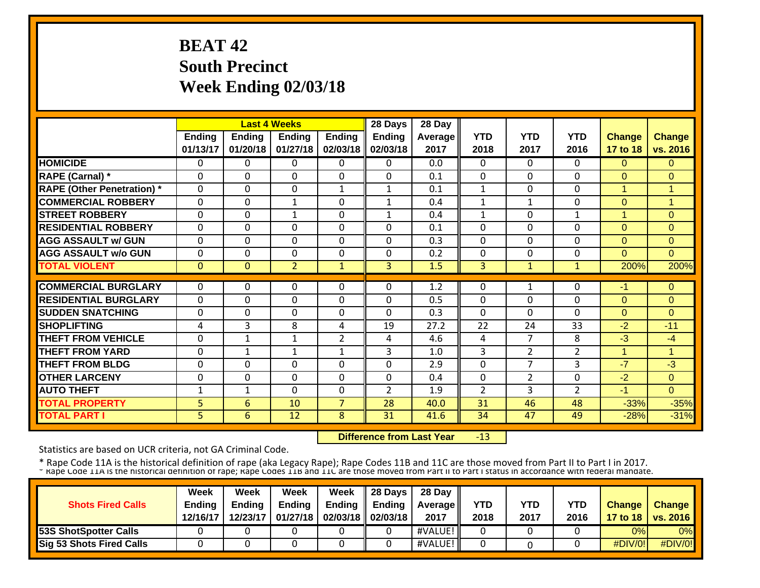# **BEAT 42 South Precinct Week Ending 02/03/18**

|                                   |               |              | <b>Last 4 Weeks</b> |                | 28 Days        | 28 Day  |                |                |                |                |                      |
|-----------------------------------|---------------|--------------|---------------------|----------------|----------------|---------|----------------|----------------|----------------|----------------|----------------------|
|                                   | <b>Ending</b> | Ending       | Ending              | <b>Ending</b>  | <b>Ending</b>  | Average | <b>YTD</b>     | <b>YTD</b>     | <b>YTD</b>     | <b>Change</b>  | <b>Change</b>        |
|                                   | 01/13/17      | 01/20/18     | 01/27/18            | 02/03/18       | 02/03/18       | 2017    | 2018           | 2017           | 2016           | 17 to 18       | vs. 2016             |
| <b>HOMICIDE</b>                   | 0             | 0            | 0                   | 0              | $\Omega$       | 0.0     | $\Omega$       | $\Omega$       | 0              | $\Omega$       | $\Omega$             |
| <b>RAPE (Carnal)</b> *            | 0             | $\Omega$     | 0                   | 0              | $\Omega$       | 0.1     | $\mathbf{0}$   | 0              | $\Omega$       | $\Omega$       | $\Omega$             |
| <b>RAPE (Other Penetration) *</b> | 0             | $\Omega$     | 0                   | $\mathbf{1}$   | $\mathbf{1}$   | 0.1     | $\mathbf{1}$   | 0              | $\Omega$       | $\overline{1}$ | 1                    |
| <b>COMMERCIAL ROBBERY</b>         | 0             | $\Omega$     | $\mathbf{1}$        | 0              | $\mathbf{1}$   | 0.4     | $\mathbf{1}$   | $\mathbf{1}$   | $\Omega$       | $\Omega$       | 1                    |
| <b>STREET ROBBERY</b>             | 0             | $\Omega$     | $\mathbf{1}$        | 0              | $\mathbf{1}$   | 0.4     | 1              | 0              | $\mathbf{1}$   | 1              | $\Omega$             |
| <b>RESIDENTIAL ROBBERY</b>        | 0             | $\Omega$     | 0                   | 0              | $\mathbf 0$    | 0.1     | $\mathbf{0}$   | 0              | $\Omega$       | $\overline{0}$ | $\overline{0}$       |
| <b>AGG ASSAULT w/ GUN</b>         | 0             | $\Omega$     | 0                   | 0              | $\Omega$       | 0.3     | $\Omega$       | $\Omega$       | $\Omega$       | $\Omega$       | $\Omega$             |
| <b>AGG ASSAULT w/o GUN</b>        | $\mathbf{0}$  | $\Omega$     | 0                   | 0              | $\Omega$       | 0.2     | $\Omega$       | $\Omega$       | $\Omega$       | $\Omega$       | $\Omega$             |
| <b>TOTAL VIOLENT</b>              | 0             | $\Omega$     | $\overline{2}$      | $\mathbf{1}$   | $\overline{3}$ | 1.5     | 3 <sup>1</sup> | 1              |                | 200%           | 200%                 |
|                                   |               |              |                     |                |                |         |                |                |                |                |                      |
| <b>COMMERCIAL BURGLARY</b>        | $\Omega$      | 0            | 0                   | 0              | $\Omega$       | 1.2     | $\mathbf{0}$   | 1              | 0              | -1             | $\Omega$             |
| <b>RESIDENTIAL BURGLARY</b>       | $\Omega$      | $\Omega$     | 0                   | 0              | $\Omega$       | 0.5     | $\Omega$       | $\Omega$       | $\Omega$       | $\Omega$       | $\Omega$             |
| <b>ISUDDEN SNATCHING</b>          | $\mathbf{0}$  | $\Omega$     | 0                   | 0              | $\Omega$       | 0.3     | $\Omega$       | $\Omega$       | 0              | $\Omega$       | $\Omega$             |
| <b>ISHOPLIFTING</b>               | 4             | 3            | 8                   | 4              | 19             | 27.2    | 22             | 24             | 33             | $-2$           | $-11$                |
| <b>THEFT FROM VEHICLE</b>         | 0             | $\mathbf{1}$ | $\mathbf{1}$        | $\overline{2}$ | 4              | 4.6     | 4              | 7              | 8              | $-3$           | -4                   |
| <b>THEFT FROM YARD</b>            | $\mathbf{0}$  | $\mathbf{1}$ | $\mathbf{1}$        | $\mathbf{1}$   | 3              | 1.0     | 3              | $\overline{2}$ | $\overline{2}$ | $\mathbf{1}$   | $\blacktriangleleft$ |
| <b>THEFT FROM BLDG</b>            | 0             | $\Omega$     | 0                   | $\mathbf 0$    | $\Omega$       | 2.9     | $\mathbf{0}$   | $\overline{7}$ | 3              | $-7$           | $-3$                 |
| <b>OTHER LARCENY</b>              | 0             | $\Omega$     | 0                   | $\mathbf 0$    | $\Omega$       | 0.4     | $\mathbf{0}$   | $\overline{2}$ | $\Omega$       | $-2$           | $\mathbf{0}$         |
| <b>AUTO THEFT</b>                 | 1             | $\mathbf{1}$ | 0                   | $\mathbf 0$    | $\overline{2}$ | 1.9     | $\overline{2}$ | 3              | $\overline{2}$ | $-1$           | $\Omega$             |
| <b>TOTAL PROPERTY</b>             | 5             | 6            | 10                  | $\overline{7}$ | 28             | 40.0    | 31             | 46             | 48             | $-33%$         | $-35%$               |
| <b>TOTAL PART I</b>               | 5             | 6            | 12                  | 8              | 31             | 41.6    | 34             | 47             | 49             | $-28%$         | $-31%$               |

 **Difference from Last Year**‐13

Statistics are based on UCR criteria, not GA Criminal Code.

|                                 | Week          | Week          | Week          | Week                       | <b>28 Davs</b> | 28 Day            |            |      |            |               |                     |
|---------------------------------|---------------|---------------|---------------|----------------------------|----------------|-------------------|------------|------|------------|---------------|---------------------|
| <b>Shots Fired Calls</b>        | <b>Ending</b> | <b>Ending</b> | <b>Ending</b> | <b>Ending</b>              | Endina         | <b>Average II</b> | <b>YTD</b> | YTD  | <b>YTD</b> | <b>Change</b> | <b>Change</b>       |
|                                 | 12/16/17      | 12/23/17      |               | 01/27/18 02/03/18 02/03/18 |                | 2017              | 2018       | 2017 | 2016       |               | 17 to 18   vs. 2016 |
| <b>53S ShotSpotter Calls</b>    |               |               |               |                            |                | #VALUE!           |            |      |            | 0%l           | $0\%$               |
| <b>Sig 53 Shots Fired Calls</b> |               |               |               |                            |                | #VALUE!           |            |      |            | #DIV/0!       | #DIV/0!             |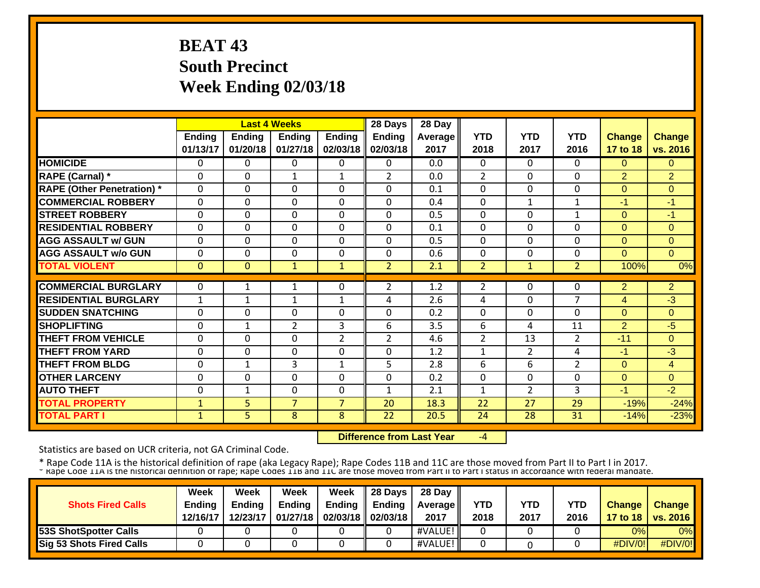# **BEAT 43 South Precinct Week Ending 02/03/18**

|                                   |               |               | <b>Last 4 Weeks</b> |                | 28 Days        | 28 Day  |                |                |                |                |                |
|-----------------------------------|---------------|---------------|---------------------|----------------|----------------|---------|----------------|----------------|----------------|----------------|----------------|
|                                   | <b>Ending</b> | <b>Ending</b> | Ending              | <b>Ending</b>  | <b>Ending</b>  | Average | <b>YTD</b>     | <b>YTD</b>     | <b>YTD</b>     | <b>Change</b>  | <b>Change</b>  |
|                                   | 01/13/17      | 01/20/18      | 01/27/18            | 02/03/18       | 02/03/18       | 2017    | 2018           | 2017           | 2016           | 17 to 18       | vs. 2016       |
| <b>HOMICIDE</b>                   | 0             | 0             | 0                   | $\Omega$       | $\Omega$       | 0.0     | $\Omega$       | 0              | 0              | $\Omega$       | $\Omega$       |
| <b>RAPE (Carnal)</b> *            | 0             | $\Omega$      | 1                   | $\mathbf{1}$   | $\overline{2}$ | 0.0     | $\overline{2}$ | 0              | $\Omega$       | $\overline{2}$ | $\overline{2}$ |
| <b>RAPE (Other Penetration)</b> * | $\Omega$      | $\Omega$      | $\Omega$            | $\Omega$       | $\Omega$       | 0.1     | 0              | 0              | $\Omega$       | $\Omega$       | 0              |
| <b>COMMERCIAL ROBBERY</b>         | $\Omega$      | 0             | 0                   | $\Omega$       | $\Omega$       | 0.4     | $\Omega$       | 1              | $\mathbf{1}$   | -1             | $-1$           |
| <b>STREET ROBBERY</b>             | $\Omega$      | 0             | $\Omega$            | $\Omega$       | $\Omega$       | 0.5     | $\Omega$       | 0              | 1              | $\Omega$       | $-1$           |
| <b>RESIDENTIAL ROBBERY</b>        | $\Omega$      | $\Omega$      | $\Omega$            | $\Omega$       | $\Omega$       | 0.1     | $\Omega$       | $\Omega$       | 0              | $\Omega$       | $\Omega$       |
| <b>AGG ASSAULT w/ GUN</b>         | $\Omega$      | 0             | $\Omega$            | $\Omega$       | $\Omega$       | 0.5     | $\Omega$       | $\Omega$       | $\Omega$       | $\Omega$       | $\Omega$       |
| <b>AGG ASSAULT w/o GUN</b>        | 0             | 0             | $\Omega$            | $\Omega$       | $\Omega$       | 0.6     | $\Omega$       | $\Omega$       | $\Omega$       | $\Omega$       | $\Omega$       |
| <b>TOTAL VIOLENT</b>              | $\Omega$      | $\Omega$      | $\mathbf{1}$        | $\mathbf{1}$   | $\overline{2}$ | 2.1     | $\overline{2}$ | $\mathbf{1}$   | $\overline{2}$ | 100%           | 0%             |
|                                   |               |               |                     |                |                |         |                |                |                |                |                |
| <b>COMMERCIAL BURGLARY</b>        | 0             |               | 1                   | 0              | 2              | 1.2     | $\overline{2}$ | 0              | 0              | 2              | $\overline{2}$ |
| <b>RESIDENTIAL BURGLARY</b>       | 1             | 1             | 1                   | 1              | 4              | 2.6     | 4              | $\Omega$       | $\overline{7}$ | 4              | -3             |
| <b>SUDDEN SNATCHING</b>           | 0             | 0             | $\Omega$            | 0              | $\Omega$       | 0.2     | $\Omega$       | $\Omega$       | 0              | $\Omega$       | $\Omega$       |
| <b>ISHOPLIFTING</b>               | 0             | $\mathbf{1}$  | $\overline{2}$      | 3              | 6              | 3.5     | 6              | 4              | 11             | 2              | -5             |
| <b>THEFT FROM VEHICLE</b>         | $\Omega$      | $\mathbf 0$   | 0                   | $\overline{2}$ | $\overline{2}$ | 4.6     | $\overline{2}$ | 13             | $\overline{2}$ | $-11$          | $\mathbf{0}$   |
| <b>THEFT FROM YARD</b>            | $\Omega$      | $\Omega$      | 0                   | $\mathbf 0$    | $\Omega$       | 1.2     | 1              | $\overline{2}$ | 4              | $-1$           | $-3$           |
| <b>THEFT FROM BLDG</b>            | 0             | $\mathbf{1}$  | 3                   | $\mathbf{1}$   | 5              | 2.8     | 6              | 6              | $\overline{2}$ | $\mathbf{0}$   | 4              |
| <b>OTHER LARCENY</b>              | $\Omega$      | 0             | $\Omega$            | $\Omega$       | $\Omega$       | 0.2     | $\Omega$       | $\Omega$       | $\Omega$       | $\Omega$       | $\mathbf{0}$   |
| <b>AUTO THEFT</b>                 | 0             | $\mathbf{1}$  | 0                   | 0              | $\mathbf{1}$   | 2.1     | 1              | $\overline{2}$ | 3              | $-1$           | $-2$           |
| <b>TOTAL PROPERTY</b>             | $\mathbf{1}$  | 5             | $\overline{7}$      | $\overline{7}$ | 20             | 18.3    | 22             | 27             | 29             | $-19%$         | $-24%$         |
| <b>TOTAL PART I</b>               | $\mathbf{1}$  | 5             | 8                   | 8              | 22             | 20.5    | 24             | 28             | 31             | $-14%$         | $-23%$         |

 **Difference from Last Year**‐4

Statistics are based on UCR criteria, not GA Criminal Code.

|                                 | Week          | Week          | Week          | Week                       | <b>28 Davs</b> | 28 Day            |            |      |            |               |                     |
|---------------------------------|---------------|---------------|---------------|----------------------------|----------------|-------------------|------------|------|------------|---------------|---------------------|
| <b>Shots Fired Calls</b>        | <b>Ending</b> | <b>Ending</b> | <b>Ending</b> | <b>Ending</b>              | Endina         | <b>Average II</b> | <b>YTD</b> | YTD  | <b>YTD</b> | <b>Change</b> | <b>Change</b>       |
|                                 | 12/16/17      | 12/23/17      |               | 01/27/18 02/03/18 02/03/18 |                | 2017              | 2018       | 2017 | 2016       |               | 17 to 18   vs. 2016 |
| <b>53S ShotSpotter Calls</b>    |               |               |               |                            |                | #VALUE!           |            |      |            | 0%l           | $0\%$               |
| <b>Sig 53 Shots Fired Calls</b> |               |               |               |                            |                | #VALUE!           |            |      |            | #DIV/0!       | #DIV/0!             |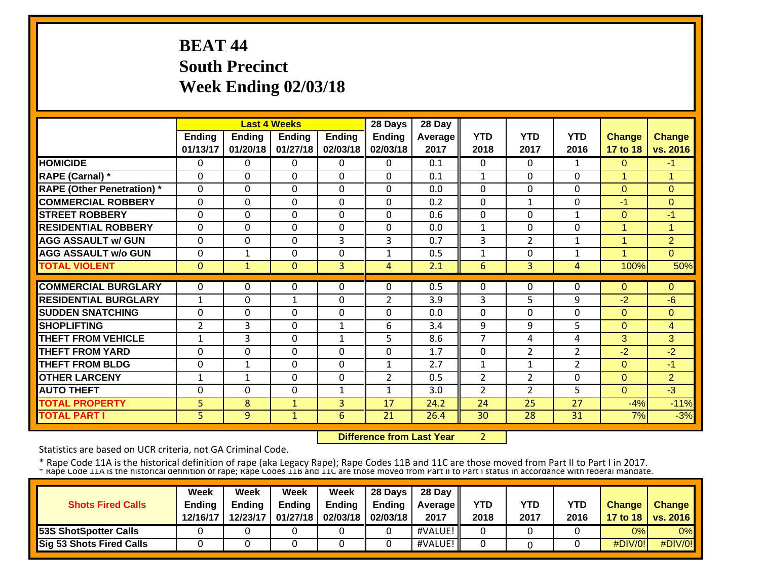# **BEAT 44 South Precinct Week Ending 02/03/18**

|                                   |                |               | <b>Last 4 Weeks</b> |               | 28 Days        | 28 Day  |                |                |                |               |                |
|-----------------------------------|----------------|---------------|---------------------|---------------|----------------|---------|----------------|----------------|----------------|---------------|----------------|
|                                   | <b>Ending</b>  | <b>Ending</b> | <b>Ending</b>       | <b>Ending</b> | <b>Ending</b>  | Average | <b>YTD</b>     | <b>YTD</b>     | <b>YTD</b>     | <b>Change</b> | <b>Change</b>  |
|                                   | 01/13/17       | 01/20/18      | 01/27/18            | 02/03/18      | 02/03/18       | 2017    | 2018           | 2017           | 2016           | 17 to 18      | vs. 2016       |
| <b>HOMICIDE</b>                   | 0              | $\Omega$      | 0                   | $\Omega$      | $\Omega$       | 0.1     | $\mathbf{0}$   | 0              | $\mathbf{1}$   | $\Omega$      | $-1$           |
| <b>RAPE (Carnal)</b> *            | $\Omega$       | 0             | $\Omega$            | $\Omega$      | $\Omega$       | 0.1     | $\mathbf{1}$   | $\Omega$       | $\Omega$       | 1             | 1              |
| <b>RAPE (Other Penetration)</b> * | $\Omega$       | 0             | $\Omega$            | $\Omega$      | $\Omega$       | 0.0     | 0              | $\Omega$       | $\Omega$       | $\Omega$      | $\Omega$       |
| <b>COMMERCIAL ROBBERY</b>         | $\Omega$       | 0             | $\Omega$            | $\Omega$      | $\Omega$       | 0.2     | $\Omega$       | $\mathbf{1}$   | $\Omega$       | -1            | 0              |
| <b>STREET ROBBERY</b>             | $\Omega$       | 0             | $\Omega$            | $\Omega$      | $\Omega$       | 0.6     | $\Omega$       | $\Omega$       | $\mathbf{1}$   | $\Omega$      | $-1$           |
| <b>RESIDENTIAL ROBBERY</b>        | $\Omega$       | 0             | $\Omega$            | $\Omega$      | $\Omega$       | 0.0     | $\mathbf{1}$   | $\Omega$       | $\Omega$       | 1             | 1              |
| <b>AGG ASSAULT w/ GUN</b>         | $\Omega$       | $\Omega$      | $\Omega$            | 3             | 3              | 0.7     | 3              | $\overline{2}$ | 1              | 1             | $\overline{2}$ |
| <b>AGG ASSAULT w/o GUN</b>        | 0              | $\mathbf{1}$  | $\Omega$            | $\Omega$      | 1              | 0.5     | 1              | 0              | 1              | 4             | $\Omega$       |
| <b>TOTAL VIOLENT</b>              | $\Omega$       | $\mathbf{1}$  | $\mathbf{0}$        | 3             | 4              | 2.1     | 6              | 3              | 4              | 100%          | 50%            |
|                                   |                |               |                     |               |                |         |                |                |                |               |                |
| <b>COMMERCIAL BURGLARY</b>        | $\Omega$       | 0             | 0                   | $\Omega$      | $\Omega$       | 0.5     | $\Omega$       | 0              | 0              | $\Omega$      | $\mathbf{0}$   |
| <b>RESIDENTIAL BURGLARY</b>       | 1              | 0             | 1                   | $\Omega$      | $\overline{2}$ | 3.9     | 3              | 5              | 9              | $-2$          | -6             |
| <b>ISUDDEN SNATCHING</b>          | $\Omega$       | $\Omega$      | $\Omega$            | $\Omega$      | $\Omega$       | 0.0     | $\Omega$       | $\Omega$       | $\Omega$       | $\Omega$      | $\Omega$       |
| <b>SHOPLIFTING</b>                | $\overline{2}$ | 3             | $\Omega$            | $\mathbf{1}$  | 6              | 3.4     | 9              | 9              | 5              | $\Omega$      | 4              |
| <b>THEFT FROM VEHICLE</b>         | $\mathbf{1}$   | 3             | $\Omega$            | $\mathbf{1}$  | 5              | 8.6     | $\overline{7}$ | 4              | 4              | 3             | 3              |
| <b>THEFT FROM YARD</b>            | $\Omega$       | $\Omega$      | 0                   | $\Omega$      | $\Omega$       | 1.7     | $\mathbf 0$    | $\overline{2}$ | $\overline{2}$ | $-2$          | $-2$           |
| <b>THEFT FROM BLDG</b>            | $\Omega$       | $\mathbf{1}$  | 0                   | $\Omega$      | $\mathbf{1}$   | 2.7     | $\mathbf{1}$   | $\mathbf{1}$   | $\overline{2}$ | $\Omega$      | $-1$           |
| <b>OTHER LARCENY</b>              | $\mathbf{1}$   | $\mathbf{1}$  | $\Omega$            | $\Omega$      | $\overline{2}$ | 0.5     | $\overline{2}$ | $\overline{2}$ | $\Omega$       | $\Omega$      | $\overline{2}$ |
| <b>AUTO THEFT</b>                 | 0              | $\Omega$      | 0                   | $\mathbf{1}$  | $\mathbf{1}$   | 3.0     | $\overline{2}$ | $\overline{2}$ | 5              | $\Omega$      | $-3$           |
| <b>TOTAL PROPERTY</b>             | 5              | 8             | $\mathbf{1}$        | 3             | 17             | 24.2    | 24             | 25             | 27             | $-4%$         | $-11%$         |
| <b>TOTAL PART I</b>               | 5              | 9             | $\mathbf{1}$        | 6             | 21             | 26.4    | 30             | 28             | 31             | 7%            | $-3%$          |

 **Difference from Last Year**2

Statistics are based on UCR criteria, not GA Criminal Code.

|                              | Week          | Week          | Week          | Week                       | $\parallel$ 28 Days | 28 Day            |      |      |            |               |                     |
|------------------------------|---------------|---------------|---------------|----------------------------|---------------------|-------------------|------|------|------------|---------------|---------------------|
| <b>Shots Fired Calls</b>     | <b>Ending</b> | <b>Endina</b> | <b>Ending</b> | Ending                     | Ending              | <b>Average II</b> | YTD  | YTD  | <b>YTD</b> | <b>Change</b> | <b>Change</b>       |
|                              | 12/16/17      | 12/23/17      |               | 01/27/18 02/03/18 02/03/18 |                     | 2017              | 2018 | 2017 | 2016       |               | 17 to 18   vs. 2016 |
| <b>53S ShotSpotter Calls</b> |               |               |               |                            |                     | #VALUE!           |      |      |            | 0%l           | $0\%$               |
| Sig 53 Shots Fired Calls     |               |               |               |                            |                     | #VALUE!           |      |      |            | #DIV/0!       | #DIV/0!             |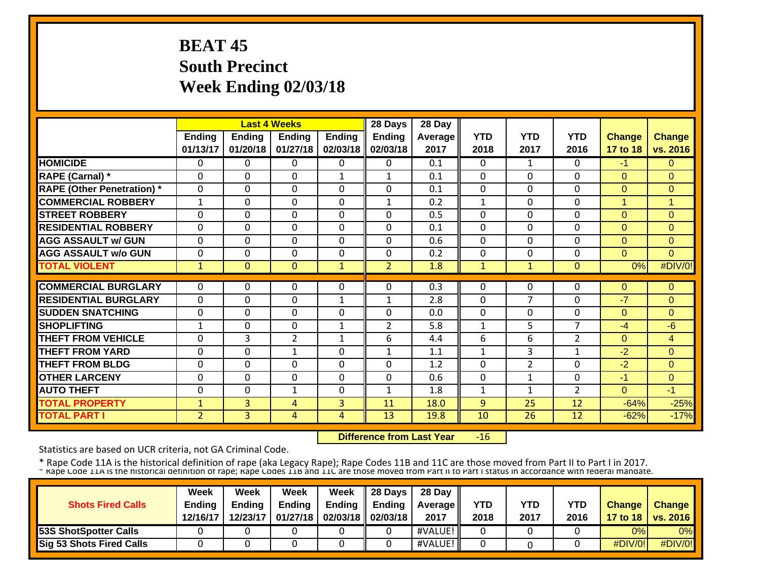# **BEAT 45 South Precinct Week Ending 02/03/18**

|                                   |                |               | <b>Last 4 Weeks</b> |                | 28 Days        | 28 Day  |              |                |                |                |                |
|-----------------------------------|----------------|---------------|---------------------|----------------|----------------|---------|--------------|----------------|----------------|----------------|----------------|
|                                   | <b>Ending</b>  | <b>Ending</b> | Ending              | <b>Ending</b>  | <b>Ending</b>  | Average | <b>YTD</b>   | <b>YTD</b>     | <b>YTD</b>     | <b>Change</b>  | <b>Change</b>  |
|                                   | 01/13/17       | 01/20/18      | 01/27/18            | 02/03/18       | 02/03/18       | 2017    | 2018         | 2017           | 2016           | 17 to 18       | vs. 2016       |
| <b>HOMICIDE</b>                   | 0              | 0             | 0                   | $\Omega$       | $\mathbf{0}$   | 0.1     | $\Omega$     | $\mathbf{1}$   | 0              | $-1$           | $\Omega$       |
| <b>RAPE (Carnal)</b> *            | $\Omega$       | $\Omega$      | $\Omega$            | $\mathbf{1}$   | $\mathbf{1}$   | 0.1     | $\Omega$     | 0              | $\Omega$       | $\Omega$       | $\Omega$       |
| <b>RAPE (Other Penetration)</b> * | $\mathbf 0$    | $\Omega$      | 0                   | $\Omega$       | $\Omega$       | 0.1     | $\mathbf 0$  | 0              | $\Omega$       | $\Omega$       | $\Omega$       |
| <b>COMMERCIAL ROBBERY</b>         | $\mathbf{1}$   | 0             | $\Omega$            | $\Omega$       | $\mathbf{1}$   | 0.2     | $\mathbf{1}$ | 0              | $\Omega$       | 1              | $\overline{1}$ |
| <b>STREET ROBBERY</b>             | $\Omega$       | 0             | $\Omega$            | $\Omega$       | $\Omega$       | 0.5     | $\Omega$     | 0              | 0              | $\Omega$       | $\Omega$       |
| <b>RESIDENTIAL ROBBERY</b>        | $\Omega$       | 0             | 0                   | $\mathbf 0$    | $\mathbf 0$    | 0.1     | $\mathbf{0}$ | 0              | $\Omega$       | $\overline{0}$ | $\Omega$       |
| <b>AGG ASSAULT w/ GUN</b>         | $\Omega$       | $\Omega$      | $\mathbf 0$         | $\Omega$       | $\Omega$       | 0.6     | $\mathbf{0}$ | $\Omega$       | $\Omega$       | $\Omega$       | $\Omega$       |
| <b>AGG ASSAULT w/o GUN</b>        | $\Omega$       | 0             | $\Omega$            | $\Omega$       | $\Omega$       | 0.2     | $\Omega$     | $\Omega$       | $\Omega$       | $\Omega$       | $\Omega$       |
| <b>TOTAL VIOLENT</b>              | $\mathbf 1$    | $\Omega$      | $\mathbf{0}$        | $\mathbf{1}$   | $\overline{2}$ | 1.8     | 1            | $\mathbf{1}$   | $\Omega$       | 0%             | #DIV/0!        |
|                                   |                |               |                     |                |                |         |              |                |                |                |                |
| <b>COMMERCIAL BURGLARY</b>        | $\Omega$       | 0             | 0                   | $\Omega$       | $\Omega$       | 0.3     | $\Omega$     | 0              | 0              | $\Omega$       | 0              |
| <b>RESIDENTIAL BURGLARY</b>       | $\Omega$       | 0             | 0                   | 1              | $\mathbf 1$    | 2.8     | $\Omega$     | 7              | $\Omega$       | -7             | $\Omega$       |
| <b>ISUDDEN SNATCHING</b>          | $\Omega$       | 0             | $\Omega$            | $\Omega$       | $\Omega$       | 0.0     | $\Omega$     | $\Omega$       | $\Omega$       | $\Omega$       | $\Omega$       |
| <b>SHOPLIFTING</b>                | 1              | 0             | $\Omega$            | 1              | 2              | 5.8     | 1            | 5              | $\overline{7}$ | $-4$           | $-6$           |
| <b>THEFT FROM VEHICLE</b>         | $\Omega$       | 3             | $\overline{2}$      | 1              | 6              | 4.4     | 6            | 6              | $\overline{2}$ | $\Omega$       | 4              |
| <b>THEFT FROM YARD</b>            | 0              | $\Omega$      | $\mathbf{1}$        | $\Omega$       | $\mathbf{1}$   | 1.1     | $\mathbf{1}$ | 3              | 1              | $-2$           | $\Omega$       |
| <b>THEFT FROM BLDG</b>            | $\Omega$       | $\Omega$      | $\mathbf 0$         | $\Omega$       | $\Omega$       | 1.2     | $\Omega$     | $\overline{2}$ | $\Omega$       | $-2$           | $\Omega$       |
| <b>OTHER LARCENY</b>              | $\Omega$       | $\Omega$      | 0                   | $\Omega$       | $\Omega$       | 0.6     | $\Omega$     | 1              | $\Omega$       | $-1$           | $\overline{0}$ |
| <b>AUTO THEFT</b>                 | $\Omega$       | $\mathbf 0$   | $\mathbf{1}$        | $\mathbf 0$    | $\mathbf{1}$   | 1.8     | 1            | $\mathbf{1}$   | $\overline{2}$ | $\overline{0}$ | $-1$           |
| <b>TOTAL PROPERTY</b>             | $\mathbf{1}$   | 3             | 4                   | 3              | 11             | 18.0    | 9            | 25             | 12             | $-64%$         | $-25%$         |
| <b>TOTAL PART I</b>               | $\overline{2}$ | 3             | 4                   | $\overline{4}$ | 13             | 19.8    | 10           | 26             | 12             | $-62%$         | $-17%$         |

 **Difference from Last Year** $-16$ 

Statistics are based on UCR criteria, not GA Criminal Code.

|                                 | Week          | Week          | Week          | Week                       | <b>28 Davs</b> | 28 Day            |            |      |            |               |                     |
|---------------------------------|---------------|---------------|---------------|----------------------------|----------------|-------------------|------------|------|------------|---------------|---------------------|
| <b>Shots Fired Calls</b>        | <b>Ending</b> | <b>Ending</b> | <b>Ending</b> | <b>Ending</b>              | Endina         | <b>Average II</b> | <b>YTD</b> | YTD  | <b>YTD</b> | <b>Change</b> | <b>Change</b>       |
|                                 | 12/16/17      | 12/23/17      |               | 01/27/18 02/03/18 02/03/18 |                | 2017              | 2018       | 2017 | 2016       |               | 17 to 18   vs. 2016 |
| <b>53S ShotSpotter Calls</b>    |               |               |               |                            |                | #VALUE!           |            |      |            | 0%l           | $0\%$               |
| <b>Sig 53 Shots Fired Calls</b> |               |               |               |                            |                | #VALUE!           |            |      |            | #DIV/0!       | #DIV/0!             |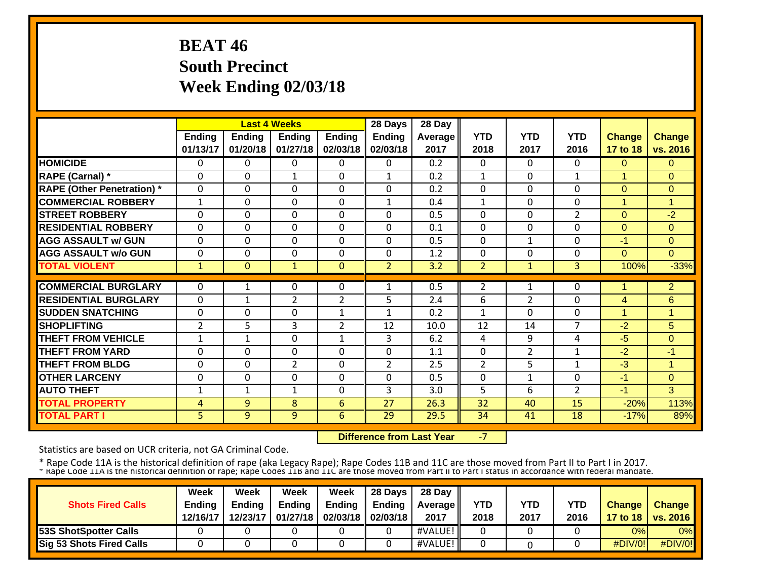# **BEAT 46 South Precinct Week Ending 02/03/18**

|                                   |                |              | <b>Last 4 Weeks</b> |                | 28 Days        | 28 Day  |                |                |                |                |                |
|-----------------------------------|----------------|--------------|---------------------|----------------|----------------|---------|----------------|----------------|----------------|----------------|----------------|
|                                   | <b>Ending</b>  | Ending       | Ending              | <b>Ending</b>  | <b>Ending</b>  | Average | <b>YTD</b>     | <b>YTD</b>     | <b>YTD</b>     | <b>Change</b>  | <b>Change</b>  |
|                                   | 01/13/17       | 01/20/18     | 01/27/18            | 02/03/18       | 02/03/18       | 2017    | 2018           | 2017           | 2016           | 17 to 18       | vs. 2016       |
| <b>HOMICIDE</b>                   | 0              | 0            | 0                   | 0              | $\Omega$       | 0.2     | $\mathbf{0}$   | 0              | 0              | $\Omega$       | $\mathbf{0}$   |
| <b>RAPE (Carnal)</b> *            | 0              | $\Omega$     | $\mathbf{1}$        | 0              | $\mathbf{1}$   | 0.2     | $\mathbf{1}$   | 0              | $\mathbf{1}$   | 1              | $\Omega$       |
| <b>RAPE (Other Penetration)</b> * | 0              | $\Omega$     | 0                   | 0              | $\Omega$       | 0.2     | 0              | 0              | 0              | $\mathbf{0}$   | 0              |
| <b>COMMERCIAL ROBBERY</b>         | $\mathbf{1}$   | $\Omega$     | 0                   | 0              | $\mathbf{1}$   | 0.4     | 1              | 0              | $\Omega$       | 4              | 1              |
| <b>STREET ROBBERY</b>             | 0              | $\Omega$     | 0                   | 0              | $\Omega$       | 0.5     | $\Omega$       | 0              | $\overline{2}$ | $\Omega$       | $-2$           |
| <b>RESIDENTIAL ROBBERY</b>        | $\Omega$       | $\Omega$     | $\Omega$            | 0              | $\Omega$       | 0.1     | $\Omega$       | $\Omega$       | $\Omega$       | $\overline{0}$ | $\Omega$       |
| <b>AGG ASSAULT w/ GUN</b>         | $\Omega$       | $\Omega$     | 0                   | 0              | $\Omega$       | 0.5     | $\mathbf 0$    | 1              | $\Omega$       | -1             | $\Omega$       |
| <b>AGG ASSAULT w/o GUN</b>        | $\mathbf{0}$   | $\Omega$     | 0                   | 0              | $\Omega$       | 1.2     | $\Omega$       | $\Omega$       | 0              | $\Omega$       | $\Omega$       |
| <b>TOTAL VIOLENT</b>              | $\mathbf{1}$   | $\Omega$     | $\mathbf{1}$        | $\Omega$       | $\overline{2}$ | 3.2     | 2              | $\mathbf{1}$   | 3              | 100%           | $-33%$         |
|                                   |                |              |                     |                |                |         |                |                |                |                |                |
| <b>COMMERCIAL BURGLARY</b>        | 0              | 1            | 0                   | 0              | $\mathbf{1}$   | 0.5     | $\overline{2}$ | 1              | 0              |                | $\overline{2}$ |
| <b>RESIDENTIAL BURGLARY</b>       | $\Omega$       | $\mathbf{1}$ | $\overline{2}$      | $\overline{2}$ | 5              | 2.4     | 6              | $\overline{2}$ | $\Omega$       | 4              | 6              |
| <b>SUDDEN SNATCHING</b>           | $\mathbf{0}$   | $\Omega$     | 0                   | 1              | $\mathbf{1}$   | 0.2     | 1              | $\Omega$       | 0              | 1              | $\mathbf 1$    |
| <b>SHOPLIFTING</b>                | $\overline{2}$ | 5            | 3                   | 2              | 12             | 10.0    | 12             | 14             | $\overline{7}$ | $-2$           | 5              |
| <b>THEFT FROM VEHICLE</b>         | $\mathbf{1}$   | $\mathbf{1}$ | 0                   | $\mathbf{1}$   | 3              | 6.2     | 4              | 9              | 4              | $-5$           | $\overline{0}$ |
| <b>THEFT FROM YARD</b>            | $\Omega$       | $\Omega$     | 0                   | $\mathbf 0$    | $\Omega$       | 1.1     | $\mathbf{0}$   | $\overline{2}$ | 1              | $-2$           | $-1$           |
| <b>THEFT FROM BLDG</b>            | 0              | $\Omega$     | $\overline{2}$      | 0              | $\overline{2}$ | 2.5     | $\overline{2}$ | 5              | 1              | $-3$           | $\mathbf{1}$   |
| <b>OTHER LARCENY</b>              | 0              | $\Omega$     | 0                   | 0              | $\Omega$       | 0.5     | $\mathbf{0}$   | 1              | $\Omega$       | $-1$           | $\mathbf{0}$   |
| <b>AUTO THEFT</b>                 | $\mathbf{1}$   | 1            | $\mathbf{1}$        | 0              | 3              | 3.0     | 5              | 6              | $\overline{2}$ | $-1$           | 3              |
| <b>TOTAL PROPERTY</b>             | 4              | 9            | 8                   | 6              | 27             | 26.3    | 32             | 40             | 15             | $-20%$         | 113%           |
| <b>TOTAL PART I</b>               | 5 <sup>1</sup> | 9            | 9                   | 6              | 29             | 29.5    | 34             | 41             | 18             | $-17%$         | 89%            |

 **Difference from Last Year**‐7

Statistics are based on UCR criteria, not GA Criminal Code.

|                              | Week          | Week          | Week          | Week                       | $\parallel$ 28 Days | 28 Day            |      |      |            |               |                     |
|------------------------------|---------------|---------------|---------------|----------------------------|---------------------|-------------------|------|------|------------|---------------|---------------------|
| <b>Shots Fired Calls</b>     | <b>Ending</b> | <b>Endina</b> | <b>Ending</b> | Ending                     | Ending              | <b>Average II</b> | YTD  | YTD  | <b>YTD</b> | <b>Change</b> | <b>Change</b>       |
|                              | 12/16/17      | 12/23/17      |               | 01/27/18 02/03/18 02/03/18 |                     | 2017              | 2018 | 2017 | 2016       |               | 17 to 18   vs. 2016 |
| <b>53S ShotSpotter Calls</b> |               |               |               |                            |                     | #VALUE!           |      |      |            | 0%l           | $0\%$               |
| Sig 53 Shots Fired Calls     |               |               |               |                            |                     | #VALUE!           |      |      |            | #DIV/0!       | #DIV/0!             |